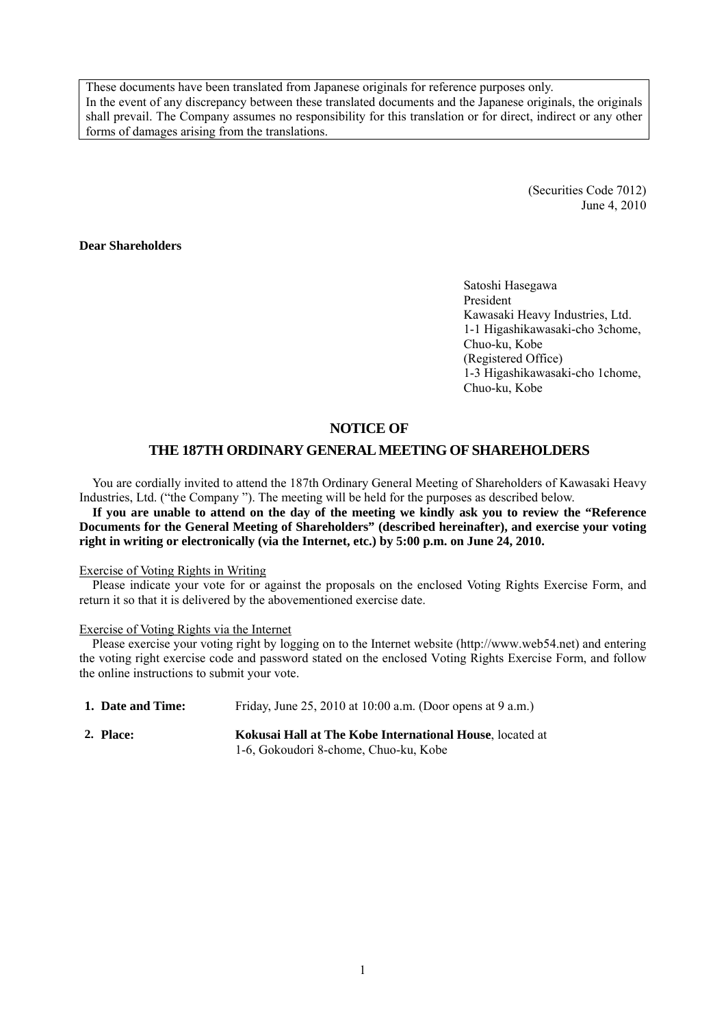These documents have been translated from Japanese originals for reference purposes only. In the event of any discrepancy between these translated documents and the Japanese originals, the originals shall prevail. The Company assumes no responsibility for this translation or for direct, indirect or any other forms of damages arising from the translations.

> (Securities Code 7012) June 4, 2010

### **Dear Shareholders**

Satoshi Hasegawa President Kawasaki Heavy Industries, Ltd. 1-1 Higashikawasaki-cho 3chome, Chuo-ku, Kobe (Registered Office) 1-3 Higashikawasaki-cho 1chome, Chuo-ku, Kobe

### **NOTICE OF**

### **THE 187TH ORDINARY GENERAL MEETING OF SHAREHOLDERS**

You are cordially invited to attend the 187th Ordinary General Meeting of Shareholders of Kawasaki Heavy Industries, Ltd. ("the Company "). The meeting will be held for the purposes as described below.

**If you are unable to attend on the day of the meeting we kindly ask you to review the "Reference Documents for the General Meeting of Shareholders" (described hereinafter), and exercise your voting right in writing or electronically (via the Internet, etc.) by 5:00 p.m. on June 24, 2010.** 

#### Exercise of Voting Rights in Writing

Please indicate your vote for or against the proposals on the enclosed Voting Rights Exercise Form, and return it so that it is delivered by the abovementioned exercise date.

#### Exercise of Voting Rights via the Internet

Please exercise your voting right by logging on to the Internet website (http://www.web54.net) and entering the voting right exercise code and password stated on the enclosed Voting Rights Exercise Form, and follow the online instructions to submit your vote.

| 1. Date and Time: | Friday, June 25, 2010 at 10:00 a.m. (Door opens at 9 a.m.) |
|-------------------|------------------------------------------------------------|
| 2. Place:         | Kokusai Hall at The Kobe International House, located at   |
|                   | 1-6, Gokoudori 8-chome, Chuo-ku, Kobe                      |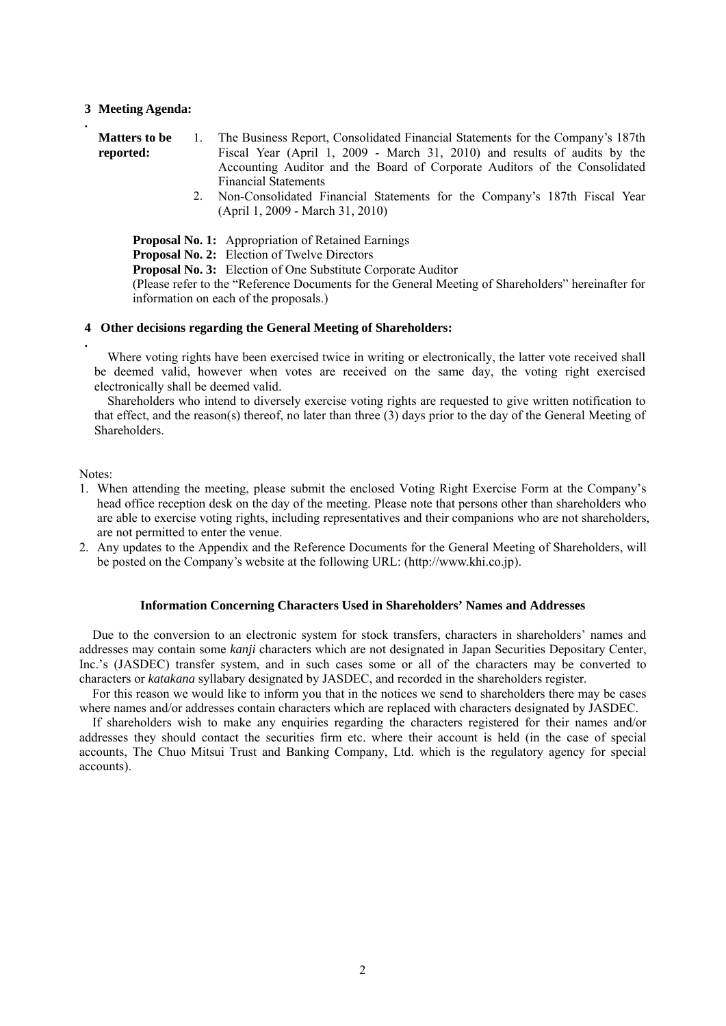#### **3 Meeting Agenda:**

**.**

| <b>Matters to be</b> | The Business Report, Consolidated Financial Statements for the Company's 187th |
|----------------------|--------------------------------------------------------------------------------|
| reported:            | Fiscal Year (April 1, 2009 - March 31, 2010) and results of audits by the      |
|                      | Accounting Auditor and the Board of Corporate Auditors of the Consolidated     |
|                      | <b>Financial Statements</b>                                                    |
|                      | 2. Man Cancelidated Einemaid Statements for the Commany's 197th Eiseal Vass    |

 2. Non-Consolidated Financial Statements for the Company's 187th Fiscal Year (April 1, 2009 - March 31, 2010)

**Proposal No. 1:** Appropriation of Retained Earnings

**Proposal No. 2:** Election of Twelve Directors

**Proposal No. 3:** Election of One Substitute Corporate Auditor

(Please refer to the "Reference Documents for the General Meeting of Shareholders" hereinafter for information on each of the proposals.)

#### **4 Other decisions regarding the General Meeting of Shareholders:**

Where voting rights have been exercised twice in writing or electronically, the latter vote received shall be deemed valid, however when votes are received on the same day, the voting right exercised electronically shall be deemed valid.

Shareholders who intend to diversely exercise voting rights are requested to give written notification to that effect, and the reason(s) thereof, no later than three (3) days prior to the day of the General Meeting of Shareholders.

Notes:

**.**

- 1. When attending the meeting, please submit the enclosed Voting Right Exercise Form at the Company's head office reception desk on the day of the meeting. Please note that persons other than shareholders who are able to exercise voting rights, including representatives and their companions who are not shareholders, are not permitted to enter the venue.
- 2. Any updates to the Appendix and the Reference Documents for the General Meeting of Shareholders, will be posted on the Company's website at the following URL: (http://www.khi.co.jp).

## **Information Concerning Characters Used in Shareholders' Names and Addresses**

Due to the conversion to an electronic system for stock transfers, characters in shareholders' names and addresses may contain some *kanji* characters which are not designated in Japan Securities Depositary Center, Inc.'s (JASDEC) transfer system, and in such cases some or all of the characters may be converted to characters or *katakana* syllabary designated by JASDEC, and recorded in the shareholders register.

For this reason we would like to inform you that in the notices we send to shareholders there may be cases where names and/or addresses contain characters which are replaced with characters designated by JASDEC.

If shareholders wish to make any enquiries regarding the characters registered for their names and/or addresses they should contact the securities firm etc. where their account is held (in the case of special accounts, The Chuo Mitsui Trust and Banking Company, Ltd. which is the regulatory agency for special accounts).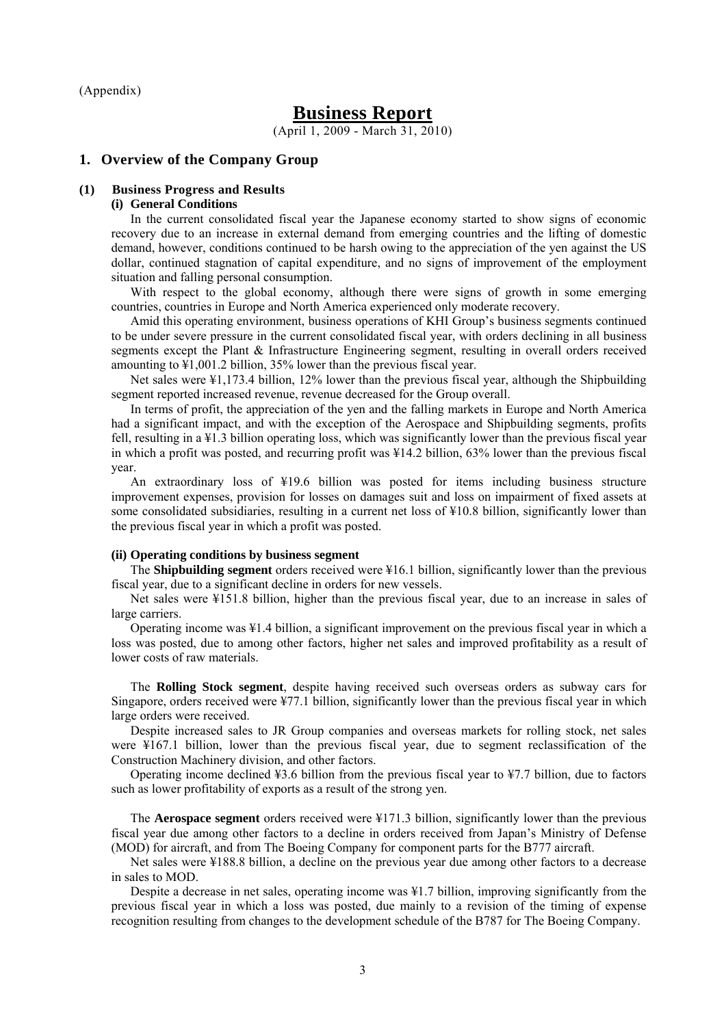(Appendix)

# **Business Report**

(April 1, 2009 - March 31, 2010)

#### **1. Overview of the Company Group**

#### **(1) Business Progress and Results**

#### **(i) General Conditions**

In the current consolidated fiscal year the Japanese economy started to show signs of economic recovery due to an increase in external demand from emerging countries and the lifting of domestic demand, however, conditions continued to be harsh owing to the appreciation of the yen against the US dollar, continued stagnation of capital expenditure, and no signs of improvement of the employment situation and falling personal consumption.

With respect to the global economy, although there were signs of growth in some emerging countries, countries in Europe and North America experienced only moderate recovery.

Amid this operating environment, business operations of KHI Group's business segments continued to be under severe pressure in the current consolidated fiscal year, with orders declining in all business segments except the Plant & Infrastructure Engineering segment, resulting in overall orders received amounting to ¥1,001.2 billion, 35% lower than the previous fiscal year.

Net sales were ¥1,173.4 billion, 12% lower than the previous fiscal year, although the Shipbuilding segment reported increased revenue, revenue decreased for the Group overall.

In terms of profit, the appreciation of the yen and the falling markets in Europe and North America had a significant impact, and with the exception of the Aerospace and Shipbuilding segments, profits fell, resulting in a ¥1.3 billion operating loss, which was significantly lower than the previous fiscal year in which a profit was posted, and recurring profit was ¥14.2 billion, 63% lower than the previous fiscal year.

An extraordinary loss of ¥19.6 billion was posted for items including business structure improvement expenses, provision for losses on damages suit and loss on impairment of fixed assets at some consolidated subsidiaries, resulting in a current net loss of  $\frac{100}{8}$  billion, significantly lower than the previous fiscal year in which a profit was posted.

#### **(ii) Operating conditions by business segment**

The **Shipbuilding segment** orders received were ¥16.1 billion, significantly lower than the previous fiscal year, due to a significant decline in orders for new vessels.

Net sales were ¥151.8 billion, higher than the previous fiscal year, due to an increase in sales of large carriers.

Operating income was ¥1.4 billion, a significant improvement on the previous fiscal year in which a loss was posted, due to among other factors, higher net sales and improved profitability as a result of lower costs of raw materials.

The **Rolling Stock segment**, despite having received such overseas orders as subway cars for Singapore, orders received were ¥77.1 billion, significantly lower than the previous fiscal year in which large orders were received.

Despite increased sales to JR Group companies and overseas markets for rolling stock, net sales were ¥167.1 billion, lower than the previous fiscal year, due to segment reclassification of the Construction Machinery division, and other factors.

Operating income declined ¥3.6 billion from the previous fiscal year to ¥7.7 billion, due to factors such as lower profitability of exports as a result of the strong yen.

The **Aerospace segment** orders received were ¥171.3 billion, significantly lower than the previous fiscal year due among other factors to a decline in orders received from Japan's Ministry of Defense (MOD) for aircraft, and from The Boeing Company for component parts for the B777 aircraft.

Net sales were ¥188.8 billion, a decline on the previous year due among other factors to a decrease in sales to MOD.

Despite a decrease in net sales, operating income was ¥1.7 billion, improving significantly from the previous fiscal year in which a loss was posted, due mainly to a revision of the timing of expense recognition resulting from changes to the development schedule of the B787 for The Boeing Company.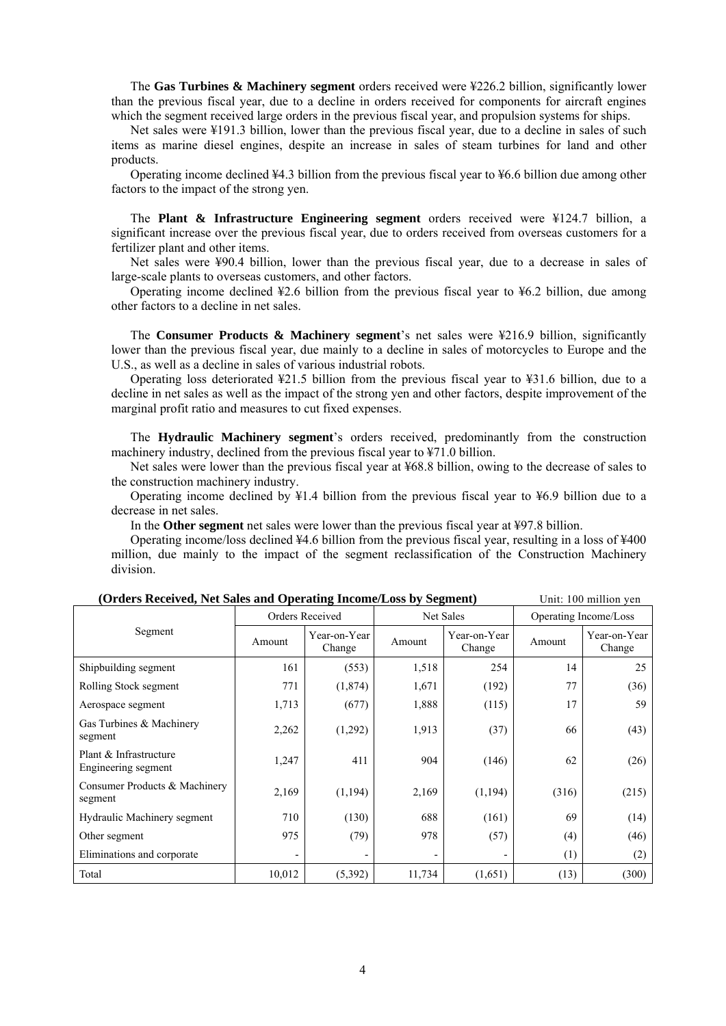The **Gas Turbines & Machinery segment** orders received were ¥226.2 billion, significantly lower than the previous fiscal year, due to a decline in orders received for components for aircraft engines which the segment received large orders in the previous fiscal year, and propulsion systems for ships.

Net sales were ¥191.3 billion, lower than the previous fiscal year, due to a decline in sales of such items as marine diesel engines, despite an increase in sales of steam turbines for land and other products.

Operating income declined ¥4.3 billion from the previous fiscal year to ¥6.6 billion due among other factors to the impact of the strong yen.

The **Plant & Infrastructure Engineering segment** orders received were ¥124.7 billion, a significant increase over the previous fiscal year, due to orders received from overseas customers for a fertilizer plant and other items.

Net sales were ¥90.4 billion, lower than the previous fiscal year, due to a decrease in sales of large-scale plants to overseas customers, and other factors.

Operating income declined ¥2.6 billion from the previous fiscal year to ¥6.2 billion, due among other factors to a decline in net sales.

The **Consumer Products & Machinery segment**'s net sales were ¥216.9 billion, significantly lower than the previous fiscal year, due mainly to a decline in sales of motorcycles to Europe and the U.S., as well as a decline in sales of various industrial robots.

Operating loss deteriorated  $\frac{1}{21.5}$  billion from the previous fiscal year to  $\frac{1}{21.6}$  billion, due to a decline in net sales as well as the impact of the strong yen and other factors, despite improvement of the marginal profit ratio and measures to cut fixed expenses.

The **Hydraulic Machinery segment**'s orders received, predominantly from the construction machinery industry, declined from the previous fiscal year to ¥71.0 billion.

Net sales were lower than the previous fiscal year at ¥68.8 billion, owing to the decrease of sales to the construction machinery industry.

Operating income declined by ¥1.4 billion from the previous fiscal year to ¥6.9 billion due to a decrease in net sales.

In the **Other segment** net sales were lower than the previous fiscal year at ¥97.8 billion.

Operating income/loss declined ¥4.6 billion from the previous fiscal year, resulting in a loss of ¥400 million, due mainly to the impact of the segment reclassification of the Construction Machinery division.

|                                               | Orders Received |                        | Net Sales |                        | Operating Income/Loss |                        |
|-----------------------------------------------|-----------------|------------------------|-----------|------------------------|-----------------------|------------------------|
| Segment                                       | Amount          | Year-on-Year<br>Change | Amount    | Year-on-Year<br>Change | Amount                | Year-on-Year<br>Change |
| Shipbuilding segment                          | 161             | (553)                  | 1,518     | 254                    | 14                    | 25                     |
| Rolling Stock segment                         | 771             | (1,874)                | 1,671     | (192)                  | 77                    | (36)                   |
| Aerospace segment                             | 1,713           | (677)                  | 1,888     | (115)                  | 17                    | 59                     |
| Gas Turbines & Machinery<br>segment           | 2,262           | (1,292)                | 1,913     | (37)                   | 66                    | (43)                   |
| Plant & Infrastructure<br>Engineering segment | 1,247           | 411                    | 904       | (146)                  | 62                    | (26)                   |
| Consumer Products & Machinery<br>segment      | 2,169           | (1, 194)               | 2,169     | (1, 194)               | (316)                 | (215)                  |
| Hydraulic Machinery segment                   | 710             | (130)                  | 688       | (161)                  | 69                    | (14)                   |
| Other segment                                 | 975             | (79)                   | 978       | (57)                   | (4)                   | (46)                   |
| Eliminations and corporate                    |                 |                        |           |                        | (1)                   | (2)                    |
| Total                                         | 10,012          | (5, 392)               | 11,734    | (1,651)                | (13)                  | (300)                  |

**(Orders Received, Net Sales and Operating Income/Loss by Segment)** Unit: 100 million yen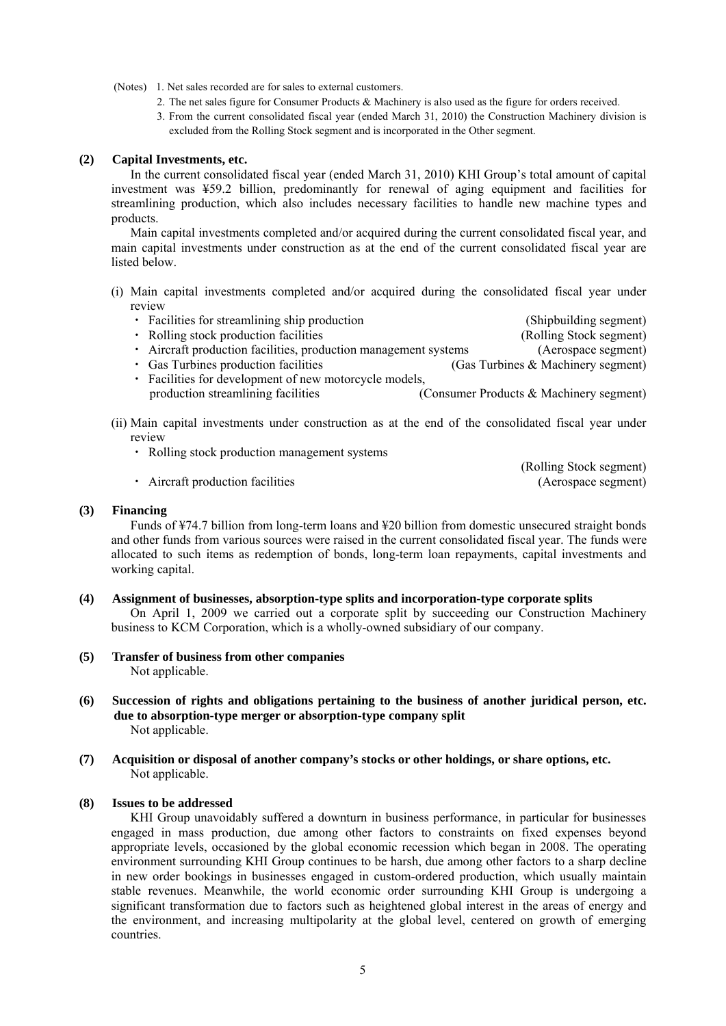(Notes) 1. Net sales recorded are for sales to external customers.

- 2. The net sales figure for Consumer Products & Machinery is also used as the figure for orders received.
- 3. From the current consolidated fiscal year (ended March 31, 2010) the Construction Machinery division is excluded from the Rolling Stock segment and is incorporated in the Other segment.

## **(2) Capital Investments, etc.**

In the current consolidated fiscal year (ended March 31, 2010) KHI Group's total amount of capital investment was ¥59.2 billion, predominantly for renewal of aging equipment and facilities for streamlining production, which also includes necessary facilities to handle new machine types and products.

Main capital investments completed and/or acquired during the current consolidated fiscal year, and main capital investments under construction as at the end of the current consolidated fiscal year are listed below.

- (i) Main capital investments completed and/or acquired during the consolidated fiscal year under review
	- Facilities for streamlining ship production (Shipbuilding segment)
		-
	- Rolling stock production facilities (Rolling Stock segment)
	- ・ Aircraft production facilities, production management systems (Aerospace segment)
	- Gas Turbines production facilities (Gas Turbines & Machinery segment)
	- ・ Facilities for development of new motorcycle models, production streamlining facilities (Consumer Products & Machinery segment)
- (ii) Main capital investments under construction as at the end of the consolidated fiscal year under review
	- ・ Rolling stock production management systems
	- Aircraft production facilities (Aerospace segment)

(Rolling Stock segment)

#### **(3) Financing**

Funds of ¥74.7 billion from long-term loans and ¥20 billion from domestic unsecured straight bonds and other funds from various sources were raised in the current consolidated fiscal year. The funds were allocated to such items as redemption of bonds, long-term loan repayments, capital investments and working capital.

#### **(4) Assignment of businesses, absorption-type splits and incorporation-type corporate splits**

On April 1, 2009 we carried out a corporate split by succeeding our Construction Machinery business to KCM Corporation, which is a wholly-owned subsidiary of our company.

- **(5) Transfer of business from other companies**  Not applicable.
- **(6) Succession of rights and obligations pertaining to the business of another juridical person, etc. due to absorption-type merger or absorption-type company split**  Not applicable.
- **(7) Acquisition or disposal of another company's stocks or other holdings, or share options, etc.**  Not applicable.

#### **(8) Issues to be addressed**

KHI Group unavoidably suffered a downturn in business performance, in particular for businesses engaged in mass production, due among other factors to constraints on fixed expenses beyond appropriate levels, occasioned by the global economic recession which began in 2008. The operating environment surrounding KHI Group continues to be harsh, due among other factors to a sharp decline in new order bookings in businesses engaged in custom-ordered production, which usually maintain stable revenues. Meanwhile, the world economic order surrounding KHI Group is undergoing a significant transformation due to factors such as heightened global interest in the areas of energy and the environment, and increasing multipolarity at the global level, centered on growth of emerging countries.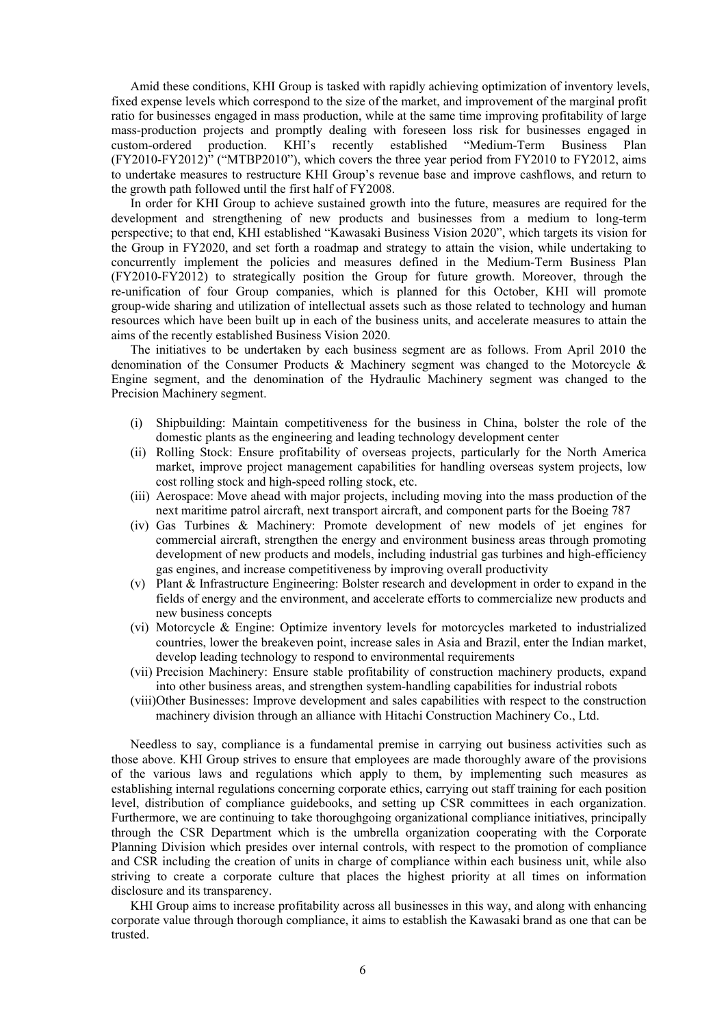Amid these conditions, KHI Group is tasked with rapidly achieving optimization of inventory levels, fixed expense levels which correspond to the size of the market, and improvement of the marginal profit ratio for businesses engaged in mass production, while at the same time improving profitability of large mass-production projects and promptly dealing with foreseen loss risk for businesses engaged in custom-ordered production. KHI's recently established "Medium-Term Business Plan custom-ordered production. KHI's recently established "Medium-Term Business Plan (FY2010-FY2012)" ("MTBP2010"), which covers the three year period from FY2010 to FY2012, aims to undertake measures to restructure KHI Group's revenue base and improve cashflows, and return to the growth path followed until the first half of FY2008.

In order for KHI Group to achieve sustained growth into the future, measures are required for the development and strengthening of new products and businesses from a medium to long-term perspective; to that end, KHI established "Kawasaki Business Vision 2020", which targets its vision for the Group in FY2020, and set forth a roadmap and strategy to attain the vision, while undertaking to concurrently implement the policies and measures defined in the Medium-Term Business Plan (FY2010-FY2012) to strategically position the Group for future growth. Moreover, through the re-unification of four Group companies, which is planned for this October, KHI will promote group-wide sharing and utilization of intellectual assets such as those related to technology and human resources which have been built up in each of the business units, and accelerate measures to attain the aims of the recently established Business Vision 2020.

The initiatives to be undertaken by each business segment are as follows. From April 2010 the denomination of the Consumer Products & Machinery segment was changed to the Motorcycle & Engine segment, and the denomination of the Hydraulic Machinery segment was changed to the Precision Machinery segment.

- (i) Shipbuilding: Maintain competitiveness for the business in China, bolster the role of the domestic plants as the engineering and leading technology development center
- (ii) Rolling Stock: Ensure profitability of overseas projects, particularly for the North America market, improve project management capabilities for handling overseas system projects, low cost rolling stock and high-speed rolling stock, etc.
- (iii) Aerospace: Move ahead with major projects, including moving into the mass production of the next maritime patrol aircraft, next transport aircraft, and component parts for the Boeing 787
- (iv) Gas Turbines & Machinery: Promote development of new models of jet engines for commercial aircraft, strengthen the energy and environment business areas through promoting development of new products and models, including industrial gas turbines and high-efficiency gas engines, and increase competitiveness by improving overall productivity
- (v) Plant & Infrastructure Engineering: Bolster research and development in order to expand in the fields of energy and the environment, and accelerate efforts to commercialize new products and new business concepts
- (vi) Motorcycle & Engine: Optimize inventory levels for motorcycles marketed to industrialized countries, lower the breakeven point, increase sales in Asia and Brazil, enter the Indian market, develop leading technology to respond to environmental requirements
- (vii) Precision Machinery: Ensure stable profitability of construction machinery products, expand into other business areas, and strengthen system-handling capabilities for industrial robots
- (viii)Other Businesses: Improve development and sales capabilities with respect to the construction machinery division through an alliance with Hitachi Construction Machinery Co., Ltd.

Needless to say, compliance is a fundamental premise in carrying out business activities such as those above. KHI Group strives to ensure that employees are made thoroughly aware of the provisions of the various laws and regulations which apply to them, by implementing such measures as establishing internal regulations concerning corporate ethics, carrying out staff training for each position level, distribution of compliance guidebooks, and setting up CSR committees in each organization. Furthermore, we are continuing to take thoroughgoing organizational compliance initiatives, principally through the CSR Department which is the umbrella organization cooperating with the Corporate Planning Division which presides over internal controls, with respect to the promotion of compliance and CSR including the creation of units in charge of compliance within each business unit, while also striving to create a corporate culture that places the highest priority at all times on information disclosure and its transparency.

KHI Group aims to increase profitability across all businesses in this way, and along with enhancing corporate value through thorough compliance, it aims to establish the Kawasaki brand as one that can be trusted.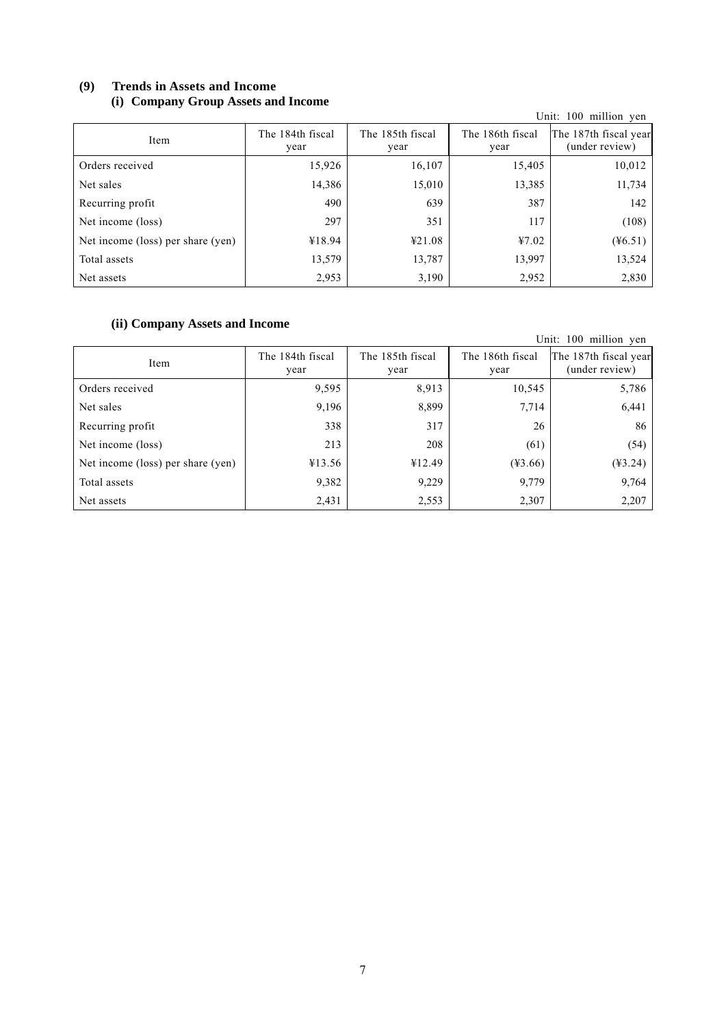## **(9) Trends in Assets and Income (i) Company Group Assets and Income**

| $\sim$<br>$- - - - - - -$         |                          |                          |                          | Unit: 100 million yen                   |
|-----------------------------------|--------------------------|--------------------------|--------------------------|-----------------------------------------|
| Item                              | The 184th fiscal<br>year | The 185th fiscal<br>year | The 186th fiscal<br>year | The 187th fiscal year<br>(under review) |
| Orders received                   | 15,926                   | 16,107                   | 15,405                   | 10,012                                  |
| Net sales                         | 14,386                   | 15,010                   | 13,385                   | 11,734                                  |
| Recurring profit                  | 490                      | 639                      | 387                      | 142                                     |
| Net income (loss)                 | 297                      | 351                      | 117                      | (108)                                   |
| Net income (loss) per share (yen) | ¥18.94                   | 421.08                   | 47.02                    | $(\frac{1}{26.51})$                     |
| Total assets                      | 13,579                   | 13,787                   | 13,997                   | 13,524                                  |
| Net assets                        | 2,953                    | 3,190                    | 2,952                    | 2,830                                   |

## **(ii) Company Assets and Income**

| (II) Company Assets and Income    |                          |                          |                          | Unit: 100 million yen                   |
|-----------------------------------|--------------------------|--------------------------|--------------------------|-----------------------------------------|
| Item                              | The 184th fiscal<br>year | The 185th fiscal<br>year | The 186th fiscal<br>year | The 187th fiscal year<br>(under review) |
| Orders received                   | 9,595                    | 8,913                    | 10,545                   | 5,786                                   |
| Net sales                         | 9,196                    | 8,899                    | 7,714                    | 6,441                                   |
| Recurring profit                  | 338                      | 317                      | 26                       | 86                                      |
| Net income (loss)                 | 213                      | 208                      | (61)                     | (54)                                    |
| Net income (loss) per share (yen) | ¥13.56                   | ¥12.49                   | $(*3.66)$                | $(*3.24)$                               |
| Total assets                      | 9,382                    | 9,229                    | 9,779                    | 9,764                                   |
| Net assets                        | 2,431                    | 2,553                    | 2,307                    | 2,207                                   |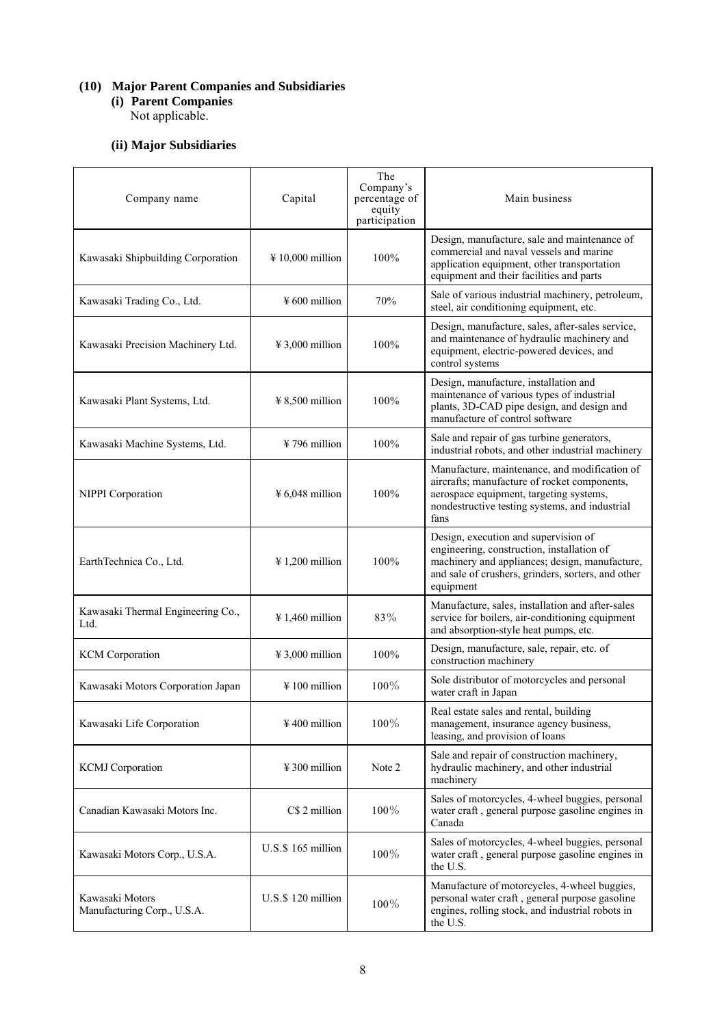### **(10) Major Parent Companies and Subsidiaries**

**(i) Parent Companies**  Not applicable.

## **(ii) Major Subsidiaries**

| Company name                                   | Capital                                  | The<br>Company's<br>percentage of<br>equity<br>participation | Main business                                                                                                                                                                                           |
|------------------------------------------------|------------------------------------------|--------------------------------------------------------------|---------------------------------------------------------------------------------------------------------------------------------------------------------------------------------------------------------|
| Kawasaki Shipbuilding Corporation              | $\text{\#} 10,000$ million               | 100%                                                         | Design, manufacture, sale and maintenance of<br>commercial and naval vessels and marine<br>application equipment, other transportation<br>equipment and their facilities and parts                      |
| Kawasaki Trading Co., Ltd.                     | $\frac{1}{2}600$ million                 | 70%                                                          | Sale of various industrial machinery, petroleum,<br>steel, air conditioning equipment, etc.                                                                                                             |
| Kawasaki Precision Machinery Ltd.              | $\text{\#}3,000$ million                 | 100%                                                         | Design, manufacture, sales, after-sales service,<br>and maintenance of hydraulic machinery and<br>equipment, electric-powered devices, and<br>control systems                                           |
| Kawasaki Plant Systems, Ltd.                   | $\frac{1}{2}$ 8,500 million              | $100\%$                                                      | Design, manufacture, installation and<br>maintenance of various types of industrial<br>plants, 3D-CAD pipe design, and design and<br>manufacture of control software                                    |
| Kawasaki Machine Systems, Ltd.                 | $\frac{1}{2}$ 796 million                | $100\%$                                                      | Sale and repair of gas turbine generators,<br>industrial robots, and other industrial machinery                                                                                                         |
| NIPPI Corporation                              | $46,048$ million                         | 100%                                                         | Manufacture, maintenance, and modification of<br>aircrafts; manufacture of rocket components,<br>aerospace equipment, targeting systems,<br>nondestructive testing systems, and industrial<br>fans      |
| EarthTechnica Co., Ltd.                        | $\frac{1}{200}$ million                  | 100%                                                         | Design, execution and supervision of<br>engineering, construction, installation of<br>machinery and appliances; design, manufacture,<br>and sale of crushers, grinders, sorters, and other<br>equipment |
| Kawasaki Thermal Engineering Co.,<br>Ltd.      | $\text{\#} 1,460$ million                | 83%                                                          | Manufacture, sales, installation and after-sales<br>service for boilers, air-conditioning equipment<br>and absorption-style heat pumps, etc.                                                            |
| <b>KCM</b> Corporation                         | $\textnormal{\texttt{4}}\,3,000$ million | 100%                                                         | Design, manufacture, sale, repair, etc. of<br>construction machinery                                                                                                                                    |
| Kawasaki Motors Corporation Japan              | $\frac{1}{2}$ 100 million                | $100\%$                                                      | Sole distributor of motorcycles and personal<br>water craft in Japan                                                                                                                                    |
| Kawasaki Life Corporation                      | $\frac{1}{2}$ 400 million                | $100\%$                                                      | Real estate sales and rental, building<br>management, insurance agency business,<br>leasing, and provision of loans                                                                                     |
| <b>KCMJ</b> Corporation                        | $\frac{1}{2}$ 300 million                | Note 2                                                       | Sale and repair of construction machinery,<br>hydraulic machinery, and other industrial<br>machinery                                                                                                    |
| Canadian Kawasaki Motors Inc.                  | C\$ 2 million                            | $100\%$                                                      | Sales of motorcycles, 4-wheel buggies, personal<br>water craft, general purpose gasoline engines in<br>Canada                                                                                           |
| Kawasaki Motors Corp., U.S.A.                  | $U.S.\$ \$ 165 million                   | 100%                                                         | Sales of motorcycles, 4-wheel buggies, personal<br>water craft, general purpose gasoline engines in<br>the U.S.                                                                                         |
| Kawasaki Motors<br>Manufacturing Corp., U.S.A. | U.S.\$120 million                        | 100%                                                         | Manufacture of motorcycles, 4-wheel buggies,<br>personal water craft, general purpose gasoline<br>engines, rolling stock, and industrial robots in<br>the U.S.                                          |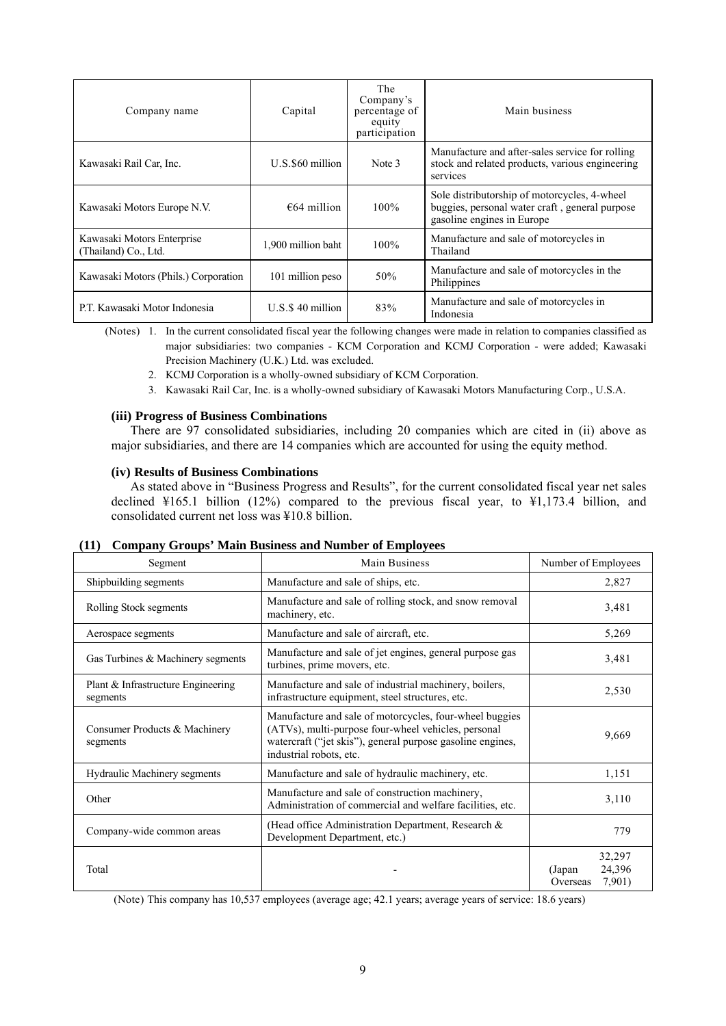| Company name                                       | Capital             | The<br>Company's<br>percentage of<br>equity<br>participation | Main business                                                                                                                |
|----------------------------------------------------|---------------------|--------------------------------------------------------------|------------------------------------------------------------------------------------------------------------------------------|
| Kawasaki Rail Car, Inc.                            | $U.S.$ \$60 million | Note 3                                                       | Manufacture and after-sales service for rolling<br>stock and related products, various engineering<br>services               |
| Kawasaki Motors Europe N.V.                        | $€64$ million       | $100\%$                                                      | Sole distributorship of motorcycles, 4-wheel<br>buggies, personal water craft, general purpose<br>gasoline engines in Europe |
| Kawasaki Motors Enterprise<br>(Thailand) Co., Ltd. | 1,900 million baht  | $100\%$                                                      | Manufacture and sale of motorcycles in<br>Thailand                                                                           |
| Kawasaki Motors (Phils.) Corporation               | 101 million peso    | 50%                                                          | Manufacture and sale of motorcycles in the<br>Philippines                                                                    |
| P.T. Kawasaki Motor Indonesia                      | $U.S.S.40$ million  | 83%                                                          | Manufacture and sale of motorcycles in<br>Indonesia                                                                          |

(Notes) 1. In the current consolidated fiscal year the following changes were made in relation to companies classified as major subsidiaries: two companies - KCM Corporation and KCMJ Corporation - were added; Kawasaki Precision Machinery (U.K.) Ltd. was excluded.

- 2. KCMJ Corporation is a wholly-owned subsidiary of KCM Corporation.
- 3. Kawasaki Rail Car, Inc. is a wholly-owned subsidiary of Kawasaki Motors Manufacturing Corp., U.S.A.

#### **(iii) Progress of Business Combinations**

There are 97 consolidated subsidiaries, including 20 companies which are cited in (ii) above as major subsidiaries, and there are 14 companies which are accounted for using the equity method.

#### **(iv) Results of Business Combinations**

As stated above in "Business Progress and Results", for the current consolidated fiscal year net sales declined ¥165.1 billion (12%) compared to the previous fiscal year, to ¥1,173.4 billion, and consolidated current net loss was ¥10.8 billion.

| Segment                                        | Main Business                                                                                                                                                                                           | Number of Employees                              |
|------------------------------------------------|---------------------------------------------------------------------------------------------------------------------------------------------------------------------------------------------------------|--------------------------------------------------|
| Shipbuilding segments                          | Manufacture and sale of ships, etc.                                                                                                                                                                     | 2,827                                            |
| Rolling Stock segments                         | Manufacture and sale of rolling stock, and snow removal<br>machinery, etc.                                                                                                                              | 3,481                                            |
| Aerospace segments                             | Manufacture and sale of aircraft, etc.                                                                                                                                                                  | 5,269                                            |
| Gas Turbines & Machinery segments              | Manufacture and sale of jet engines, general purpose gas<br>turbines, prime movers, etc.                                                                                                                | 3,481                                            |
| Plant & Infrastructure Engineering<br>segments | Manufacture and sale of industrial machinery, boilers,<br>infrastructure equipment, steel structures, etc.                                                                                              | 2,530                                            |
| Consumer Products & Machinery<br>segments      | Manufacture and sale of motorcycles, four-wheel buggies<br>(ATVs), multi-purpose four-wheel vehicles, personal<br>watercraft ("jet skis"), general purpose gasoline engines,<br>industrial robots, etc. | 9,669                                            |
| Hydraulic Machinery segments                   | Manufacture and sale of hydraulic machinery, etc.                                                                                                                                                       | 1,151                                            |
| Other                                          | Manufacture and sale of construction machinery,<br>Administration of commercial and welfare facilities, etc.                                                                                            | 3,110                                            |
| Company-wide common areas                      | (Head office Administration Department, Research &<br>Development Department, etc.)                                                                                                                     | 779                                              |
| Total                                          |                                                                                                                                                                                                         | 32,297<br>24,396<br>(Japan<br>7,901)<br>Overseas |

#### **(11) Company Groups' Main Business and Number of Employees**

(Note) This company has 10,537 employees (average age; 42.1 years; average years of service: 18.6 years)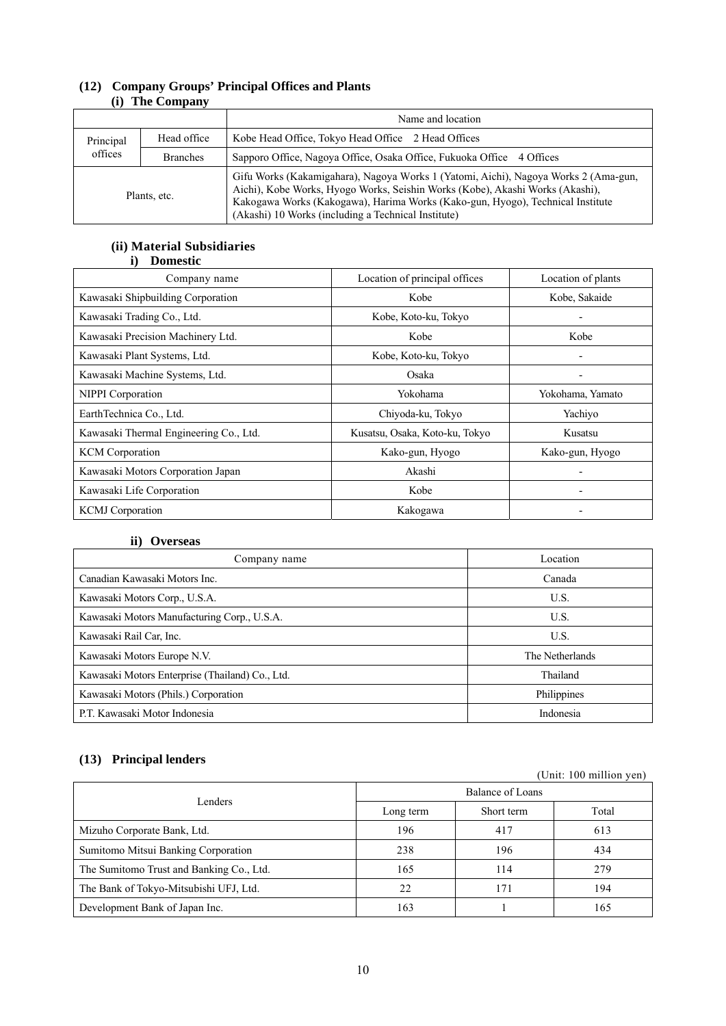|              |                 | Name and location                                                                                                                                                                                                                                                                                             |  |
|--------------|-----------------|---------------------------------------------------------------------------------------------------------------------------------------------------------------------------------------------------------------------------------------------------------------------------------------------------------------|--|
| Principal    | Head office     | Kobe Head Office, Tokyo Head Office 2 Head Offices                                                                                                                                                                                                                                                            |  |
| offices      | <b>Branches</b> | Sapporo Office, Nagova Office, Osaka Office, Fukuoka Office 4 Offices                                                                                                                                                                                                                                         |  |
| Plants, etc. |                 | Gifu Works (Kakamigahara), Nagoya Works 1 (Yatomi, Aichi), Nagoya Works 2 (Ama-gun,<br>Aichi), Kobe Works, Hyogo Works, Seishin Works (Kobe), Akashi Works (Akashi),<br>Kakogawa Works (Kakogawa), Harima Works (Kako-gun, Hyogo), Technical Institute<br>(Akashi) 10 Works (including a Technical Institute) |  |

## **(12) Company Groups' Principal Offices and Plants (i) The Company**

## **(ii) Material Subsidiaries i) Domestic**

| Company name                           | Location of principal offices  | Location of plants |
|----------------------------------------|--------------------------------|--------------------|
| Kawasaki Shipbuilding Corporation      | Kobe                           | Kobe, Sakaide      |
| Kawasaki Trading Co., Ltd.             | Kobe, Koto-ku, Tokyo           |                    |
| Kawasaki Precision Machinery Ltd.      | Kobe                           | Kobe               |
| Kawasaki Plant Systems, Ltd.           | Kobe, Koto-ku, Tokyo           |                    |
| Kawasaki Machine Systems, Ltd.         | Osaka                          |                    |
| NIPPI Corporation                      | Yokohama                       | Yokohama, Yamato   |
| EarthTechnica Co., Ltd.                | Chiyoda-ku, Tokyo              | Yachiyo            |
| Kawasaki Thermal Engineering Co., Ltd. | Kusatsu, Osaka, Koto-ku, Tokyo | Kusatsu            |
| <b>KCM</b> Corporation                 | Kako-gun, Hyogo                | Kako-gun, Hyogo    |
| Kawasaki Motors Corporation Japan      | Akashi                         |                    |
| Kawasaki Life Corporation              | Kobe                           |                    |
| <b>KCMJ</b> Corporation                | Kakogawa                       |                    |

## **ii) Overseas**

| Company name                                    | Location        |  |
|-------------------------------------------------|-----------------|--|
| Canadian Kawasaki Motors Inc.                   | Canada          |  |
| Kawasaki Motors Corp., U.S.A.                   | U.S.            |  |
| Kawasaki Motors Manufacturing Corp., U.S.A.     | U.S.            |  |
| Kawasaki Rail Car, Inc.                         | U.S.            |  |
| Kawasaki Motors Europe N.V.                     | The Netherlands |  |
| Kawasaki Motors Enterprise (Thailand) Co., Ltd. | Thailand        |  |
| Kawasaki Motors (Phils.) Corporation            | Philippines     |  |
| P.T. Kawasaki Motor Indonesia                   | Indonesia       |  |

## **(13) Principal lenders**

| $(20)$ 2.2220 $(20)$                     |                  |            | (Unit: $100$ million yen) |  |
|------------------------------------------|------------------|------------|---------------------------|--|
|                                          | Balance of Loans |            |                           |  |
| Lenders                                  | Long term        | Short term | Total                     |  |
| Mizuho Corporate Bank, Ltd.              | 196              | 417        | 613                       |  |
| Sumitomo Mitsui Banking Corporation      | 238              | 196        | 434                       |  |
| The Sumitomo Trust and Banking Co., Ltd. | 165              | 114        | 279                       |  |
| The Bank of Tokyo-Mitsubishi UFJ, Ltd.   | 22               | 171        | 194                       |  |
| Development Bank of Japan Inc.           | 163              |            | 165                       |  |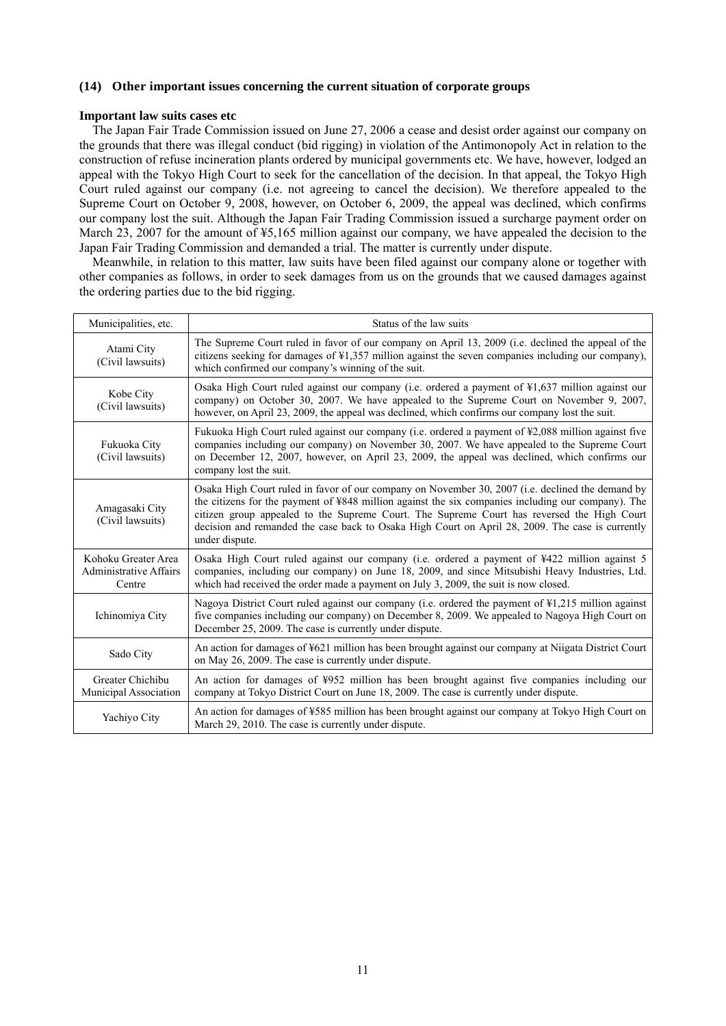## **(14) Other important issues concerning the current situation of corporate groups**

#### **Important law suits cases etc**

The Japan Fair Trade Commission issued on June 27, 2006 a cease and desist order against our company on the grounds that there was illegal conduct (bid rigging) in violation of the Antimonopoly Act in relation to the construction of refuse incineration plants ordered by municipal governments etc. We have, however, lodged an appeal with the Tokyo High Court to seek for the cancellation of the decision. In that appeal, the Tokyo High Court ruled against our company (i.e. not agreeing to cancel the decision). We therefore appealed to the Supreme Court on October 9, 2008, however, on October 6, 2009, the appeal was declined, which confirms our company lost the suit. Although the Japan Fair Trading Commission issued a surcharge payment order on March 23, 2007 for the amount of ¥5,165 million against our company, we have appealed the decision to the Japan Fair Trading Commission and demanded a trial. The matter is currently under dispute.

Meanwhile, in relation to this matter, law suits have been filed against our company alone or together with other companies as follows, in order to seek damages from us on the grounds that we caused damages against the ordering parties due to the bid rigging.

| Municipalities, etc.                                           | Status of the law suits                                                                                                                                                                                                                                                                                                                                                                                                    |
|----------------------------------------------------------------|----------------------------------------------------------------------------------------------------------------------------------------------------------------------------------------------------------------------------------------------------------------------------------------------------------------------------------------------------------------------------------------------------------------------------|
| Atami City<br>(Civil lawsuits)                                 | The Supreme Court ruled in favor of our company on April 13, 2009 (i.e. declined the appeal of the<br>citizens seeking for damages of ¥1,357 million against the seven companies including our company),<br>which confirmed our company's winning of the suit.                                                                                                                                                             |
| Kobe City<br>(Civil lawsuits)                                  | Osaka High Court ruled against our company (i.e. ordered a payment of $\frac{1}{2}$ ,637 million against our<br>company) on October 30, 2007. We have appealed to the Supreme Court on November 9, 2007,<br>however, on April 23, 2009, the appeal was declined, which confirms our company lost the suit.                                                                                                                 |
| Fukuoka City<br>(Civil lawsuits)                               | Fukuoka High Court ruled against our company (i.e. ordered a payment of ¥2,088 million against five<br>companies including our company) on November 30, 2007. We have appealed to the Supreme Court<br>on December 12, 2007, however, on April 23, 2009, the appeal was declined, which confirms our<br>company lost the suit.                                                                                             |
| Amagasaki City<br>(Civil lawsuits)                             | Osaka High Court ruled in favor of our company on November 30, 2007 (i.e. declined the demand by<br>the citizens for the payment of ¥848 million against the six companies including our company). The<br>citizen group appealed to the Supreme Court. The Supreme Court has reversed the High Court<br>decision and remanded the case back to Osaka High Court on April 28, 2009. The case is currently<br>under dispute. |
| Kohoku Greater Area<br><b>Administrative Affairs</b><br>Centre | Osaka High Court ruled against our company (i.e. ordered a payment of ¥422 million against 5<br>companies, including our company) on June 18, 2009, and since Mitsubishi Heavy Industries, Ltd.<br>which had received the order made a payment on July 3, 2009, the suit is now closed.                                                                                                                                    |
| Ichinomiya City                                                | Nagoya District Court ruled against our company (i.e. ordered the payment of $\frac{1}{2}$ , 215 million against<br>five companies including our company) on December 8, 2009. We appealed to Nagoya High Court on<br>December 25, 2009. The case is currently under dispute.                                                                                                                                              |
| Sado City                                                      | An action for damages of ¥621 million has been brought against our company at Niigata District Court<br>on May 26, 2009. The case is currently under dispute.                                                                                                                                                                                                                                                              |
| Greater Chichibu<br>Municipal Association                      | An action for damages of ¥952 million has been brought against five companies including our<br>company at Tokyo District Court on June 18, 2009. The case is currently under dispute.                                                                                                                                                                                                                                      |
| Yachiyo City                                                   | An action for damages of ¥585 million has been brought against our company at Tokyo High Court on<br>March 29, 2010. The case is currently under dispute.                                                                                                                                                                                                                                                                  |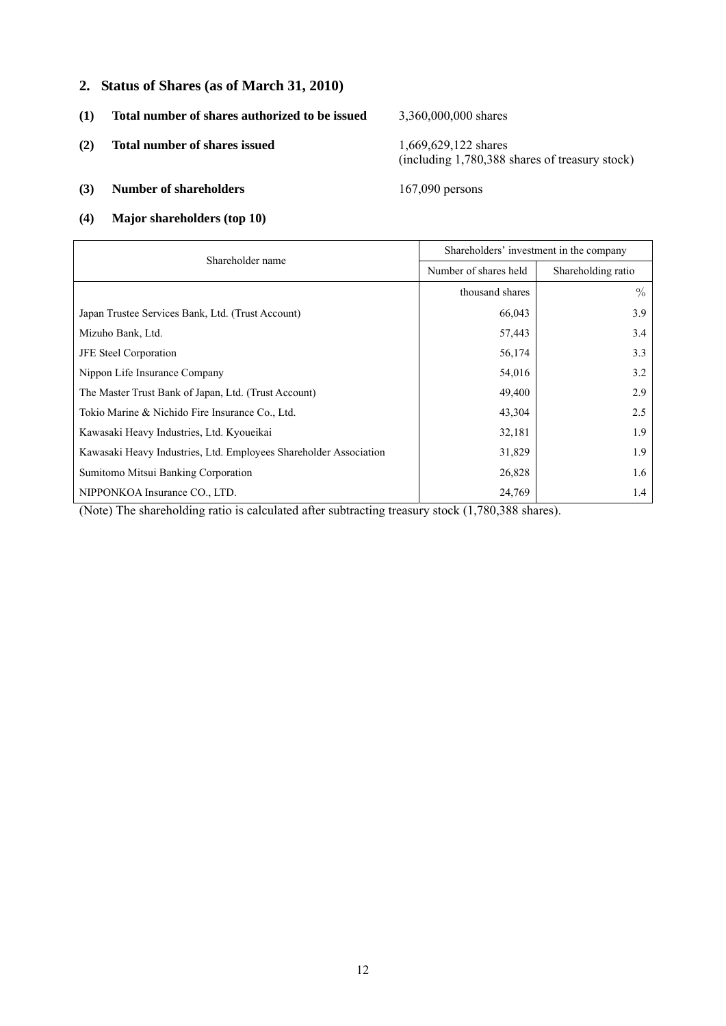## **2. Status of Shares (as of March 31, 2010)**

- **(1) Total number of shares authorized to be issued** 3,360,000,000 shares
- **(2) Total number of shares issued** 1,669,629,122 shares

(including 1,780,388 shares of treasury stock)

## **(3) Number of shareholders** 167,090 persons

**(4) Major shareholders (top 10)** 

| Shareholder name                                                  | Shareholders' investment in the company |                    |  |
|-------------------------------------------------------------------|-----------------------------------------|--------------------|--|
|                                                                   | Number of shares held                   | Shareholding ratio |  |
|                                                                   | thousand shares                         | $\%$               |  |
| Japan Trustee Services Bank, Ltd. (Trust Account)                 | 66,043                                  | 3.9                |  |
| Mizuho Bank, Ltd.                                                 | 57,443                                  | 3.4                |  |
| <b>JFE</b> Steel Corporation                                      | 56,174                                  | 3.3                |  |
| Nippon Life Insurance Company                                     | 54,016                                  | 3.2                |  |
| The Master Trust Bank of Japan, Ltd. (Trust Account)              | 49,400                                  | 2.9                |  |
| Tokio Marine & Nichido Fire Insurance Co., Ltd.                   | 43,304                                  | 2.5                |  |
| Kawasaki Heavy Industries, Ltd. Kyoueikai                         | 32,181                                  | 1.9                |  |
| Kawasaki Heavy Industries, Ltd. Employees Shareholder Association | 31,829                                  | 1.9                |  |
| Sumitomo Mitsui Banking Corporation                               | 26,828                                  | 1.6                |  |
| NIPPONKOA Insurance CO., LTD.                                     | 24,769                                  | 1.4                |  |

(Note) The shareholding ratio is calculated after subtracting treasury stock (1,780,388 shares).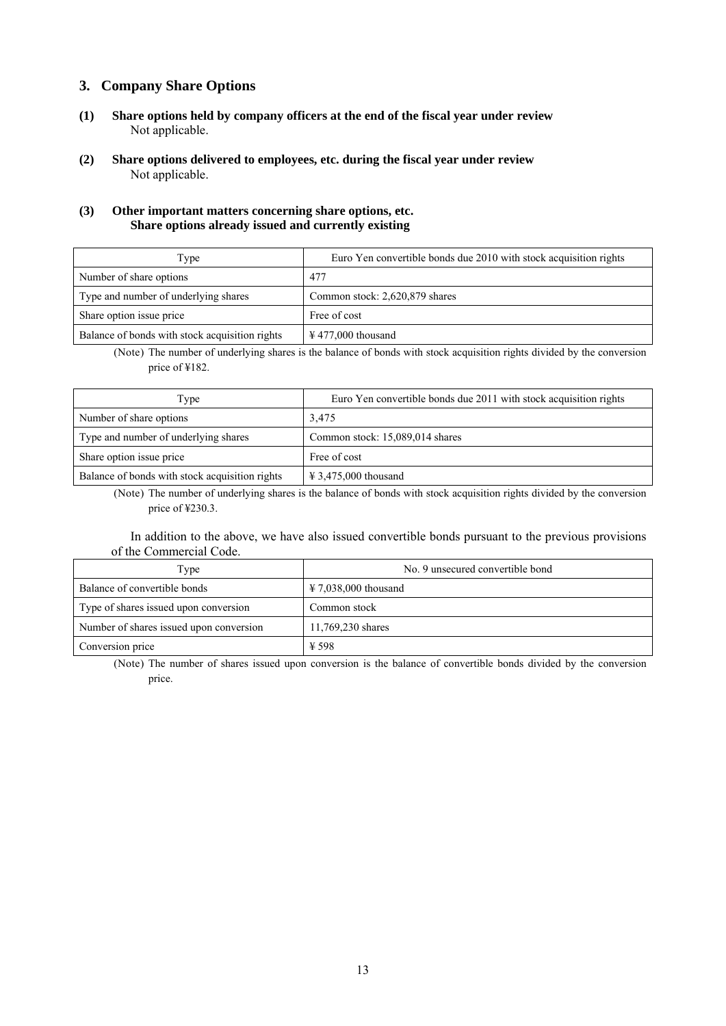## **3. Company Share Options**

- **(1) Share options held by company officers at the end of the fiscal year under review** Not applicable.
- **(2) Share options delivered to employees, etc. during the fiscal year under review** Not applicable.

### **(3) Other important matters concerning share options, etc. Share options already issued and currently existing**

| Type                                           | Euro Yen convertible bonds due 2010 with stock acquisition rights |  |  |
|------------------------------------------------|-------------------------------------------------------------------|--|--|
| Number of share options                        | 477                                                               |  |  |
| Type and number of underlying shares           | Common stock: 2,620,879 shares                                    |  |  |
| Share option issue price                       | Free of cost                                                      |  |  |
| Balance of bonds with stock acquisition rights | $\text{\textsterling}$ 477,000 thousand                           |  |  |

(Note) The number of underlying shares is the balance of bonds with stock acquisition rights divided by the conversion price of ¥182.

| Type                                           | Euro Yen convertible bonds due 2011 with stock acquisition rights |  |  |
|------------------------------------------------|-------------------------------------------------------------------|--|--|
| Number of share options                        | 3,475                                                             |  |  |
| Type and number of underlying shares           | Common stock: 15,089,014 shares                                   |  |  |
| Share option issue price                       | Free of cost                                                      |  |  |
| Balance of bonds with stock acquisition rights | $\text{\textsterling} 3,475,000$ thousand                         |  |  |

(Note) The number of underlying shares is the balance of bonds with stock acquisition rights divided by the conversion price of ¥230.3.

In addition to the above, we have also issued convertible bonds pursuant to the previous provisions of the Commercial Code.

| Type                                    | No. 9 unsecured convertible bond          |  |  |
|-----------------------------------------|-------------------------------------------|--|--|
| Balance of convertible bonds            | $\text{\textsterling} 7.038,000$ thousand |  |  |
| Type of shares issued upon conversion   | Common stock                              |  |  |
| Number of shares issued upon conversion | 11,769,230 shares                         |  |  |
| Conversion price                        | ¥ 598                                     |  |  |

(Note) The number of shares issued upon conversion is the balance of convertible bonds divided by the conversion price.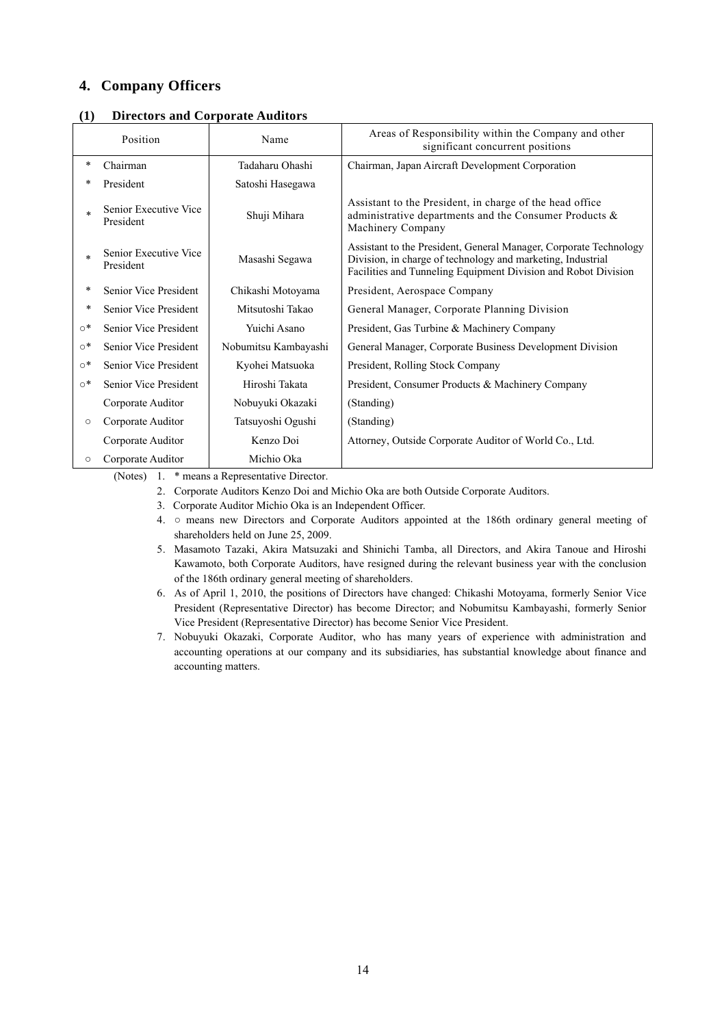## **4. Company Officers**

| (         | Position                           | n celors and Corporate requirers<br>Name | Areas of Responsibility within the Company and other<br>significant concurrent positions                                                                                                           |
|-----------|------------------------------------|------------------------------------------|----------------------------------------------------------------------------------------------------------------------------------------------------------------------------------------------------|
| $\ast$    | Chairman                           | Tadaharu Ohashi                          | Chairman, Japan Aircraft Development Corporation                                                                                                                                                   |
|           | President                          | Satoshi Hasegawa                         |                                                                                                                                                                                                    |
|           | Senior Executive Vice<br>President | Shuji Mihara                             | Assistant to the President, in charge of the head office<br>administrative departments and the Consumer Products &<br>Machinery Company                                                            |
|           | Senior Executive Vice<br>President | Masashi Segawa                           | Assistant to the President, General Manager, Corporate Technology<br>Division, in charge of technology and marketing, Industrial<br>Facilities and Tunneling Equipment Division and Robot Division |
| *         | Senior Vice President              | Chikashi Motoyama                        | President, Aerospace Company                                                                                                                                                                       |
| $\ast$    | Senior Vice President              | Mitsutoshi Takao                         | General Manager, Corporate Planning Division                                                                                                                                                       |
| $\circ^*$ | Senior Vice President              | Yuichi Asano                             | President, Gas Turbine & Machinery Company                                                                                                                                                         |
| $\circ^*$ | Senior Vice President              | Nobumitsu Kambayashi                     | General Manager, Corporate Business Development Division                                                                                                                                           |
| $\circ^*$ | Senior Vice President              | Kyohei Matsuoka                          | President, Rolling Stock Company                                                                                                                                                                   |
| $\circ^*$ | Senior Vice President              | Hiroshi Takata                           | President, Consumer Products & Machinery Company                                                                                                                                                   |
|           | Corporate Auditor                  | Nobuyuki Okazaki                         | (Standing)                                                                                                                                                                                         |
| $\circ$   | Corporate Auditor                  | Tatsuyoshi Ogushi                        | (Standing)                                                                                                                                                                                         |
|           | Corporate Auditor                  | Kenzo Doi                                | Attorney, Outside Corporate Auditor of World Co., Ltd.                                                                                                                                             |
| O         | Corporate Auditor                  | Michio Oka                               |                                                                                                                                                                                                    |

### **(1) Directors and Corporate Auditors**

(Notes) 1. \* means a Representative Director.

2. Corporate Auditors Kenzo Doi and Michio Oka are both Outside Corporate Auditors.

3. Corporate Auditor Michio Oka is an Independent Officer.

4. ○ means new Directors and Corporate Auditors appointed at the 186th ordinary general meeting of shareholders held on June 25, 2009.

5. Masamoto Tazaki, Akira Matsuzaki and Shinichi Tamba, all Directors, and Akira Tanoue and Hiroshi Kawamoto, both Corporate Auditors, have resigned during the relevant business year with the conclusion of the 186th ordinary general meeting of shareholders.

6. As of April 1, 2010, the positions of Directors have changed: Chikashi Motoyama, formerly Senior Vice President (Representative Director) has become Director; and Nobumitsu Kambayashi, formerly Senior Vice President (Representative Director) has become Senior Vice President.

7. Nobuyuki Okazaki, Corporate Auditor, who has many years of experience with administration and accounting operations at our company and its subsidiaries, has substantial knowledge about finance and accounting matters.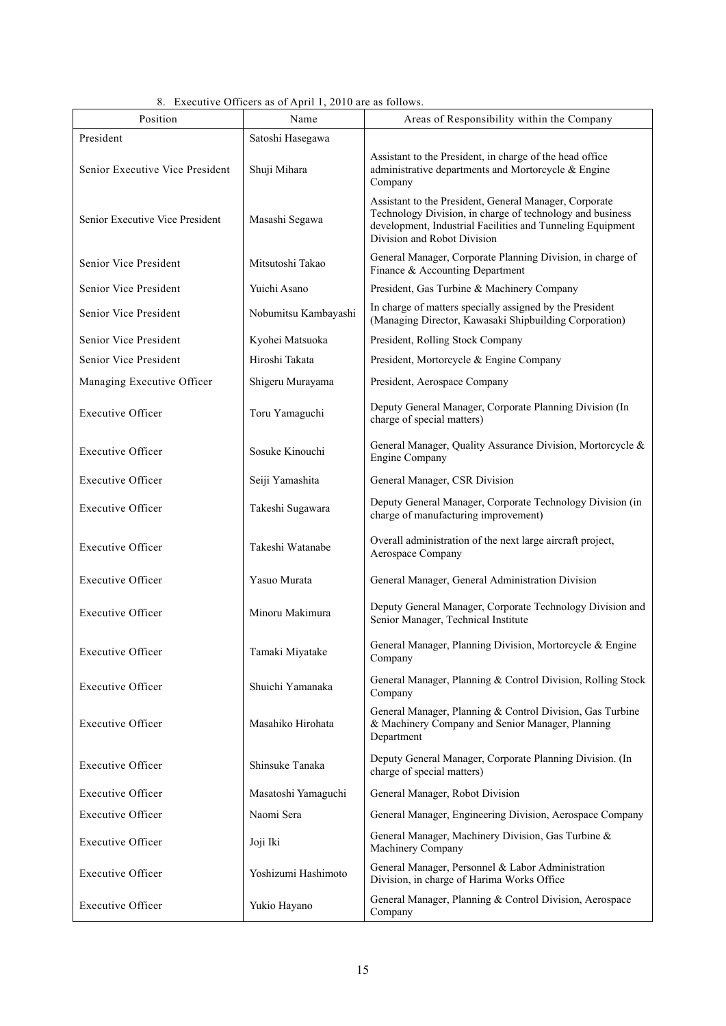| 8. Executive Officers as of April 1, 2010 are as follows. |
|-----------------------------------------------------------|
|-----------------------------------------------------------|

| Position                                      | Name                 | Areas of Responsibility within the Company                                                                                                                                                                       |  |
|-----------------------------------------------|----------------------|------------------------------------------------------------------------------------------------------------------------------------------------------------------------------------------------------------------|--|
| President                                     | Satoshi Hasegawa     |                                                                                                                                                                                                                  |  |
| Senior Executive Vice President               | Shuji Mihara         | Assistant to the President, in charge of the head office<br>administrative departments and Mortorcycle & Engine<br>Company                                                                                       |  |
| Senior Executive Vice President               | Masashi Segawa       | Assistant to the President, General Manager, Corporate<br>Technology Division, in charge of technology and business<br>development, Industrial Facilities and Tunneling Equipment<br>Division and Robot Division |  |
| Senior Vice President                         | Mitsutoshi Takao     | General Manager, Corporate Planning Division, in charge of<br>Finance & Accounting Department                                                                                                                    |  |
| Senior Vice President                         | Yuichi Asano         | President, Gas Turbine & Machinery Company                                                                                                                                                                       |  |
| Senior Vice President                         | Nobumitsu Kambayashi | In charge of matters specially assigned by the President<br>(Managing Director, Kawasaki Shipbuilding Corporation)                                                                                               |  |
| Senior Vice President                         | Kyohei Matsuoka      | President, Rolling Stock Company                                                                                                                                                                                 |  |
| Senior Vice President                         | Hiroshi Takata       | President, Mortorcycle & Engine Company                                                                                                                                                                          |  |
| Managing Executive Officer                    | Shigeru Murayama     | President, Aerospace Company                                                                                                                                                                                     |  |
| <b>Executive Officer</b>                      | Toru Yamaguchi       | Deputy General Manager, Corporate Planning Division (In<br>charge of special matters)                                                                                                                            |  |
| <b>Executive Officer</b>                      | Sosuke Kinouchi      | General Manager, Quality Assurance Division, Mortorcycle &<br><b>Engine Company</b>                                                                                                                              |  |
| <b>Executive Officer</b>                      | Seiji Yamashita      | General Manager, CSR Division                                                                                                                                                                                    |  |
| <b>Executive Officer</b>                      | Takeshi Sugawara     | Deputy General Manager, Corporate Technology Division (in<br>charge of manufacturing improvement)                                                                                                                |  |
| <b>Executive Officer</b>                      | Takeshi Watanabe     | Overall administration of the next large aircraft project,<br>Aerospace Company                                                                                                                                  |  |
| <b>Executive Officer</b>                      | Yasuo Murata         | General Manager, General Administration Division                                                                                                                                                                 |  |
| <b>Executive Officer</b>                      | Minoru Makimura      | Deputy General Manager, Corporate Technology Division and<br>Senior Manager, Technical Institute                                                                                                                 |  |
| <b>Executive Officer</b>                      | Tamaki Miyatake      | General Manager, Planning Division, Mortorcycle & Engine<br>Company                                                                                                                                              |  |
| <b>Executive Officer</b>                      | Shuichi Yamanaka     | General Manager, Planning & Control Division, Rolling Stock<br>Company                                                                                                                                           |  |
| <b>Executive Officer</b><br>Masahiko Hirohata |                      | General Manager, Planning & Control Division, Gas Turbine<br>& Machinery Company and Senior Manager, Planning<br>Department                                                                                      |  |
| <b>Executive Officer</b>                      | Shinsuke Tanaka      | Deputy General Manager, Corporate Planning Division. (In<br>charge of special matters)                                                                                                                           |  |
| <b>Executive Officer</b>                      | Masatoshi Yamaguchi  | General Manager, Robot Division                                                                                                                                                                                  |  |
| <b>Executive Officer</b>                      | Naomi Sera           | General Manager, Engineering Division, Aerospace Company                                                                                                                                                         |  |
| <b>Executive Officer</b>                      | Joji Iki             | General Manager, Machinery Division, Gas Turbine &<br>Machinery Company                                                                                                                                          |  |
| <b>Executive Officer</b>                      | Yoshizumi Hashimoto  | General Manager, Personnel & Labor Administration<br>Division, in charge of Harima Works Office                                                                                                                  |  |
| <b>Executive Officer</b>                      | Yukio Hayano         | General Manager, Planning & Control Division, Aerospace<br>Company                                                                                                                                               |  |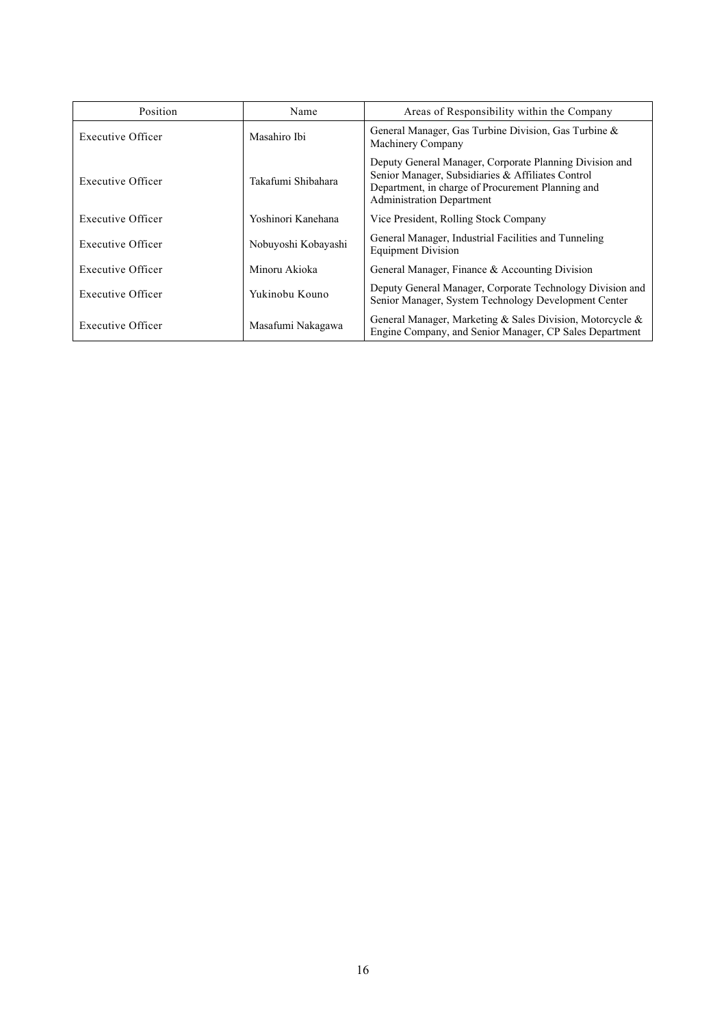| Position          | Name                | Areas of Responsibility within the Company                                                                                                                                                            |  |
|-------------------|---------------------|-------------------------------------------------------------------------------------------------------------------------------------------------------------------------------------------------------|--|
| Executive Officer | Masahiro Ibi        | General Manager, Gas Turbine Division, Gas Turbine &<br>Machinery Company                                                                                                                             |  |
| Executive Officer | Takafumi Shibahara  | Deputy General Manager, Corporate Planning Division and<br>Senior Manager, Subsidiaries & Affiliates Control<br>Department, in charge of Procurement Planning and<br><b>Administration Department</b> |  |
| Executive Officer | Yoshinori Kanehana  | Vice President, Rolling Stock Company                                                                                                                                                                 |  |
| Executive Officer | Nobuyoshi Kobayashi | General Manager, Industrial Facilities and Tunneling<br><b>Equipment Division</b>                                                                                                                     |  |
| Executive Officer | Minoru Akioka       | General Manager, Finance & Accounting Division                                                                                                                                                        |  |
| Executive Officer | Yukinobu Kouno      | Deputy General Manager, Corporate Technology Division and<br>Senior Manager, System Technology Development Center                                                                                     |  |
| Executive Officer | Masafumi Nakagawa   | General Manager, Marketing & Sales Division, Motorcycle &<br>Engine Company, and Senior Manager, CP Sales Department                                                                                  |  |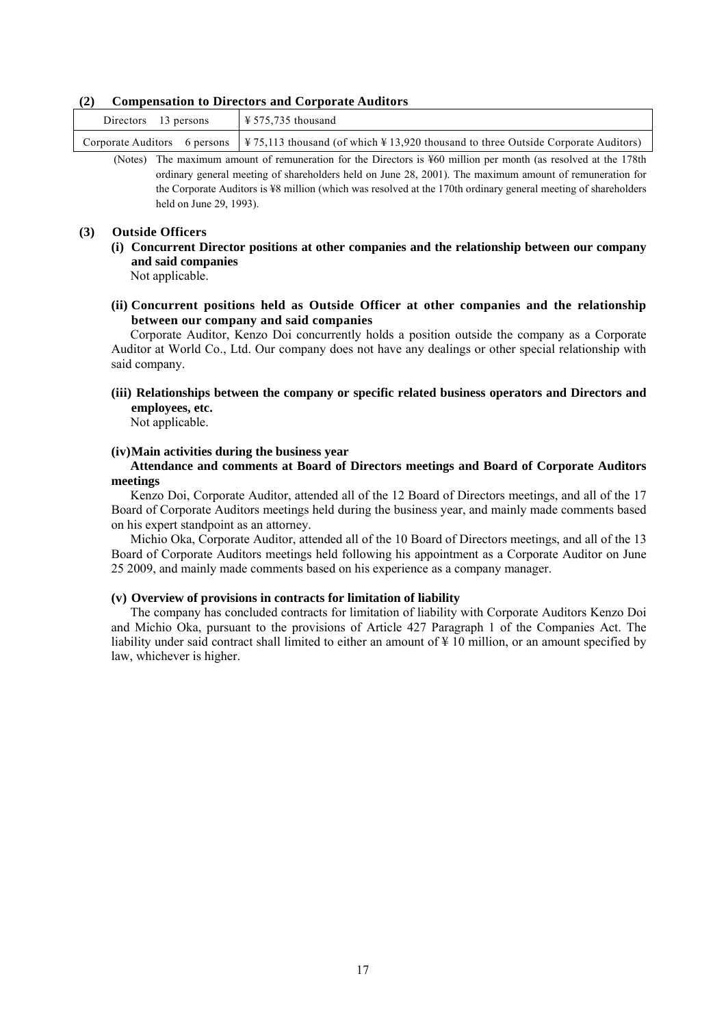#### **(2) Compensation to Directors and Corporate Auditors**

| Directors 13 persons |                                                                                                                                                                                    |
|----------------------|------------------------------------------------------------------------------------------------------------------------------------------------------------------------------------|
|                      | Corporate Auditors 6 persons   $\frac{1275,113 \text{ thousand (of which } \frac{123,920 \text{ thousand to three Outside Corporate Address})}{200,100 \text{ thousand to the 2}}$ |

(Notes) The maximum amount of remuneration for the Directors is ¥60 million per month (as resolved at the 178th ordinary general meeting of shareholders held on June 28, 2001). The maximum amount of remuneration for the Corporate Auditors is ¥8 million (which was resolved at the 170th ordinary general meeting of shareholders held on June 29, 1993).

#### **(3) Outside Officers**

**(i) Concurrent Director positions at other companies and the relationship between our company and said companies** 

Not applicable.

**(ii) Concurrent positions held as Outside Officer at other companies and the relationship between our company and said companies** 

Corporate Auditor, Kenzo Doi concurrently holds a position outside the company as a Corporate Auditor at World Co., Ltd. Our company does not have any dealings or other special relationship with said company.

**(iii) Relationships between the company or specific related business operators and Directors and employees, etc.** 

Not applicable.

#### **(iv) Main activities during the business year**

#### **Attendance and comments at Board of Directors meetings and Board of Corporate Auditors meetings**

Kenzo Doi, Corporate Auditor, attended all of the 12 Board of Directors meetings, and all of the 17 Board of Corporate Auditors meetings held during the business year, and mainly made comments based on his expert standpoint as an attorney.

Michio Oka, Corporate Auditor, attended all of the 10 Board of Directors meetings, and all of the 13 Board of Corporate Auditors meetings held following his appointment as a Corporate Auditor on June 25 2009, and mainly made comments based on his experience as a company manager.

### **(v) Overview of provisions in contracts for limitation of liability**

The company has concluded contracts for limitation of liability with Corporate Auditors Kenzo Doi and Michio Oka, pursuant to the provisions of Article 427 Paragraph 1 of the Companies Act. The liability under said contract shall limited to either an amount of ¥ 10 million, or an amount specified by law, whichever is higher.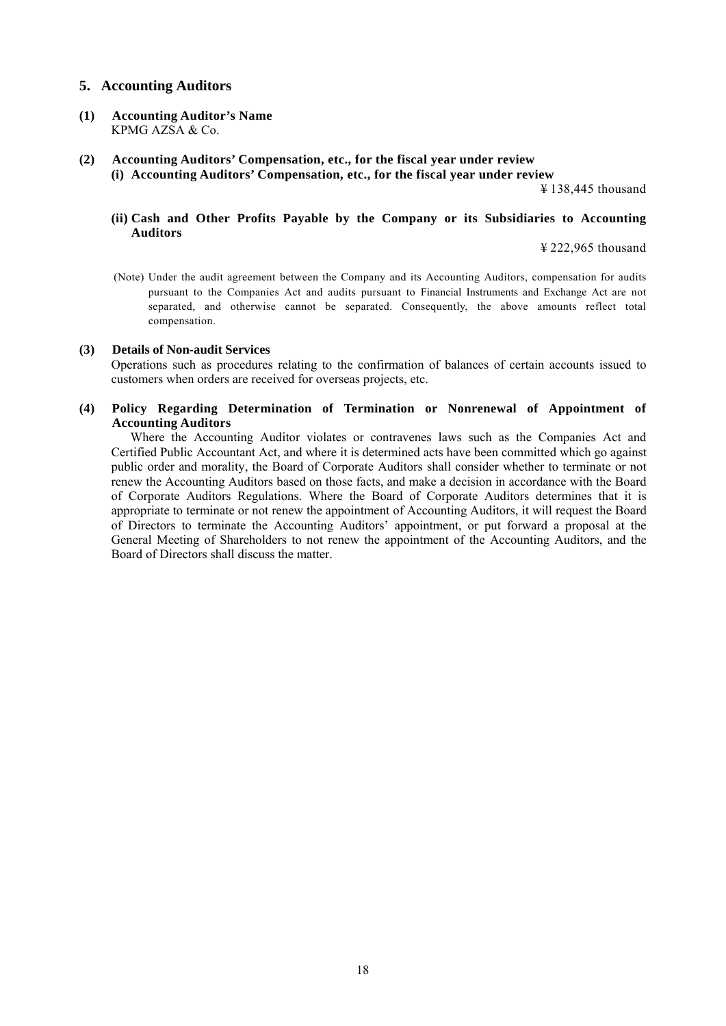## **5. Accounting Auditors**

- **(1) Accounting Auditor's Name**  KPMG AZSA & Co.
- **(2) Accounting Auditors' Compensation, etc., for the fiscal year under review (i) Accounting Auditors' Compensation, etc., for the fiscal year under review**

¥ 138,445 thousand

### **(ii) Cash and Other Profits Payable by the Company or its Subsidiaries to Accounting Auditors**

¥ 222,965 thousand

(Note) Under the audit agreement between the Company and its Accounting Auditors, compensation for audits pursuant to the Companies Act and audits pursuant to Financial Instruments and Exchange Act are not separated, and otherwise cannot be separated. Consequently, the above amounts reflect total compensation.

#### **(3) Details of Non-audit Services**

Operations such as procedures relating to the confirmation of balances of certain accounts issued to customers when orders are received for overseas projects, etc.

## **(4) Policy Regarding Determination of Termination or Nonrenewal of Appointment of Accounting Auditors**

Where the Accounting Auditor violates or contravenes laws such as the Companies Act and Certified Public Accountant Act, and where it is determined acts have been committed which go against public order and morality, the Board of Corporate Auditors shall consider whether to terminate or not renew the Accounting Auditors based on those facts, and make a decision in accordance with the Board of Corporate Auditors Regulations. Where the Board of Corporate Auditors determines that it is appropriate to terminate or not renew the appointment of Accounting Auditors, it will request the Board of Directors to terminate the Accounting Auditors' appointment, or put forward a proposal at the General Meeting of Shareholders to not renew the appointment of the Accounting Auditors, and the Board of Directors shall discuss the matter.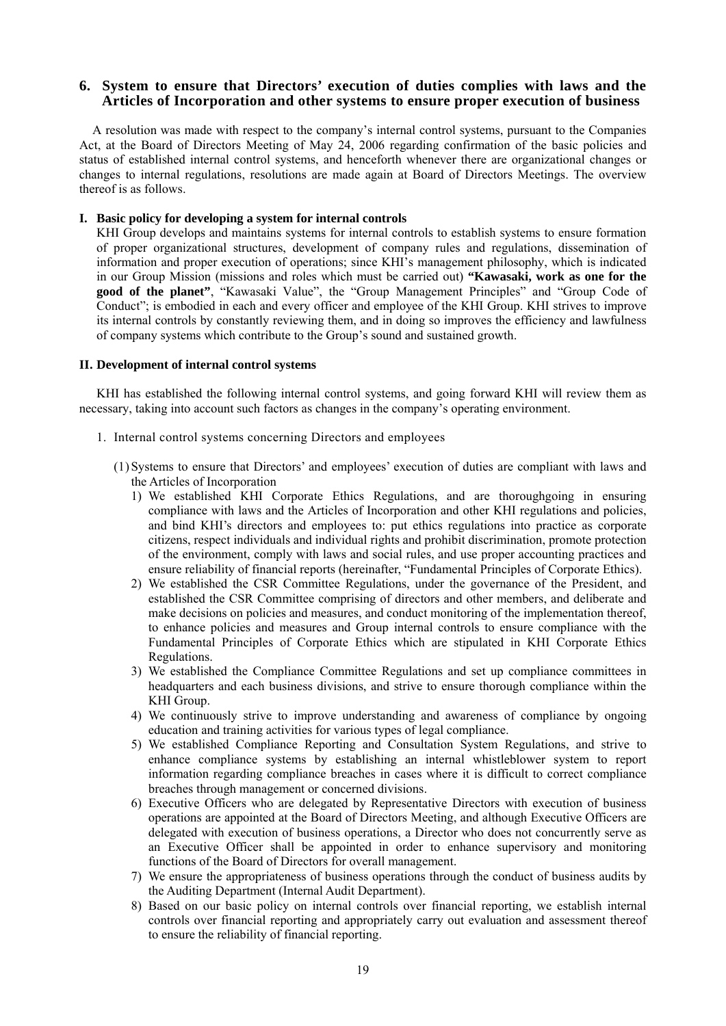## **6. System to ensure that Directors' execution of duties complies with laws and the Articles of Incorporation and other systems to ensure proper execution of business**

A resolution was made with respect to the company's internal control systems, pursuant to the Companies Act, at the Board of Directors Meeting of May 24, 2006 regarding confirmation of the basic policies and status of established internal control systems, and henceforth whenever there are organizational changes or changes to internal regulations, resolutions are made again at Board of Directors Meetings. The overview thereof is as follows.

#### **I. Basic policy for developing a system for internal controls**

KHI Group develops and maintains systems for internal controls to establish systems to ensure formation of proper organizational structures, development of company rules and regulations, dissemination of information and proper execution of operations; since KHI's management philosophy, which is indicated in our Group Mission (missions and roles which must be carried out) **"Kawasaki, work as one for the good of the planet"**, "Kawasaki Value", the "Group Management Principles" and "Group Code of Conduct"; is embodied in each and every officer and employee of the KHI Group. KHI strives to improve its internal controls by constantly reviewing them, and in doing so improves the efficiency and lawfulness of company systems which contribute to the Group's sound and sustained growth.

#### **II. Development of internal control systems**

KHI has established the following internal control systems, and going forward KHI will review them as necessary, taking into account such factors as changes in the company's operating environment.

- 1. Internal control systems concerning Directors and employees
	- (1) Systems to ensure that Directors' and employees' execution of duties are compliant with laws and the Articles of Incorporation
		- 1) We established KHI Corporate Ethics Regulations, and are thoroughgoing in ensuring compliance with laws and the Articles of Incorporation and other KHI regulations and policies, and bind KHI's directors and employees to: put ethics regulations into practice as corporate citizens, respect individuals and individual rights and prohibit discrimination, promote protection of the environment, comply with laws and social rules, and use proper accounting practices and ensure reliability of financial reports (hereinafter, "Fundamental Principles of Corporate Ethics).
		- 2) We established the CSR Committee Regulations, under the governance of the President, and established the CSR Committee comprising of directors and other members, and deliberate and make decisions on policies and measures, and conduct monitoring of the implementation thereof, to enhance policies and measures and Group internal controls to ensure compliance with the Fundamental Principles of Corporate Ethics which are stipulated in KHI Corporate Ethics Regulations.
		- 3) We established the Compliance Committee Regulations and set up compliance committees in headquarters and each business divisions, and strive to ensure thorough compliance within the KHI Group.
		- 4) We continuously strive to improve understanding and awareness of compliance by ongoing education and training activities for various types of legal compliance.
		- 5) We established Compliance Reporting and Consultation System Regulations, and strive to enhance compliance systems by establishing an internal whistleblower system to report information regarding compliance breaches in cases where it is difficult to correct compliance breaches through management or concerned divisions.
		- 6) Executive Officers who are delegated by Representative Directors with execution of business operations are appointed at the Board of Directors Meeting, and although Executive Officers are delegated with execution of business operations, a Director who does not concurrently serve as an Executive Officer shall be appointed in order to enhance supervisory and monitoring functions of the Board of Directors for overall management.
		- 7) We ensure the appropriateness of business operations through the conduct of business audits by the Auditing Department (Internal Audit Department).
		- 8) Based on our basic policy on internal controls over financial reporting, we establish internal controls over financial reporting and appropriately carry out evaluation and assessment thereof to ensure the reliability of financial reporting.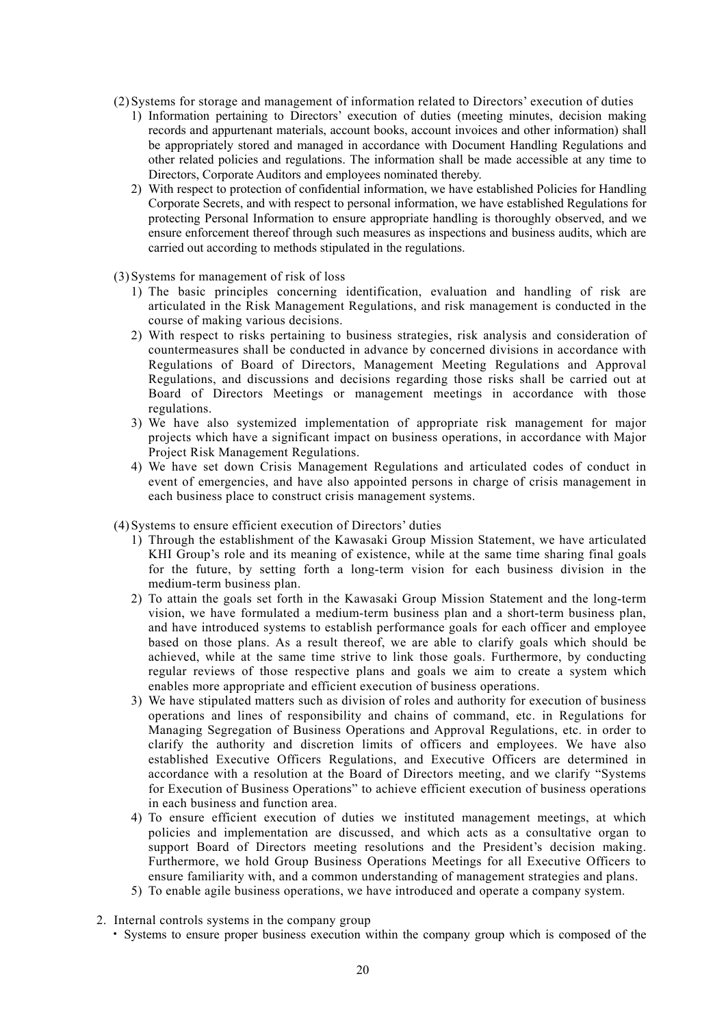- (2) Systems for storage and management of information related to Directors' execution of duties
	- 1) Information pertaining to Directors' execution of duties (meeting minutes, decision making records and appurtenant materials, account books, account invoices and other information) shall be appropriately stored and managed in accordance with Document Handling Regulations and other related policies and regulations. The information shall be made accessible at any time to Directors, Corporate Auditors and employees nominated thereby.
	- 2) With respect to protection of confidential information, we have established Policies for Handling Corporate Secrets, and with respect to personal information, we have established Regulations for protecting Personal Information to ensure appropriate handling is thoroughly observed, and we ensure enforcement thereof through such measures as inspections and business audits, which are carried out according to methods stipulated in the regulations.
- (3) Systems for management of risk of loss
	- 1) The basic principles concerning identification, evaluation and handling of risk are articulated in the Risk Management Regulations, and risk management is conducted in the course of making various decisions.
	- 2) With respect to risks pertaining to business strategies, risk analysis and consideration of countermeasures shall be conducted in advance by concerned divisions in accordance with Regulations of Board of Directors, Management Meeting Regulations and Approval Regulations, and discussions and decisions regarding those risks shall be carried out at Board of Directors Meetings or management meetings in accordance with those regulations.
	- 3) We have also systemized implementation of appropriate risk management for major projects which have a significant impact on business operations, in accordance with Major Project Risk Management Regulations.
	- 4) We have set down Crisis Management Regulations and articulated codes of conduct in event of emergencies, and have also appointed persons in charge of crisis management in each business place to construct crisis management systems.
- (4) Systems to ensure efficient execution of Directors' duties
	- 1) Through the establishment of the Kawasaki Group Mission Statement, we have articulated KHI Group's role and its meaning of existence, while at the same time sharing final goals for the future, by setting forth a long-term vision for each business division in the medium-term business plan.
	- 2) To attain the goals set forth in the Kawasaki Group Mission Statement and the long-term vision, we have formulated a medium-term business plan and a short-term business plan, and have introduced systems to establish performance goals for each officer and employee based on those plans. As a result thereof, we are able to clarify goals which should be achieved, while at the same time strive to link those goals. Furthermore, by conducting regular reviews of those respective plans and goals we aim to create a system which enables more appropriate and efficient execution of business operations.
	- 3) We have stipulated matters such as division of roles and authority for execution of business operations and lines of responsibility and chains of command, etc. in Regulations for Managing Segregation of Business Operations and Approval Regulations, etc. in order to clarify the authority and discretion limits of officers and employees. We have also established Executive Officers Regulations, and Executive Officers are determined in accordance with a resolution at the Board of Directors meeting, and we clarify "Systems for Execution of Business Operations" to achieve efficient execution of business operations in each business and function area.
	- 4) To ensure efficient execution of duties we instituted management meetings, at which policies and implementation are discussed, and which acts as a consultative organ to support Board of Directors meeting resolutions and the President's decision making. Furthermore, we hold Group Business Operations Meetings for all Executive Officers to ensure familiarity with, and a common understanding of management strategies and plans.
	- 5) To enable agile business operations, we have introduced and operate a company system.
- 2. Internal controls systems in the company group
	- Systems to ensure proper business execution within the company group which is composed of the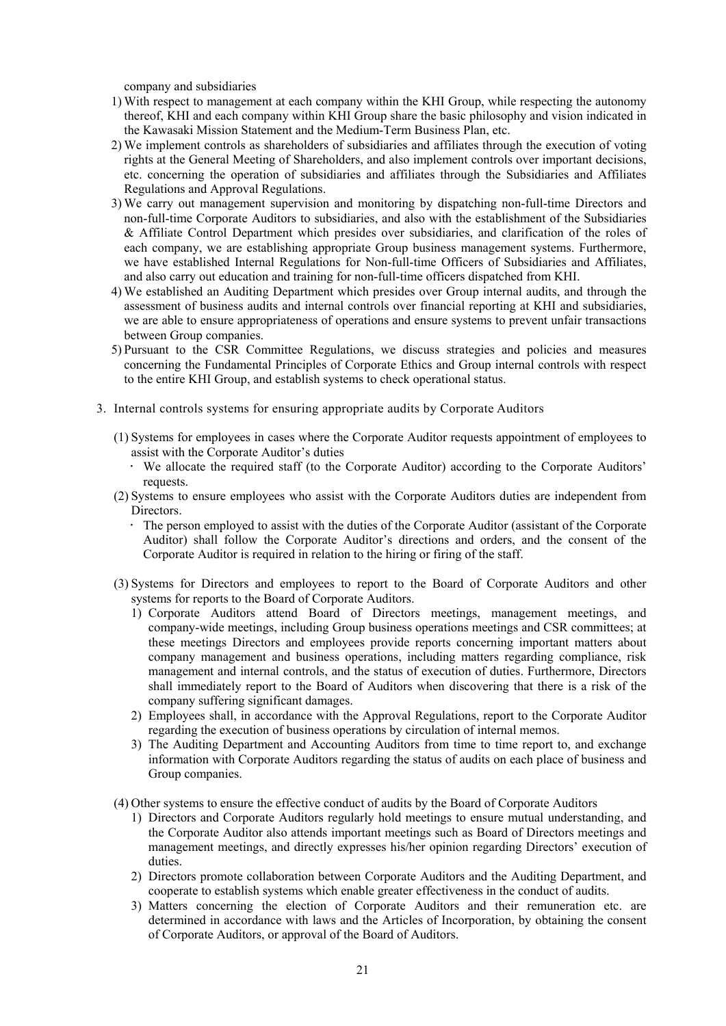company and subsidiaries

- 1) With respect to management at each company within the KHI Group, while respecting the autonomy thereof, KHI and each company within KHI Group share the basic philosophy and vision indicated in the Kawasaki Mission Statement and the Medium-Term Business Plan, etc.
- 2) We implement controls as shareholders of subsidiaries and affiliates through the execution of voting rights at the General Meeting of Shareholders, and also implement controls over important decisions, etc. concerning the operation of subsidiaries and affiliates through the Subsidiaries and Affiliates Regulations and Approval Regulations.
- 3) We carry out management supervision and monitoring by dispatching non-full-time Directors and non-full-time Corporate Auditors to subsidiaries, and also with the establishment of the Subsidiaries & Affiliate Control Department which presides over subsidiaries, and clarification of the roles of each company, we are establishing appropriate Group business management systems. Furthermore, we have established Internal Regulations for Non-full-time Officers of Subsidiaries and Affiliates, and also carry out education and training for non-full-time officers dispatched from KHI.
- 4) We established an Auditing Department which presides over Group internal audits, and through the assessment of business audits and internal controls over financial reporting at KHI and subsidiaries, we are able to ensure appropriateness of operations and ensure systems to prevent unfair transactions between Group companies.
- 5) Pursuant to the CSR Committee Regulations, we discuss strategies and policies and measures concerning the Fundamental Principles of Corporate Ethics and Group internal controls with respect to the entire KHI Group, and establish systems to check operational status.
- 3. Internal controls systems for ensuring appropriate audits by Corporate Auditors
	- (1) Systems for employees in cases where the Corporate Auditor requests appointment of employees to assist with the Corporate Auditor's duties
		- We allocate the required staff (to the Corporate Auditor) according to the Corporate Auditors' requests.
	- (2) Systems to ensure employees who assist with the Corporate Auditors duties are independent from Directors.
		- The person employed to assist with the duties of the Corporate Auditor (assistant of the Corporate Auditor) shall follow the Corporate Auditor's directions and orders, and the consent of the Corporate Auditor is required in relation to the hiring or firing of the staff.
	- (3) Systems for Directors and employees to report to the Board of Corporate Auditors and other systems for reports to the Board of Corporate Auditors.
		- 1) Corporate Auditors attend Board of Directors meetings, management meetings, and company-wide meetings, including Group business operations meetings and CSR committees; at these meetings Directors and employees provide reports concerning important matters about company management and business operations, including matters regarding compliance, risk management and internal controls, and the status of execution of duties. Furthermore, Directors shall immediately report to the Board of Auditors when discovering that there is a risk of the company suffering significant damages.
		- 2) Employees shall, in accordance with the Approval Regulations, report to the Corporate Auditor regarding the execution of business operations by circulation of internal memos.
		- 3) The Auditing Department and Accounting Auditors from time to time report to, and exchange information with Corporate Auditors regarding the status of audits on each place of business and Group companies.
	- (4) Other systems to ensure the effective conduct of audits by the Board of Corporate Auditors
		- 1) Directors and Corporate Auditors regularly hold meetings to ensure mutual understanding, and the Corporate Auditor also attends important meetings such as Board of Directors meetings and management meetings, and directly expresses his/her opinion regarding Directors' execution of duties.
		- 2) Directors promote collaboration between Corporate Auditors and the Auditing Department, and cooperate to establish systems which enable greater effectiveness in the conduct of audits.
		- 3) Matters concerning the election of Corporate Auditors and their remuneration etc. are determined in accordance with laws and the Articles of Incorporation, by obtaining the consent of Corporate Auditors, or approval of the Board of Auditors.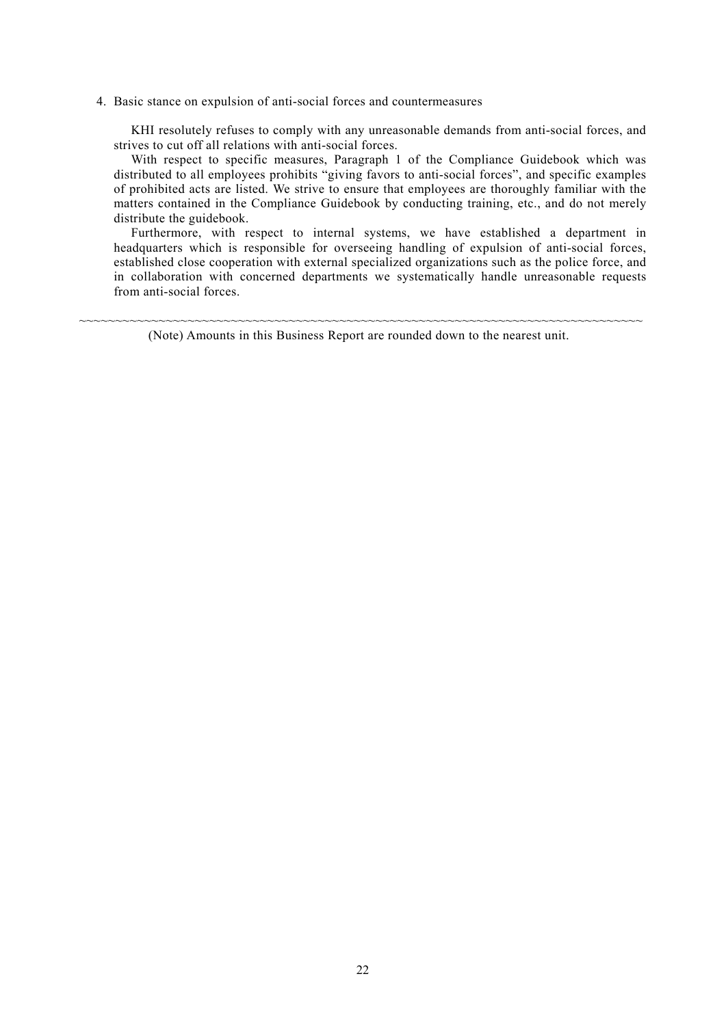4. Basic stance on expulsion of anti-social forces and countermeasures

KHI resolutely refuses to comply with any unreasonable demands from anti-social forces, and strives to cut off all relations with anti-social forces.

With respect to specific measures, Paragraph 1 of the Compliance Guidebook which was distributed to all employees prohibits "giving favors to anti-social forces", and specific examples of prohibited acts are listed. We strive to ensure that employees are thoroughly familiar with the matters contained in the Compliance Guidebook by conducting training, etc., and do not merely distribute the guidebook.

Furthermore, with respect to internal systems, we have established a department in headquarters which is responsible for overseeing handling of expulsion of anti-social forces, established close cooperation with external specialized organizations such as the police force, and in collaboration with concerned departments we systematically handle unreasonable requests from anti-social forces.

~~~~~~~~~~~~~~~~~~~~~~~~~~~~~~~~~~~~~~~~~~~~~~~~~~~~~~~~~~~~~~~~~~~~~~~~~~~~~~ (Note) Amounts in this Business Report are rounded down to the nearest unit.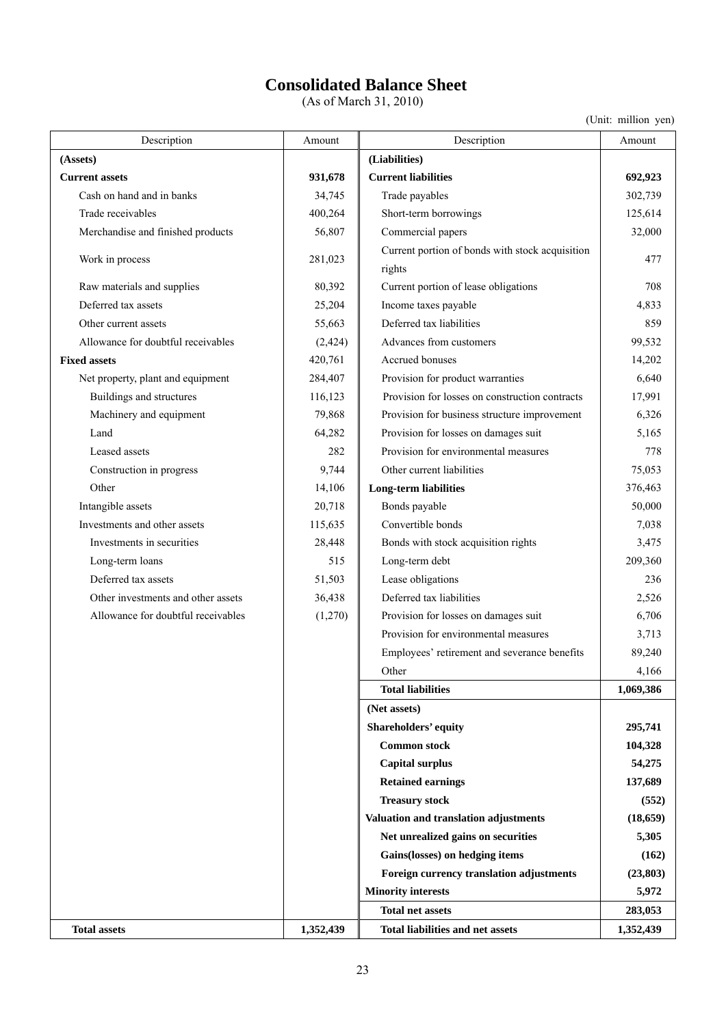# **Consolidated Balance Sheet**

(As of March 31, 2010)

(Unit: million yen)

| Description                        | Amount    | Description                                               | Amount    |
|------------------------------------|-----------|-----------------------------------------------------------|-----------|
| (Assets)                           |           | (Liabilities)                                             |           |
| <b>Current assets</b>              | 931,678   | <b>Current liabilities</b>                                | 692,923   |
| Cash on hand and in banks          | 34,745    | Trade payables                                            | 302,739   |
| Trade receivables                  | 400,264   | Short-term borrowings                                     | 125,614   |
| Merchandise and finished products  | 56,807    | Commercial papers                                         | 32,000    |
| Work in process                    | 281,023   | Current portion of bonds with stock acquisition<br>rights | 477       |
| Raw materials and supplies         | 80,392    | Current portion of lease obligations                      | 708       |
| Deferred tax assets                | 25,204    | Income taxes payable                                      | 4,833     |
| Other current assets               | 55,663    | Deferred tax liabilities                                  | 859       |
| Allowance for doubtful receivables | (2, 424)  | Advances from customers                                   | 99,532    |
| <b>Fixed assets</b>                | 420,761   | Accrued bonuses                                           | 14,202    |
| Net property, plant and equipment  | 284,407   | Provision for product warranties                          | 6,640     |
| Buildings and structures           | 116,123   | Provision for losses on construction contracts            | 17,991    |
| Machinery and equipment            | 79,868    | Provision for business structure improvement              | 6,326     |
| Land                               | 64,282    | Provision for losses on damages suit                      | 5,165     |
| Leased assets                      | 282       | Provision for environmental measures                      | 778       |
| Construction in progress           | 9,744     | Other current liabilities                                 | 75,053    |
| Other                              | 14,106    | <b>Long-term liabilities</b>                              | 376,463   |
| Intangible assets                  | 20,718    | Bonds payable                                             | 50,000    |
| Investments and other assets       | 115,635   | Convertible bonds                                         | 7,038     |
| Investments in securities          | 28,448    | Bonds with stock acquisition rights                       | 3,475     |
| Long-term loans                    | 515       | Long-term debt                                            | 209,360   |
| Deferred tax assets                | 51,503    | Lease obligations                                         | 236       |
| Other investments and other assets | 36,438    | Deferred tax liabilities                                  | 2,526     |
| Allowance for doubtful receivables | (1,270)   | Provision for losses on damages suit                      | 6,706     |
|                                    |           | Provision for environmental measures                      | 3,713     |
|                                    |           | Employees' retirement and severance benefits              | 89,240    |
|                                    |           | Other                                                     | 4,166     |
|                                    |           | <b>Total liabilities</b>                                  | 1,069,386 |
|                                    |           | (Net assets)                                              |           |
|                                    |           | Shareholders' equity                                      | 295,741   |
|                                    |           | <b>Common stock</b>                                       | 104,328   |
|                                    |           | <b>Capital surplus</b>                                    | 54,275    |
|                                    |           | <b>Retained earnings</b>                                  | 137,689   |
|                                    |           | <b>Treasury stock</b>                                     | (552)     |
|                                    |           | Valuation and translation adjustments                     | (18, 659) |
|                                    |           | Net unrealized gains on securities                        | 5,305     |
|                                    |           | Gains(losses) on hedging items                            | (162)     |
|                                    |           | Foreign currency translation adjustments                  | (23, 803) |
|                                    |           | <b>Minority interests</b>                                 | 5,972     |
|                                    |           | <b>Total net assets</b>                                   | 283,053   |
| <b>Total assets</b>                | 1,352,439 | <b>Total liabilities and net assets</b>                   | 1,352,439 |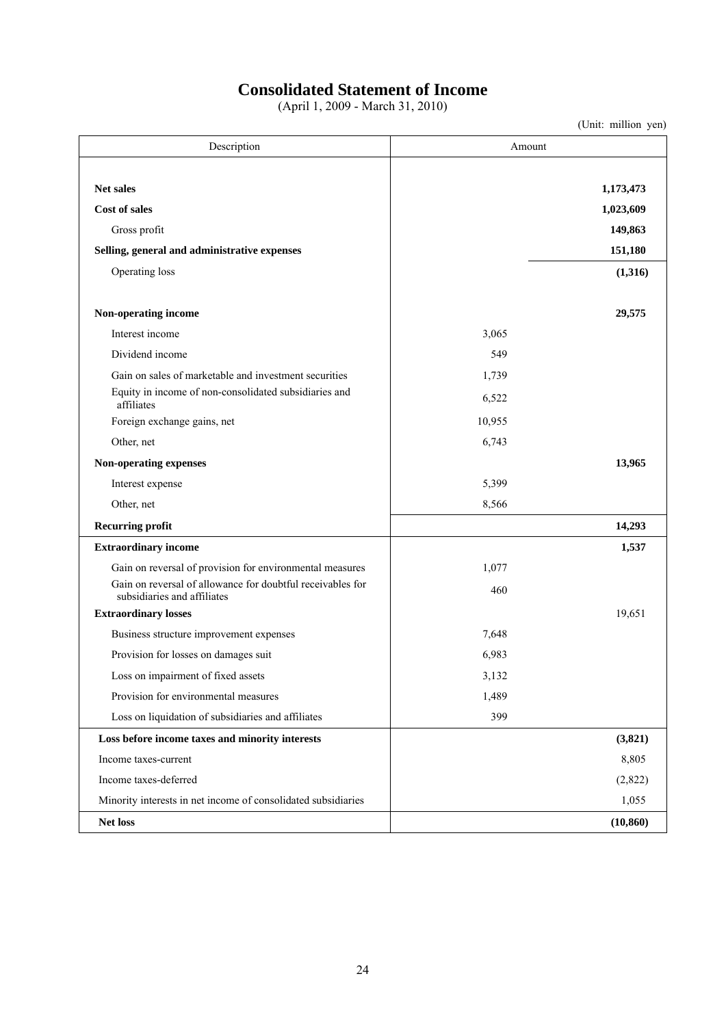## **Consolidated Statement of Income**

(April 1, 2009 - March 31, 2010)

(Unit: million yen)

Description Amount **Net sales** 1,173,473 **1 Cost of sales** 1,023,609 **1,023,609** Gross profit **149,863 149,863** Selling, general and administrative expenses 151,180 Operating loss **(1,316) (1,316) Non-operating income 29,575**  Interest income 3,065 Dividend income 549 Gain on sales of marketable and investment securities 1,739 Equity in income of non-consolidated subsidiaries and  $6,522$ <br>affiliates 6,522 Foreign exchange gains, net 10,955 Other, net 6,743 **Non-operating expenses 13,965**  Interest expense 5,399 Other, net 8,566 **Recurring profit 14,293 14,293 Extraordinary income 1,537 1,537** Gain on reversal of provision for environmental measures 1,077 Gain on reversal of allowance for doubtful receivables for subsidiaries and affiliates of doubline receivables for the subsidiaries and affiliates 460 **Extraordinary losses** 19,651 Business structure improvement expenses 7,648 Provision for losses on damages suit 6,983 Loss on impairment of fixed assets 3,132 Provision for environmental measures 1,489 Loss on liquidation of subsidiaries and affiliates 399 **Loss before income taxes and minority interests (3,821)**  Income taxes-current 8,805 Income taxes-deferred (2,822) Minority interests in net income of consolidated subsidiaries 1,055 **Net loss (10,860)**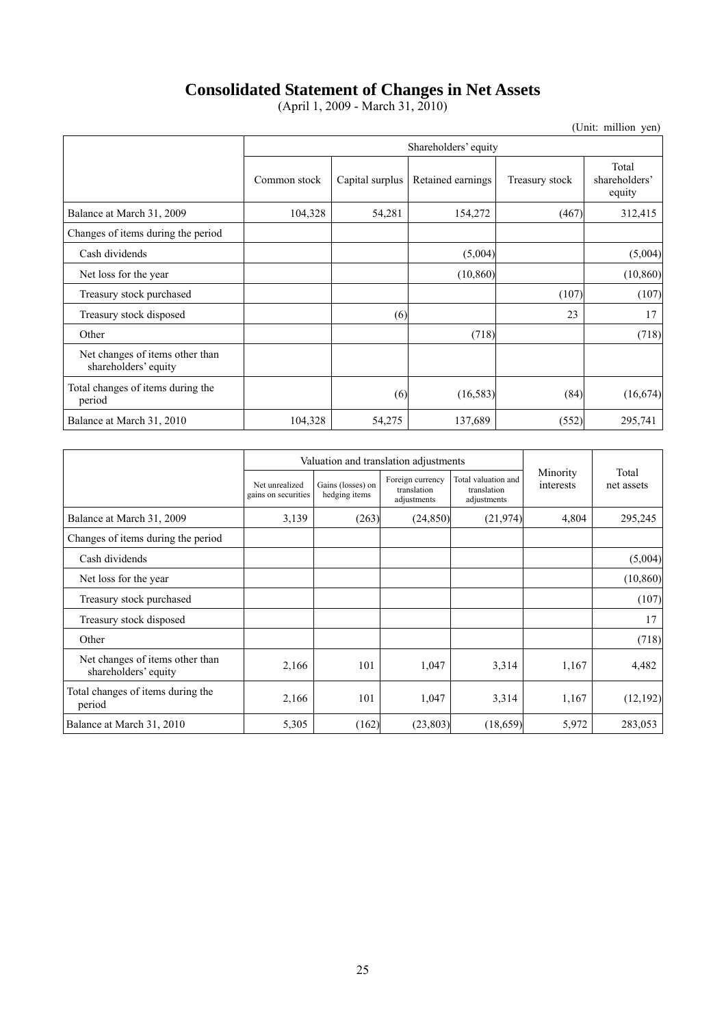## **Consolidated Statement of Changes in Net Assets**

(April 1, 2009 - March 31, 2010)

(Unit: million yen)

|                                                         | Shareholders' equity |                 |                   |                |                                  |
|---------------------------------------------------------|----------------------|-----------------|-------------------|----------------|----------------------------------|
|                                                         | Common stock         | Capital surplus | Retained earnings | Treasury stock | Total<br>shareholders'<br>equity |
| Balance at March 31, 2009                               | 104,328              | 54,281          | 154,272           | (467)          | 312,415                          |
| Changes of items during the period                      |                      |                 |                   |                |                                  |
| Cash dividends                                          |                      |                 | (5,004)           |                | (5,004)                          |
| Net loss for the year                                   |                      |                 | (10, 860)         |                | (10, 860)                        |
| Treasury stock purchased                                |                      |                 |                   | (107)          | (107)                            |
| Treasury stock disposed                                 |                      | (6)             |                   | 23             | 17                               |
| Other                                                   |                      |                 | (718)             |                | (718)                            |
| Net changes of items other than<br>shareholders' equity |                      |                 |                   |                |                                  |
| Total changes of items during the<br>period             |                      | (6)             | (16, 583)         | (84)           | (16, 674)                        |
| Balance at March 31, 2010                               | 104,328              | 54,275          | 137,689           | (552)          | 295,741                          |

|                                                         |                                       | Valuation and translation adjustments |                                                |                                                   |                       |                     |
|---------------------------------------------------------|---------------------------------------|---------------------------------------|------------------------------------------------|---------------------------------------------------|-----------------------|---------------------|
|                                                         | Net unrealized<br>gains on securities | Gains (losses) on<br>hedging items    | Foreign currency<br>translation<br>adjustments | Total valuation and<br>translation<br>adjustments | Minority<br>interests | Total<br>net assets |
| Balance at March 31, 2009                               | 3,139                                 | (263)                                 | (24, 850)                                      | (21, 974)                                         | 4,804                 | 295,245             |
| Changes of items during the period                      |                                       |                                       |                                                |                                                   |                       |                     |
| Cash dividends                                          |                                       |                                       |                                                |                                                   |                       | (5,004)             |
| Net loss for the year                                   |                                       |                                       |                                                |                                                   |                       | (10, 860)           |
| Treasury stock purchased                                |                                       |                                       |                                                |                                                   |                       | (107)               |
| Treasury stock disposed                                 |                                       |                                       |                                                |                                                   |                       | 17                  |
| Other                                                   |                                       |                                       |                                                |                                                   |                       | (718)               |
| Net changes of items other than<br>shareholders' equity | 2,166                                 | 101                                   | 1,047                                          | 3,314                                             | 1,167                 | 4,482               |
| Total changes of items during the<br>period             | 2,166                                 | 101                                   | 1,047                                          | 3,314                                             | 1,167                 | (12, 192)           |
| Balance at March 31, 2010                               | 5,305                                 | (162)                                 | (23, 803)                                      | (18, 659)                                         | 5,972                 | 283,053             |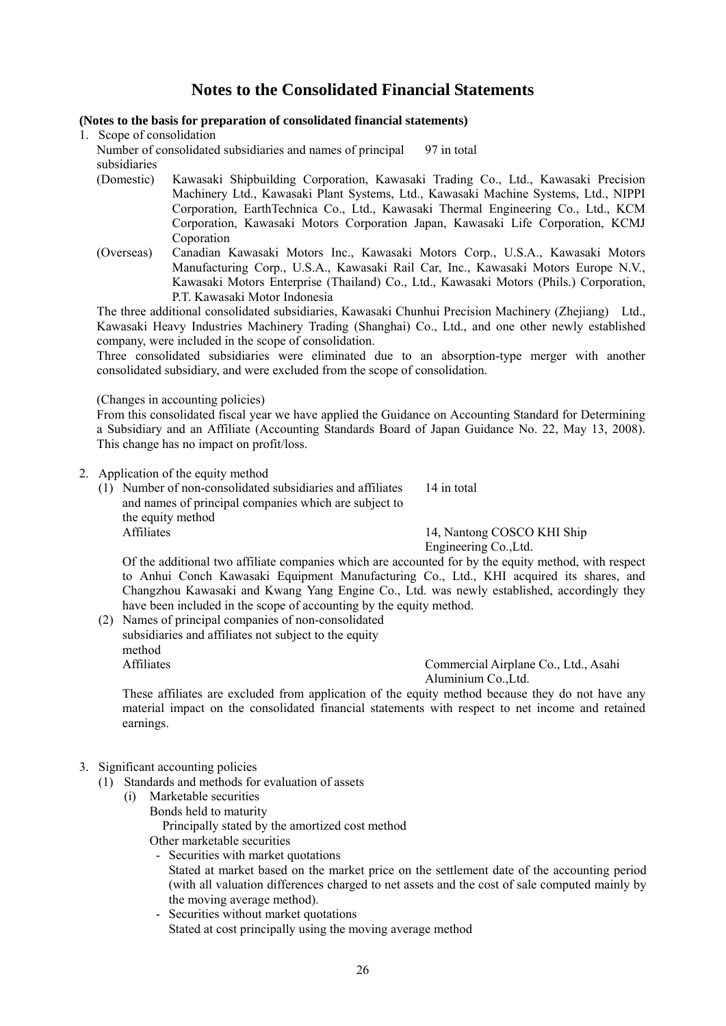## **Notes to the Consolidated Financial Statements**

### **(Notes to the basis for preparation of consolidated financial statements)**

1. Scope of consolidation

Number of consolidated subsidiaries and names of principal subsidiaries 97 in total

- (Domestic) Kawasaki Shipbuilding Corporation, Kawasaki Trading Co., Ltd., Kawasaki Precision Machinery Ltd., Kawasaki Plant Systems, Ltd., Kawasaki Machine Systems, Ltd., NIPPI Corporation, EarthTechnica Co., Ltd., Kawasaki Thermal Engineering Co., Ltd., KCM Corporation, Kawasaki Motors Corporation Japan, Kawasaki Life Corporation, KCMJ Coporation
- (Overseas) Canadian Kawasaki Motors Inc., Kawasaki Motors Corp., U.S.A., Kawasaki Motors Manufacturing Corp., U.S.A., Kawasaki Rail Car, Inc., Kawasaki Motors Europe N.V., Kawasaki Motors Enterprise (Thailand) Co., Ltd., Kawasaki Motors (Phils.) Corporation, P.T. Kawasaki Motor Indonesia

The three additional consolidated subsidiaries, Kawasaki Chunhui Precision Machinery (Zhejiang) Ltd., Kawasaki Heavy Industries Machinery Trading (Shanghai) Co., Ltd., and one other newly established company, were included in the scope of consolidation.

Three consolidated subsidiaries were eliminated due to an absorption-type merger with another consolidated subsidiary, and were excluded from the scope of consolidation.

### (Changes in accounting policies)

From this consolidated fiscal year we have applied the Guidance on Accounting Standard for Determining a Subsidiary and an Affiliate (Accounting Standards Board of Japan Guidance No. 22, May 13, 2008). This change has no impact on profit/loss.

### 2. Application of the equity method

(1) Number of non-consolidated subsidiaries and affiliates and names of principal companies which are subject to the equity method 14 in total Affiliates 14, Nantong COSCO KHI Ship

Engineering Co.,Ltd.

Of the additional two affiliate companies which are accounted for by the equity method, with respect to Anhui Conch Kawasaki Equipment Manufacturing Co., Ltd., KHI acquired its shares, and Changzhou Kawasaki and Kwang Yang Engine Co., Ltd. was newly established, accordingly they have been included in the scope of accounting by the equity method.

(2) Names of principal companies of non-consolidated subsidiaries and affiliates not subject to the equity method Affiliates Commercial Airplane Co., Ltd., Asahi

Aluminium Co.,Ltd.

These affiliates are excluded from application of the equity method because they do not have any material impact on the consolidated financial statements with respect to net income and retained earnings.

## 3. Significant accounting policies

- (1) Standards and methods for evaluation of assets
	- (i) Marketable securities Bonds held to maturity

Principally stated by the amortized cost method

Other marketable securities

- Securities with market quotations Stated at market based on the market price on the settlement date of the accounting period (with all valuation differences charged to net assets and the cost of sale computed mainly by the moving average method).
- Securities without market quotations Stated at cost principally using the moving average method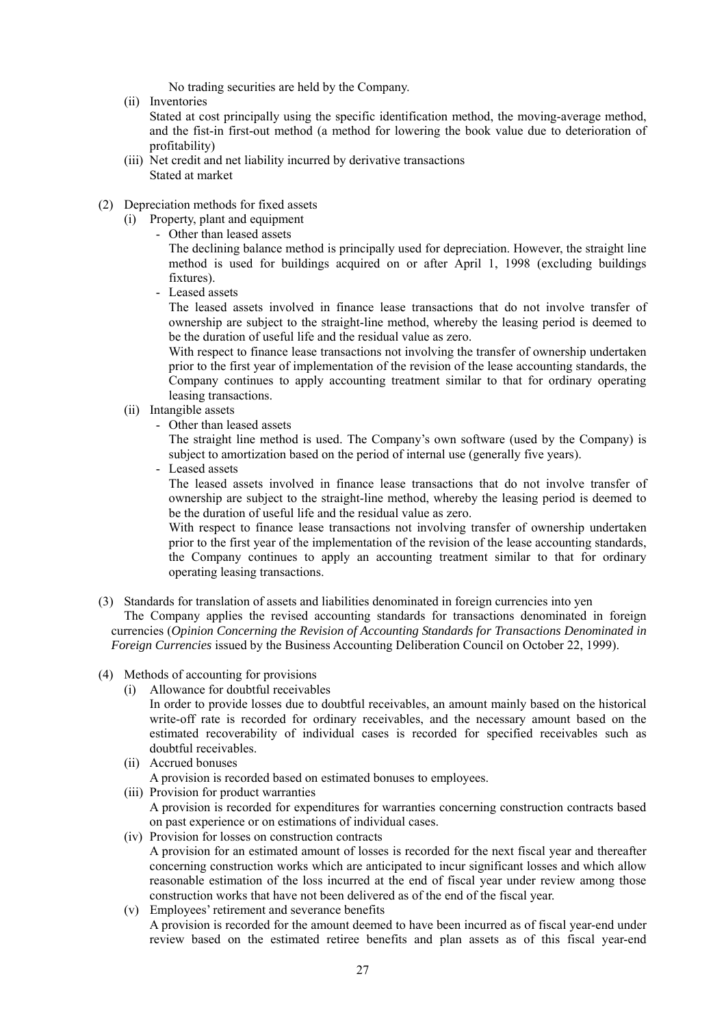No trading securities are held by the Company.

(ii) Inventories

Stated at cost principally using the specific identification method, the moving-average method, and the fist-in first-out method (a method for lowering the book value due to deterioration of profitability)

- (iii) Net credit and net liability incurred by derivative transactions Stated at market
- (2) Depreciation methods for fixed assets
	- (i) Property, plant and equipment
		- Other than leased assets

The declining balance method is principally used for depreciation. However, the straight line method is used for buildings acquired on or after April 1, 1998 (excluding buildings fixtures).

- Leased assets

The leased assets involved in finance lease transactions that do not involve transfer of ownership are subject to the straight-line method, whereby the leasing period is deemed to be the duration of useful life and the residual value as zero.

With respect to finance lease transactions not involving the transfer of ownership undertaken prior to the first year of implementation of the revision of the lease accounting standards, the Company continues to apply accounting treatment similar to that for ordinary operating leasing transactions.

- (ii) Intangible assets
	- Other than leased assets

The straight line method is used. The Company's own software (used by the Company) is subject to amortization based on the period of internal use (generally five years).

- Leased assets

The leased assets involved in finance lease transactions that do not involve transfer of ownership are subject to the straight-line method, whereby the leasing period is deemed to be the duration of useful life and the residual value as zero.

With respect to finance lease transactions not involving transfer of ownership undertaken prior to the first year of the implementation of the revision of the lease accounting standards, the Company continues to apply an accounting treatment similar to that for ordinary operating leasing transactions.

- (3) Standards for translation of assets and liabilities denominated in foreign currencies into yen The Company applies the revised accounting standards for transactions denominated in foreign currencies (*Opinion Concerning the Revision of Accounting Standards for Transactions Denominated in Foreign Currencies* issued by the Business Accounting Deliberation Council on October 22, 1999).
- (4) Methods of accounting for provisions
	- (i) Allowance for doubtful receivables
		- In order to provide losses due to doubtful receivables, an amount mainly based on the historical write-off rate is recorded for ordinary receivables, and the necessary amount based on the estimated recoverability of individual cases is recorded for specified receivables such as doubtful receivables.
	- (ii) Accrued bonuses A provision is recorded based on estimated bonuses to employees.
	- (iii) Provision for product warranties A provision is recorded for expenditures for warranties concerning construction contracts based on past experience or on estimations of individual cases.
	- (iv) Provision for losses on construction contracts A provision for an estimated amount of losses is recorded for the next fiscal year and thereafter concerning construction works which are anticipated to incur significant losses and which allow reasonable estimation of the loss incurred at the end of fiscal year under review among those construction works that have not been delivered as of the end of the fiscal year.
	- (v) Employees' retirement and severance benefits A provision is recorded for the amount deemed to have been incurred as of fiscal year-end under review based on the estimated retiree benefits and plan assets as of this fiscal year-end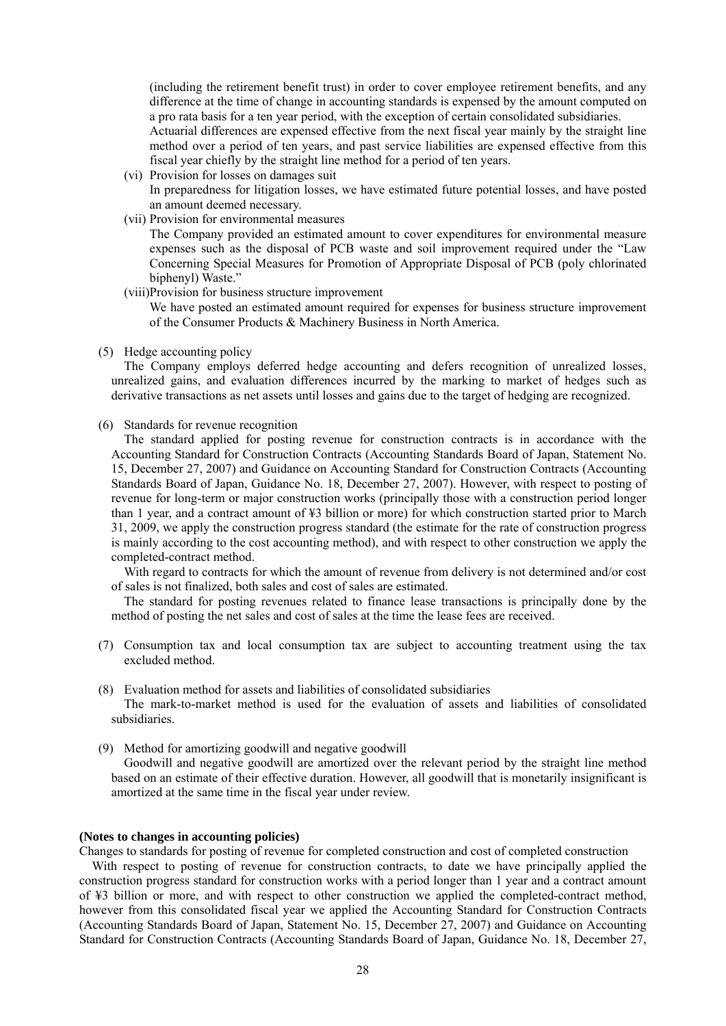(including the retirement benefit trust) in order to cover employee retirement benefits, and any difference at the time of change in accounting standards is expensed by the amount computed on a pro rata basis for a ten year period, with the exception of certain consolidated subsidiaries.

Actuarial differences are expensed effective from the next fiscal year mainly by the straight line method over a period of ten years, and past service liabilities are expensed effective from this fiscal year chiefly by the straight line method for a period of ten years.

- (vi) Provision for losses on damages suit In preparedness for litigation losses, we have estimated future potential losses, and have posted an amount deemed necessary.
- (vii) Provision for environmental measures

The Company provided an estimated amount to cover expenditures for environmental measure expenses such as the disposal of PCB waste and soil improvement required under the "Law Concerning Special Measures for Promotion of Appropriate Disposal of PCB (poly chlorinated biphenyl) Waste."

(viii)Provision for business structure improvement

We have posted an estimated amount required for expenses for business structure improvement of the Consumer Products & Machinery Business in North America.

(5) Hedge accounting policy

The Company employs deferred hedge accounting and defers recognition of unrealized losses, unrealized gains, and evaluation differences incurred by the marking to market of hedges such as derivative transactions as net assets until losses and gains due to the target of hedging are recognized.

(6) Standards for revenue recognition

The standard applied for posting revenue for construction contracts is in accordance with the Accounting Standard for Construction Contracts (Accounting Standards Board of Japan, Statement No. 15, December 27, 2007) and Guidance on Accounting Standard for Construction Contracts (Accounting Standards Board of Japan, Guidance No. 18, December 27, 2007). However, with respect to posting of revenue for long-term or major construction works (principally those with a construction period longer than 1 year, and a contract amount of ¥3 billion or more) for which construction started prior to March 31, 2009, we apply the construction progress standard (the estimate for the rate of construction progress is mainly according to the cost accounting method), and with respect to other construction we apply the completed-contract method.

With regard to contracts for which the amount of revenue from delivery is not determined and/or cost of sales is not finalized, both sales and cost of sales are estimated.

The standard for posting revenues related to finance lease transactions is principally done by the method of posting the net sales and cost of sales at the time the lease fees are received.

- (7) Consumption tax and local consumption tax are subject to accounting treatment using the tax excluded method.
- (8) Evaluation method for assets and liabilities of consolidated subsidiaries The mark-to-market method is used for the evaluation of assets and liabilities of consolidated subsidiaries.
- (9) Method for amortizing goodwill and negative goodwill Goodwill and negative goodwill are amortized over the relevant period by the straight line method based on an estimate of their effective duration. However, all goodwill that is monetarily insignificant is amortized at the same time in the fiscal year under review.

#### **(Notes to changes in accounting policies)**

Changes to standards for posting of revenue for completed construction and cost of completed construction

With respect to posting of revenue for construction contracts, to date we have principally applied the construction progress standard for construction works with a period longer than 1 year and a contract amount of ¥3 billion or more, and with respect to other construction we applied the completed-contract method, however from this consolidated fiscal year we applied the Accounting Standard for Construction Contracts (Accounting Standards Board of Japan, Statement No. 15, December 27, 2007) and Guidance on Accounting Standard for Construction Contracts (Accounting Standards Board of Japan, Guidance No. 18, December 27,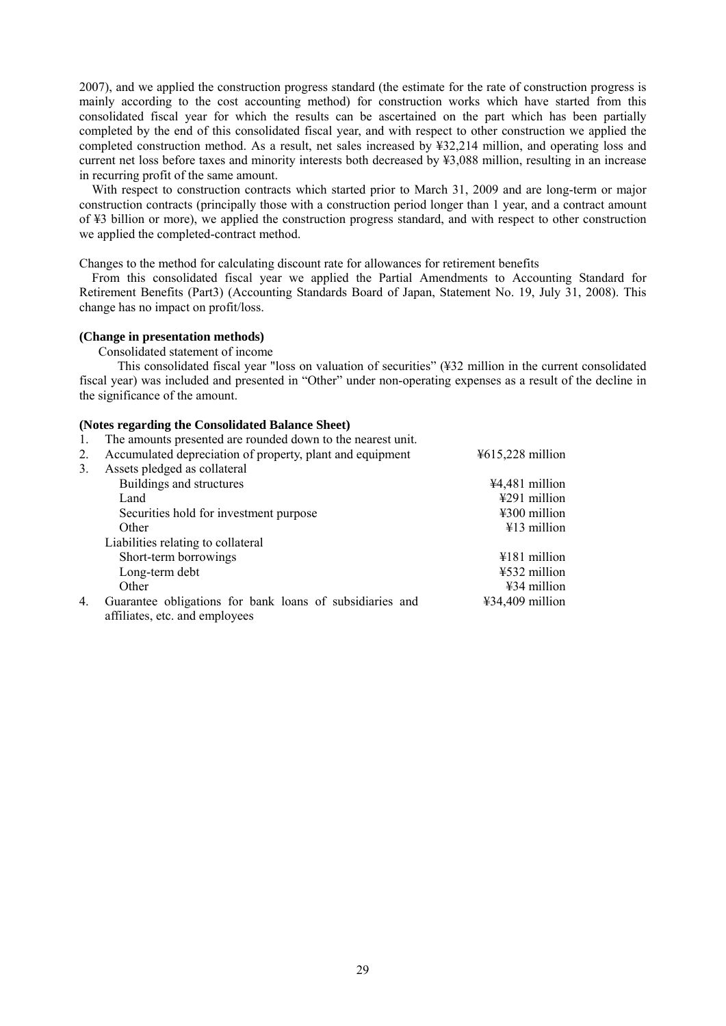2007), and we applied the construction progress standard (the estimate for the rate of construction progress is mainly according to the cost accounting method) for construction works which have started from this consolidated fiscal year for which the results can be ascertained on the part which has been partially completed by the end of this consolidated fiscal year, and with respect to other construction we applied the completed construction method. As a result, net sales increased by ¥32,214 million, and operating loss and current net loss before taxes and minority interests both decreased by ¥3,088 million, resulting in an increase in recurring profit of the same amount.

With respect to construction contracts which started prior to March 31, 2009 and are long-term or major construction contracts (principally those with a construction period longer than 1 year, and a contract amount of ¥3 billion or more), we applied the construction progress standard, and with respect to other construction we applied the completed-contract method.

Changes to the method for calculating discount rate for allowances for retirement benefits

From this consolidated fiscal year we applied the Partial Amendments to Accounting Standard for Retirement Benefits (Part3) (Accounting Standards Board of Japan, Statement No. 19, July 31, 2008). This change has no impact on profit/loss.

#### **(Change in presentation methods)**

Consolidated statement of income

This consolidated fiscal year "loss on valuation of securities" (¥32 million in the current consolidated fiscal year) was included and presented in "Other" under non-operating expenses as a result of the decline in the significance of the amount.

#### **(Notes regarding the Consolidated Balance Sheet)**

1. The amounts presented are rounded down to the nearest unit.

|                       | Accumulated depreciation of property, plant and equipment                                  | ¥615,228 million       |
|-----------------------|--------------------------------------------------------------------------------------------|------------------------|
| 3.                    | Assets pledged as collateral                                                               |                        |
|                       | Buildings and structures                                                                   | $44,481$ million       |
|                       | Land                                                                                       | ¥291 million           |
|                       | Securities hold for investment purpose                                                     | $\text{\#}300$ million |
|                       | Other                                                                                      | $\text{\#}13$ million  |
|                       | Liabilities relating to collateral                                                         |                        |
|                       | Short-term borrowings                                                                      | $4181$ million         |
|                       | Long-term debt                                                                             | $4532$ million         |
|                       | Other                                                                                      | $434$ million          |
| $\mathcal{A}_{\cdot}$ | Guarantee obligations for bank loans of subsidiaries and<br>affiliates, etc. and employees | $434,409$ million      |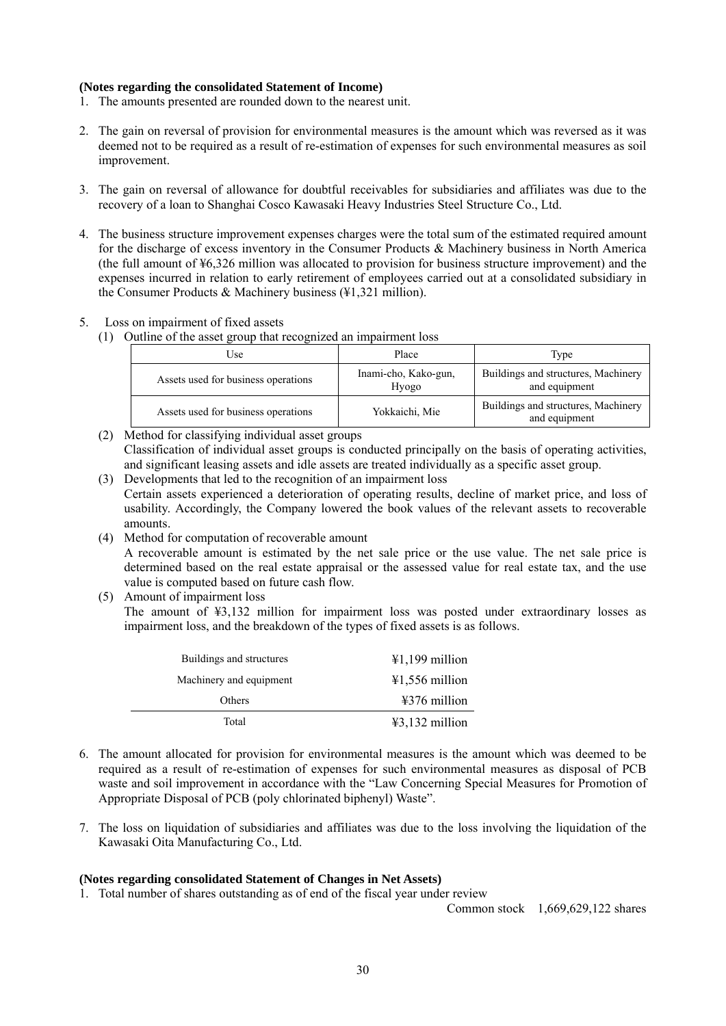### **(Notes regarding the consolidated Statement of Income)**

- 1. The amounts presented are rounded down to the nearest unit.
- 2. The gain on reversal of provision for environmental measures is the amount which was reversed as it was deemed not to be required as a result of re-estimation of expenses for such environmental measures as soil improvement.
- 3. The gain on reversal of allowance for doubtful receivables for subsidiaries and affiliates was due to the recovery of a loan to Shanghai Cosco Kawasaki Heavy Industries Steel Structure Co., Ltd.
- 4. The business structure improvement expenses charges were the total sum of the estimated required amount for the discharge of excess inventory in the Consumer Products & Machinery business in North America (the full amount of ¥6,326 million was allocated to provision for business structure improvement) and the expenses incurred in relation to early retirement of employees carried out at a consolidated subsidiary in the Consumer Products & Machinery business (¥1,321 million).
- 5. Loss on impairment of fixed assets
	- (1) Outline of the asset group that recognized an impairment loss

| Jse -                               | Place                         | Type                                                 |  |  |
|-------------------------------------|-------------------------------|------------------------------------------------------|--|--|
| Assets used for business operations | Inami-cho, Kako-gun,<br>Hyogo | Buildings and structures, Machinery<br>and equipment |  |  |
| Assets used for business operations | Yokkaichi, Mie                | Buildings and structures, Machinery<br>and equipment |  |  |

- (2) Method for classifying individual asset groups Classification of individual asset groups is conducted principally on the basis of operating activities, and significant leasing assets and idle assets are treated individually as a specific asset group.
- (3) Developments that led to the recognition of an impairment loss Certain assets experienced a deterioration of operating results, decline of market price, and loss of usability. Accordingly, the Company lowered the book values of the relevant assets to recoverable amounts.
- (4) Method for computation of recoverable amount A recoverable amount is estimated by the net sale price or the use value. The net sale price is determined based on the real estate appraisal or the assessed value for real estate tax, and the use value is computed based on future cash flow.
- (5) Amount of impairment loss

The amount of ¥3,132 million for impairment loss was posted under extraordinary losses as impairment loss, and the breakdown of the types of fixed assets is as follows.

| Buildings and structures | $41,199$ million          |
|--------------------------|---------------------------|
| Machinery and equipment  | $41,556$ million          |
| Others                   | $\frac{12376}{2}$ million |
| Total                    | $43,132$ million          |

- 6. The amount allocated for provision for environmental measures is the amount which was deemed to be required as a result of re-estimation of expenses for such environmental measures as disposal of PCB waste and soil improvement in accordance with the "Law Concerning Special Measures for Promotion of Appropriate Disposal of PCB (poly chlorinated biphenyl) Waste".
- 7. The loss on liquidation of subsidiaries and affiliates was due to the loss involving the liquidation of the Kawasaki Oita Manufacturing Co., Ltd.

#### **(Notes regarding consolidated Statement of Changes in Net Assets)**

1. Total number of shares outstanding as of end of the fiscal year under review

Common stock 1,669,629,122 shares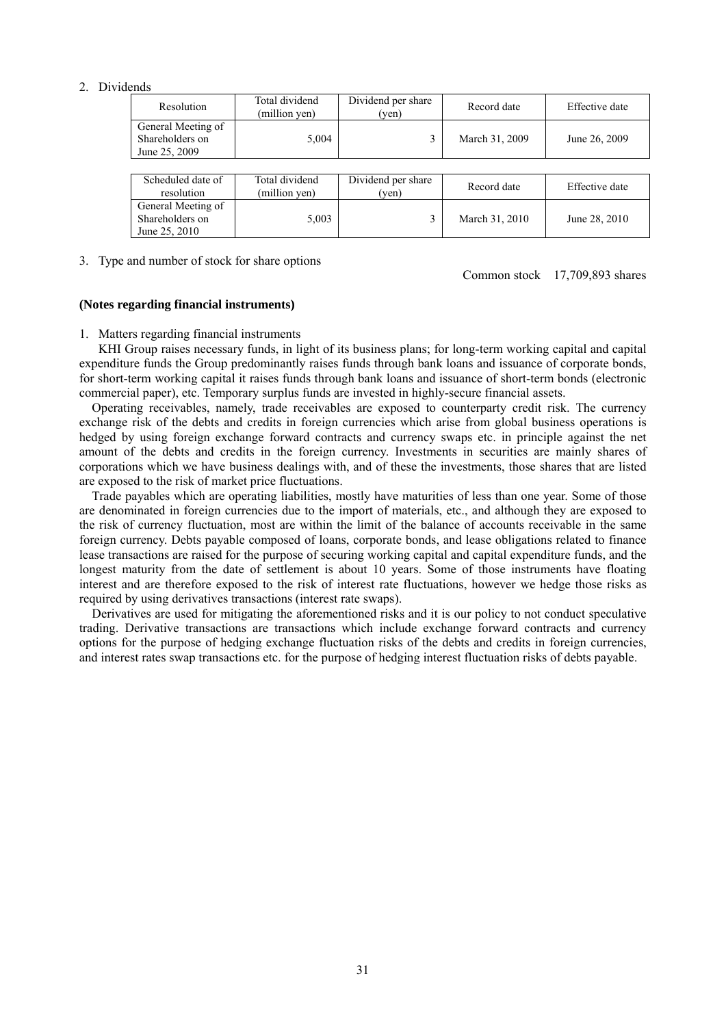#### 2. Dividends

| Resolution                                             | Total dividend<br>(million yen) | Dividend per share<br>(yen) | Record date    | Effective date |
|--------------------------------------------------------|---------------------------------|-----------------------------|----------------|----------------|
| General Meeting of<br>Shareholders on<br>June 25, 2009 | 5,004                           |                             | March 31, 2009 | June 26, 2009  |
|                                                        |                                 |                             |                |                |
| Scheduled date of<br>resolution                        | Total dividend<br>(million yen) | Dividend per share<br>(yen) | Record date    | Effective date |

5,003 3 March 31, 2010 June 28, 2010

| 3. Type and number of stock for share options |  |
|-----------------------------------------------|--|

Common stock 17,709,893 shares

#### **(Notes regarding financial instruments)**

General Meeting of Shareholders on June 25, 2010

#### 1. Matters regarding financial instruments

KHI Group raises necessary funds, in light of its business plans; for long-term working capital and capital expenditure funds the Group predominantly raises funds through bank loans and issuance of corporate bonds, for short-term working capital it raises funds through bank loans and issuance of short-term bonds (electronic commercial paper), etc. Temporary surplus funds are invested in highly-secure financial assets.

Operating receivables, namely, trade receivables are exposed to counterparty credit risk. The currency exchange risk of the debts and credits in foreign currencies which arise from global business operations is hedged by using foreign exchange forward contracts and currency swaps etc. in principle against the net amount of the debts and credits in the foreign currency. Investments in securities are mainly shares of corporations which we have business dealings with, and of these the investments, those shares that are listed are exposed to the risk of market price fluctuations.

Trade payables which are operating liabilities, mostly have maturities of less than one year. Some of those are denominated in foreign currencies due to the import of materials, etc., and although they are exposed to the risk of currency fluctuation, most are within the limit of the balance of accounts receivable in the same foreign currency. Debts payable composed of loans, corporate bonds, and lease obligations related to finance lease transactions are raised for the purpose of securing working capital and capital expenditure funds, and the longest maturity from the date of settlement is about 10 years. Some of those instruments have floating interest and are therefore exposed to the risk of interest rate fluctuations, however we hedge those risks as required by using derivatives transactions (interest rate swaps).

Derivatives are used for mitigating the aforementioned risks and it is our policy to not conduct speculative trading. Derivative transactions are transactions which include exchange forward contracts and currency options for the purpose of hedging exchange fluctuation risks of the debts and credits in foreign currencies, and interest rates swap transactions etc. for the purpose of hedging interest fluctuation risks of debts payable.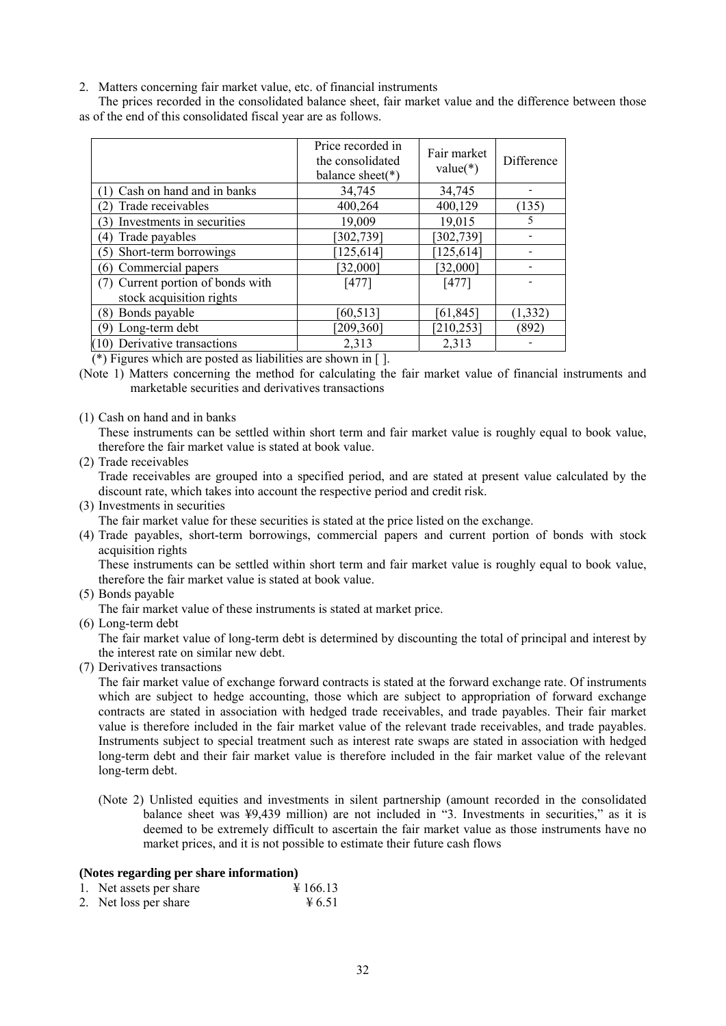2. Matters concerning fair market value, etc. of financial instruments

The prices recorded in the consolidated balance sheet, fair market value and the difference between those as of the end of this consolidated fiscal year are as follows.

|                                  | Price recorded in<br>the consolidated<br>balance sheet( $*$ ) | Fair market<br>$value(*)$ | Difference |
|----------------------------------|---------------------------------------------------------------|---------------------------|------------|
| Cash on hand and in banks        | 34,745                                                        | 34,745                    |            |
| Trade receivables                | 400,264                                                       | 400,129                   | (135)      |
| Investments in securities<br>(3) | 19,009                                                        | 19,015                    | 5          |
| Trade payables<br>(4)            | [302, 739]                                                    | [302, 739]                |            |
| Short-term borrowings<br>(5)     | $125,614$ ]                                                   | [125, 614]                |            |
| Commercial papers<br>(6)         | [32,000]                                                      | [32,000]                  |            |
| Current portion of bonds with    | $[477]$                                                       | $[477]$                   |            |
| stock acquisition rights         |                                                               |                           |            |
| (8) Bonds payable                | [60, 513]                                                     | [61, 845]                 | (1, 332)   |
| Long-term debt<br>79             | [209, 360]                                                    | [210, 253]                | (892)      |
| (10) Derivative transactions     | 2,313                                                         | 2,313                     |            |

(\*) Figures which are posted as liabilities are shown in [ ].

- (Note 1) Matters concerning the method for calculating the fair market value of financial instruments and marketable securities and derivatives transactions
- (1) Cash on hand and in banks

These instruments can be settled within short term and fair market value is roughly equal to book value, therefore the fair market value is stated at book value.

(2) Trade receivables

Trade receivables are grouped into a specified period, and are stated at present value calculated by the discount rate, which takes into account the respective period and credit risk.

(3) Investments in securities

The fair market value for these securities is stated at the price listed on the exchange.

(4) Trade payables, short-term borrowings, commercial papers and current portion of bonds with stock acquisition rights

These instruments can be settled within short term and fair market value is roughly equal to book value, therefore the fair market value is stated at book value.

(5) Bonds payable

The fair market value of these instruments is stated at market price.

(6) Long-term debt

The fair market value of long-term debt is determined by discounting the total of principal and interest by the interest rate on similar new debt.

(7) Derivatives transactions

The fair market value of exchange forward contracts is stated at the forward exchange rate. Of instruments which are subject to hedge accounting, those which are subject to appropriation of forward exchange contracts are stated in association with hedged trade receivables, and trade payables. Their fair market value is therefore included in the fair market value of the relevant trade receivables, and trade payables. Instruments subject to special treatment such as interest rate swaps are stated in association with hedged long-term debt and their fair market value is therefore included in the fair market value of the relevant long-term debt.

(Note 2) Unlisted equities and investments in silent partnership (amount recorded in the consolidated balance sheet was  $\frac{49}{439}$  million) are not included in "3. Investments in securities," as it is deemed to be extremely difficult to ascertain the fair market value as those instruments have no market prices, and it is not possible to estimate their future cash flows

#### **(Notes regarding per share information)**

- 1. Net assets per share  $\frac{4}{166.13}$
- 2. Net loss per share  $\frac{4}{5}$ .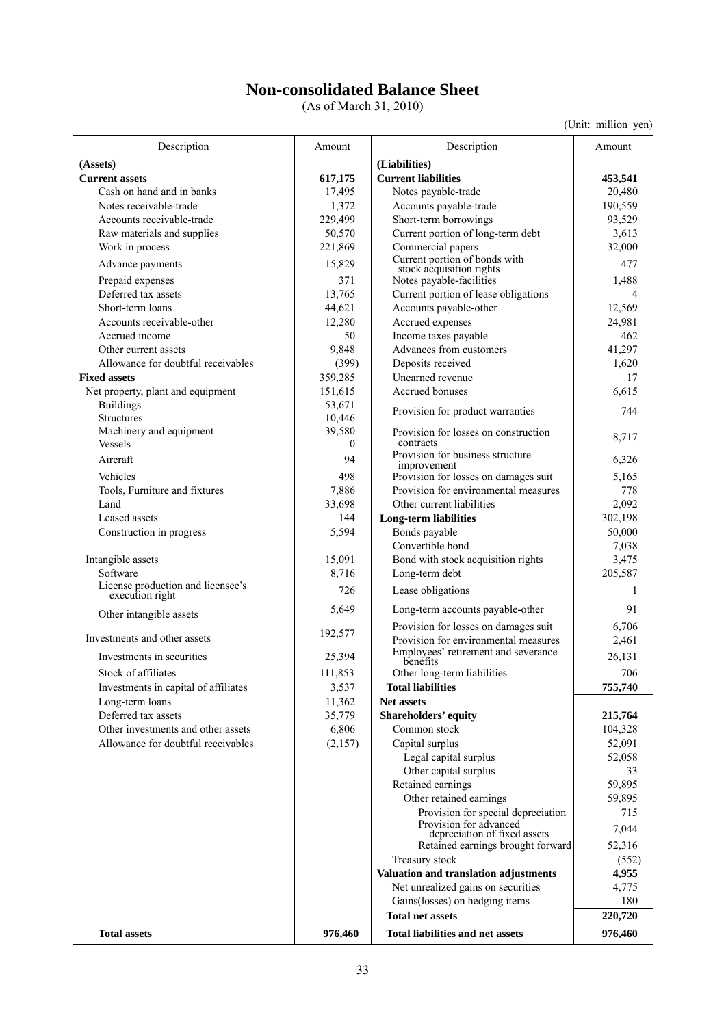## **Non-consolidated Balance Sheet**

(As of March 31, 2010)

(Unit: million yen)

| Description                                          | Amount             | Description                                                                  | Amount         |
|------------------------------------------------------|--------------------|------------------------------------------------------------------------------|----------------|
| (Assets)                                             |                    | (Liabilities)                                                                |                |
| <b>Current assets</b>                                | 617,175            | <b>Current liabilities</b>                                                   | 453,541        |
| Cash on hand and in banks                            | 17,495             | Notes payable-trade                                                          | 20,480         |
| Notes receivable-trade                               | 1,372              | Accounts payable-trade                                                       | 190,559        |
| Accounts receivable-trade                            | 229,499            | Short-term borrowings                                                        | 93,529         |
| Raw materials and supplies                           | 50,570             | Current portion of long-term debt                                            | 3,613          |
| Work in process                                      | 221,869            | Commercial papers                                                            | 32,000         |
| Advance payments                                     | 15,829             | Current portion of bonds with<br>stock acquisition rights                    | 477            |
| Prepaid expenses                                     | 371                | Notes payable-facilities                                                     | 1,488          |
| Deferred tax assets                                  | 13,765             | Current portion of lease obligations                                         | 4              |
| Short-term loans                                     | 44,621             | Accounts payable-other                                                       | 12,569         |
| Accounts receivable-other                            | 12,280             | Accrued expenses                                                             | 24,981         |
| Accrued income                                       | 50                 | Income taxes payable                                                         | 462            |
| Other current assets                                 | 9,848              | Advances from customers                                                      | 41,297         |
| Allowance for doubtful receivables                   | (399)              | Deposits received                                                            | 1,620          |
| <b>Fixed assets</b>                                  | 359,285            | Unearned revenue                                                             | 17             |
| Net property, plant and equipment                    | 151,615            | Accrued bonuses                                                              | 6,615          |
| <b>Buildings</b>                                     | 53,671             | Provision for product warranties                                             | 744            |
| Structures                                           | 10,446             |                                                                              |                |
| Machinery and equipment<br>Vessels                   | 39,580<br>$\theta$ | Provision for losses on construction<br>contracts                            | 8,717          |
| Aircraft                                             | 94                 | Provision for business structure                                             | 6,326          |
| Vehicles                                             | 498                | improvement<br>Provision for losses on damages suit                          | 5,165          |
| Tools, Furniture and fixtures                        | 7,886              | Provision for environmental measures                                         | 778            |
| Land                                                 | 33,698             | Other current liabilities                                                    | 2,092          |
| Leased assets                                        | 144                | <b>Long-term liabilities</b>                                                 | 302,198        |
| Construction in progress                             | 5,594              | Bonds payable                                                                | 50,000         |
|                                                      |                    | Convertible bond                                                             | 7,038          |
| Intangible assets                                    | 15,091             | Bond with stock acquisition rights                                           | 3,475          |
| Software                                             | 8,716              | Long-term debt                                                               | 205,587        |
| License production and licensee's<br>execution right | 726                | Lease obligations                                                            | 1              |
| Other intangible assets                              | 5,649              | Long-term accounts payable-other                                             | 91             |
| Investments and other assets                         | 192,577            | Provision for losses on damages suit<br>Provision for environmental measures | 6,706<br>2,461 |
| Investments in securities                            | 25,394             | Employees' retirement and severance                                          | 26,131         |
| Stock of affiliates                                  | 111,853            | benefits<br>Other long-term liabilities                                      | 706            |
| Investments in capital of affiliates                 | 3,537              | <b>Total liabilities</b>                                                     | 755,740        |
| Long-term loans                                      | 11,362             | <b>Net assets</b>                                                            |                |
| Deferred tax assets                                  | 35,779             | Shareholders' equity                                                         | 215,764        |
| Other investments and other assets                   | 6,806              | Common stock                                                                 | 104,328        |
| Allowance for doubtful receivables                   | (2,157)            | Capital surplus                                                              | 52,091         |
|                                                      |                    | Legal capital surplus                                                        | 52,058         |
|                                                      |                    | Other capital surplus                                                        | 33             |
|                                                      |                    | Retained earnings                                                            | 59,895         |
|                                                      |                    | Other retained earnings                                                      | 59,895         |
|                                                      |                    | Provision for special depreciation                                           | 715            |
|                                                      |                    | Provision for advanced<br>depreciation of fixed assets                       | 7,044          |
|                                                      |                    | Retained earnings brought forward                                            | 52,316         |
|                                                      |                    | Treasury stock                                                               | (552)          |
|                                                      |                    | Valuation and translation adjustments                                        | 4,955          |
|                                                      |                    | Net unrealized gains on securities                                           | 4,775          |
|                                                      |                    | Gains(losses) on hedging items<br><b>Total net assets</b>                    | 180<br>220,720 |
|                                                      |                    |                                                                              |                |
| <b>Total assets</b>                                  | 976,460            | <b>Total liabilities and net assets</b>                                      | 976,460        |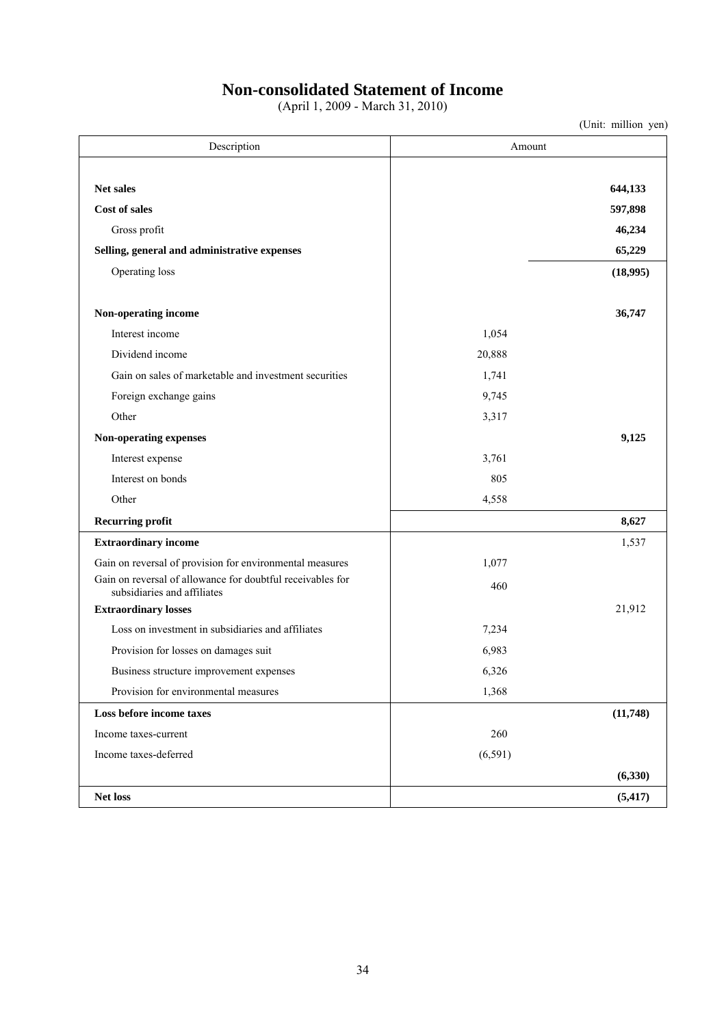## **Non-consolidated Statement of Income**

(April 1, 2009 - March 31, 2010)

(Unit: million yen)

Description Amount **Net sales 644,133 Cost of sales 597,898**  Gross profit **46,234 16,234 Selling, general and administrative expenses** 65,229 **65,229** Operating loss **(18,995)**  Non-operating income 36,747 Interest income 1,054 Dividend income 20,888 Gain on sales of marketable and investment securities 1,741 Foreign exchange gains 9,745 Other  $3,317$ **Non-operating expenses 9,125**  Interest expense 3,761 Interest on bonds 805 Other 4,558 Recurring profit 8,627 **Extraordinary income** 1,537 Gain on reversal of provision for environmental measures 1,077 Gain on reversal of allowance for doubtful receivables for n on reversal of allowance for doubtful receivables for<br>subsidiaries and affiliates 460 **Extraordinary losses** 21,912 Loss on investment in subsidiaries and affiliates **1.234** and  $\overline{7.234}$ Provision for losses on damages suit 6,983 Business structure improvement expenses 6,326 Provision for environmental measures 1,368 **Loss before income taxes (11,748)**  Income taxes-current 260 Income taxes-deferred (6,591) **(6,330) Net loss (5,417)** 

34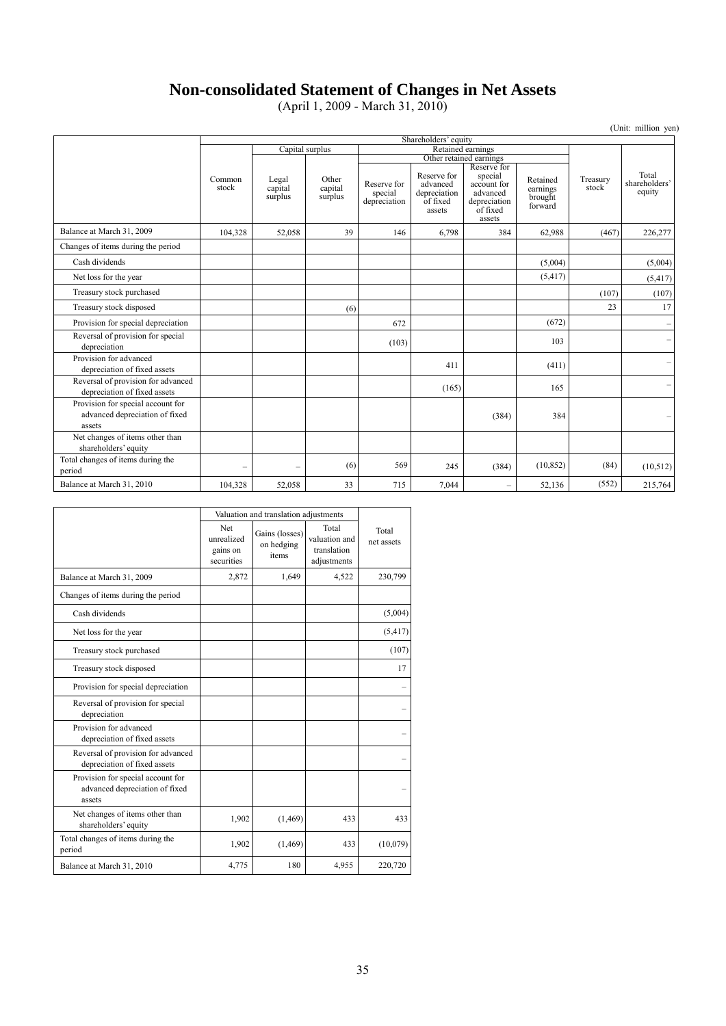## **Non-consolidated Statement of Changes in Net Assets**

(April 1, 2009 - March 31, 2010)

|                                                                               |                          |                             |                             |                                        |                                                               |                                                                                         |                                            |                   | (Unit: million yen)              |
|-------------------------------------------------------------------------------|--------------------------|-----------------------------|-----------------------------|----------------------------------------|---------------------------------------------------------------|-----------------------------------------------------------------------------------------|--------------------------------------------|-------------------|----------------------------------|
|                                                                               |                          |                             |                             |                                        | Shareholders' equity                                          |                                                                                         |                                            |                   |                                  |
|                                                                               |                          | Capital surplus             |                             | Retained earnings                      |                                                               |                                                                                         |                                            |                   |                                  |
|                                                                               |                          |                             |                             |                                        |                                                               | Other retained earnings                                                                 |                                            |                   |                                  |
|                                                                               | Common<br>stock          | Legal<br>capital<br>surplus | Other<br>capital<br>surplus | Reserve for<br>special<br>depreciation | Reserve for<br>advanced<br>depreciation<br>of fixed<br>assets | Reserve for<br>special<br>account for<br>advanced<br>depreciation<br>of fixed<br>assets | Retained<br>earnings<br>brought<br>forward | Treasury<br>stock | Total<br>shareholders'<br>equity |
| Balance at March 31, 2009                                                     | 104,328                  | 52,058                      | 39                          | 146                                    | 6,798                                                         | 384                                                                                     | 62,988                                     | (467)             | 226,277                          |
| Changes of items during the period                                            |                          |                             |                             |                                        |                                                               |                                                                                         |                                            |                   |                                  |
| Cash dividends                                                                |                          |                             |                             |                                        |                                                               |                                                                                         | (5,004)                                    |                   | (5,004)                          |
| Net loss for the year                                                         |                          |                             |                             |                                        |                                                               |                                                                                         | (5, 417)                                   |                   | (5, 417)                         |
| Treasury stock purchased                                                      |                          |                             |                             |                                        |                                                               |                                                                                         |                                            | (107)             | (107)                            |
| Treasury stock disposed                                                       |                          |                             | (6)                         |                                        |                                                               |                                                                                         |                                            | 23                | 17                               |
| Provision for special depreciation                                            |                          |                             |                             | 672                                    |                                                               |                                                                                         | (672)                                      |                   |                                  |
| Reversal of provision for special<br>depreciation                             |                          |                             |                             | (103)                                  |                                                               |                                                                                         | 103                                        |                   | $\overline{\phantom{m}}$         |
| Provision for advanced<br>depreciation of fixed assets                        |                          |                             |                             |                                        | 411                                                           |                                                                                         | (411)                                      |                   | $\overline{\phantom{m}}$         |
| Reversal of provision for advanced<br>depreciation of fixed assets            |                          |                             |                             |                                        | (165)                                                         |                                                                                         | 165                                        |                   | $\overline{\phantom{0}}$         |
| Provision for special account for<br>advanced depreciation of fixed<br>assets |                          |                             |                             |                                        |                                                               | (384)                                                                                   | 384                                        |                   | -                                |
| Net changes of items other than<br>shareholders' equity                       |                          |                             |                             |                                        |                                                               |                                                                                         |                                            |                   |                                  |
| Total changes of items during the<br>period                                   | $\overline{\phantom{0}}$ |                             | (6)                         | 569                                    | 245                                                           | (384)                                                                                   | (10, 852)                                  | (84)              | (10,512)                         |
| Balance at March 31, 2010                                                     | 104.328                  | 52,058                      | 33                          | 715                                    | 7.044                                                         | $\equiv$                                                                                | 52,136                                     | (552)             | 215,764                          |

|                                                                               | Valuation and translation adjustments       |                                       |                                                      |                     |
|-------------------------------------------------------------------------------|---------------------------------------------|---------------------------------------|------------------------------------------------------|---------------------|
|                                                                               | Net<br>unrealized<br>gains on<br>securities | Gains (losses)<br>on hedging<br>items | Total<br>valuation and<br>translation<br>adjustments | Total<br>net assets |
| Balance at March 31, 2009                                                     | 2,872                                       | 1,649                                 | 4,522                                                | 230,799             |
| Changes of items during the period                                            |                                             |                                       |                                                      |                     |
| Cash dividends                                                                |                                             |                                       |                                                      | (5,004)             |
| Net loss for the year                                                         |                                             |                                       |                                                      | (5, 417)            |
| Treasury stock purchased                                                      |                                             |                                       |                                                      | (107)               |
| Treasury stock disposed                                                       |                                             |                                       |                                                      | 17                  |
| Provision for special depreciation                                            |                                             |                                       |                                                      |                     |
| Reversal of provision for special<br>depreciation                             |                                             |                                       |                                                      |                     |
| Provision for advanced<br>depreciation of fixed assets                        |                                             |                                       |                                                      |                     |
| Reversal of provision for advanced<br>depreciation of fixed assets            |                                             |                                       |                                                      |                     |
| Provision for special account for<br>advanced depreciation of fixed<br>assets |                                             |                                       |                                                      |                     |
| Net changes of items other than<br>shareholders' equity                       | 1,902                                       | (1, 469)                              | 433                                                  | 433                 |
| Total changes of items during the<br>period                                   | 1,902                                       | (1, 469)                              | 433                                                  | (10,079)            |
| Balance at March 31, 2010                                                     | 4,775                                       | 180                                   | 4,955                                                | 220,720             |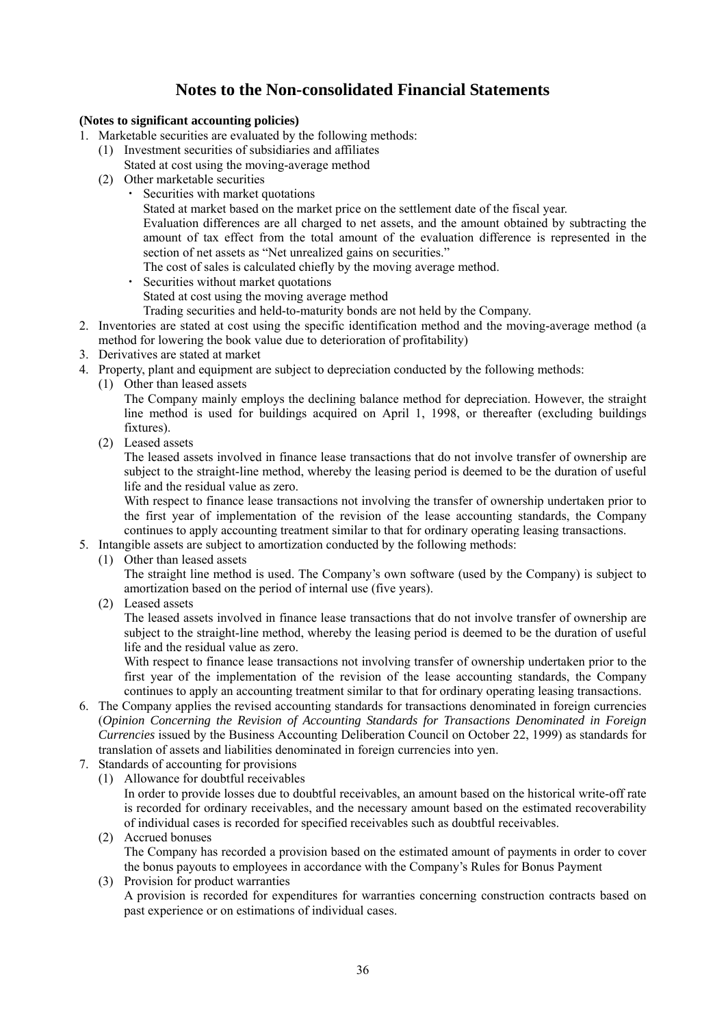## **Notes to the Non-consolidated Financial Statements**

## **(Notes to significant accounting policies)**

- 1. Marketable securities are evaluated by the following methods:
	- (1) Investment securities of subsidiaries and affiliates Stated at cost using the moving-average method
	- (2) Other marketable securities
		- Securities with market quotations
			- Stated at market based on the market price on the settlement date of the fiscal year.

Evaluation differences are all charged to net assets, and the amount obtained by subtracting the amount of tax effect from the total amount of the evaluation difference is represented in the section of net assets as "Net unrealized gains on securities."

The cost of sales is calculated chiefly by the moving average method.

・ Securities without market quotations

Stated at cost using the moving average method

Trading securities and held-to-maturity bonds are not held by the Company.

- 2. Inventories are stated at cost using the specific identification method and the moving-average method (a method for lowering the book value due to deterioration of profitability)
- 3. Derivatives are stated at market
- 4. Property, plant and equipment are subject to depreciation conducted by the following methods:
	- (1) Other than leased assets

The Company mainly employs the declining balance method for depreciation. However, the straight line method is used for buildings acquired on April 1, 1998, or thereafter (excluding buildings fixtures).

(2) Leased assets

The leased assets involved in finance lease transactions that do not involve transfer of ownership are subject to the straight-line method, whereby the leasing period is deemed to be the duration of useful life and the residual value as zero.

With respect to finance lease transactions not involving the transfer of ownership undertaken prior to the first year of implementation of the revision of the lease accounting standards, the Company continues to apply accounting treatment similar to that for ordinary operating leasing transactions.

- 5. Intangible assets are subject to amortization conducted by the following methods:
	- (1) Other than leased assets

The straight line method is used. The Company's own software (used by the Company) is subject to amortization based on the period of internal use (five years).

(2) Leased assets

The leased assets involved in finance lease transactions that do not involve transfer of ownership are subject to the straight-line method, whereby the leasing period is deemed to be the duration of useful life and the residual value as zero.

With respect to finance lease transactions not involving transfer of ownership undertaken prior to the first year of the implementation of the revision of the lease accounting standards, the Company continues to apply an accounting treatment similar to that for ordinary operating leasing transactions.

- 6. The Company applies the revised accounting standards for transactions denominated in foreign currencies (*Opinion Concerning the Revision of Accounting Standards for Transactions Denominated in Foreign Currencies* issued by the Business Accounting Deliberation Council on October 22, 1999) as standards for translation of assets and liabilities denominated in foreign currencies into yen.
- 7. Standards of accounting for provisions
	- (1) Allowance for doubtful receivables

In order to provide losses due to doubtful receivables, an amount based on the historical write-off rate is recorded for ordinary receivables, and the necessary amount based on the estimated recoverability of individual cases is recorded for specified receivables such as doubtful receivables.

- (2) Accrued bonuses The Company has recorded a provision based on the estimated amount of payments in order to cover the bonus payouts to employees in accordance with the Company's Rules for Bonus Payment
- (3) Provision for product warranties A provision is recorded for expenditures for warranties concerning construction contracts based on past experience or on estimations of individual cases.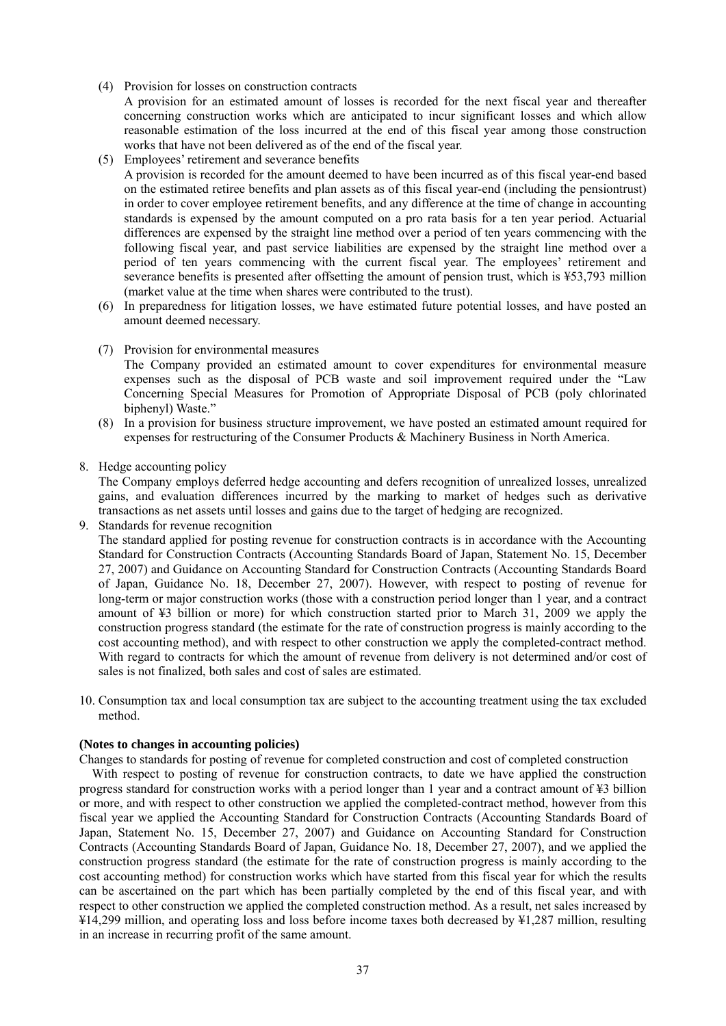(4) Provision for losses on construction contracts

A provision for an estimated amount of losses is recorded for the next fiscal year and thereafter concerning construction works which are anticipated to incur significant losses and which allow reasonable estimation of the loss incurred at the end of this fiscal year among those construction works that have not been delivered as of the end of the fiscal year.

(5) Employees' retirement and severance benefits

A provision is recorded for the amount deemed to have been incurred as of this fiscal year-end based on the estimated retiree benefits and plan assets as of this fiscal year-end (including the pensiontrust) in order to cover employee retirement benefits, and any difference at the time of change in accounting standards is expensed by the amount computed on a pro rata basis for a ten year period. Actuarial differences are expensed by the straight line method over a period of ten years commencing with the following fiscal year, and past service liabilities are expensed by the straight line method over a period of ten years commencing with the current fiscal year. The employees' retirement and severance benefits is presented after offsetting the amount of pension trust, which is ¥53,793 million (market value at the time when shares were contributed to the trust).

- (6) In preparedness for litigation losses, we have estimated future potential losses, and have posted an amount deemed necessary.
- (7) Provision for environmental measures

The Company provided an estimated amount to cover expenditures for environmental measure expenses such as the disposal of PCB waste and soil improvement required under the "Law Concerning Special Measures for Promotion of Appropriate Disposal of PCB (poly chlorinated biphenyl) Waste."

- (8) In a provision for business structure improvement, we have posted an estimated amount required for expenses for restructuring of the Consumer Products & Machinery Business in North America.
- 8. Hedge accounting policy

The Company employs deferred hedge accounting and defers recognition of unrealized losses, unrealized gains, and evaluation differences incurred by the marking to market of hedges such as derivative transactions as net assets until losses and gains due to the target of hedging are recognized.

9. Standards for revenue recognition

The standard applied for posting revenue for construction contracts is in accordance with the Accounting Standard for Construction Contracts (Accounting Standards Board of Japan, Statement No. 15, December 27, 2007) and Guidance on Accounting Standard for Construction Contracts (Accounting Standards Board of Japan, Guidance No. 18, December 27, 2007). However, with respect to posting of revenue for long-term or major construction works (those with a construction period longer than 1 year, and a contract amount of ¥3 billion or more) for which construction started prior to March 31, 2009 we apply the construction progress standard (the estimate for the rate of construction progress is mainly according to the cost accounting method), and with respect to other construction we apply the completed-contract method. With regard to contracts for which the amount of revenue from delivery is not determined and/or cost of sales is not finalized, both sales and cost of sales are estimated.

10. Consumption tax and local consumption tax are subject to the accounting treatment using the tax excluded method.

## **(Notes to changes in accounting policies)**

Changes to standards for posting of revenue for completed construction and cost of completed construction

With respect to posting of revenue for construction contracts, to date we have applied the construction progress standard for construction works with a period longer than 1 year and a contract amount of ¥3 billion or more, and with respect to other construction we applied the completed-contract method, however from this fiscal year we applied the Accounting Standard for Construction Contracts (Accounting Standards Board of Japan, Statement No. 15, December 27, 2007) and Guidance on Accounting Standard for Construction Contracts (Accounting Standards Board of Japan, Guidance No. 18, December 27, 2007), and we applied the construction progress standard (the estimate for the rate of construction progress is mainly according to the cost accounting method) for construction works which have started from this fiscal year for which the results can be ascertained on the part which has been partially completed by the end of this fiscal year, and with respect to other construction we applied the completed construction method. As a result, net sales increased by ¥14,299 million, and operating loss and loss before income taxes both decreased by ¥1,287 million, resulting in an increase in recurring profit of the same amount.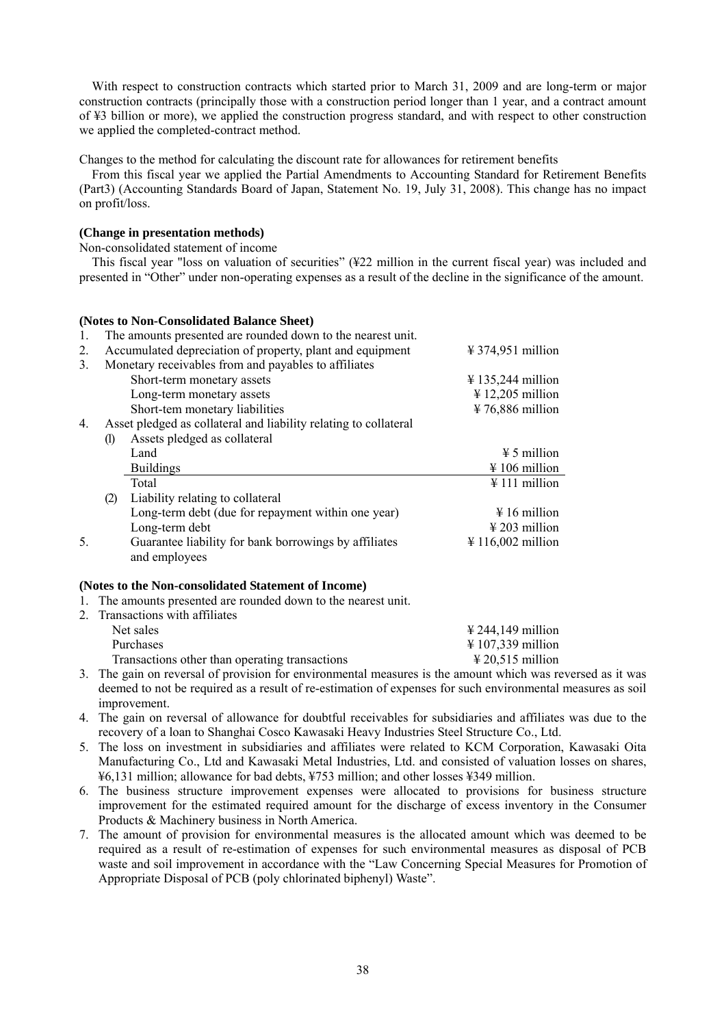With respect to construction contracts which started prior to March 31, 2009 and are long-term or major construction contracts (principally those with a construction period longer than 1 year, and a contract amount of ¥3 billion or more), we applied the construction progress standard, and with respect to other construction we applied the completed-contract method.

Changes to the method for calculating the discount rate for allowances for retirement benefits

From this fiscal year we applied the Partial Amendments to Accounting Standard for Retirement Benefits (Part3) (Accounting Standards Board of Japan, Statement No. 19, July 31, 2008). This change has no impact on profit/loss.

## **(Change in presentation methods)**

Non-consolidated statement of income

This fiscal year "loss on valuation of securities" (¥22 million in the current fiscal year) was included and presented in "Other" under non-operating expenses as a result of the decline in the significance of the amount.

#### **(Notes to Non-Consolidated Balance Sheet)**

| -1. |                            | The amounts presented are rounded down to the nearest unit.      |                                        |
|-----|----------------------------|------------------------------------------------------------------|----------------------------------------|
| 2.  |                            | Accumulated depreciation of property, plant and equipment        | $\frac{1}{2}$ 374,951 million          |
| 3.  |                            | Monetary receivables from and payables to affiliates             |                                        |
|     |                            | Short-term monetary assets                                       | $\frac{1}{2}$ 135,244 million          |
|     |                            | Long-term monetary assets                                        | $\frac{1}{2}$ 12,205 million           |
|     |                            | Short-tem monetary liabilities                                   | $\frac{1}{2}$ 76,886 million           |
| 4.  |                            | Asset pledged as collateral and liability relating to collateral |                                        |
|     | $\left( \mathbf{l}\right)$ | Assets pledged as collateral                                     |                                        |
|     |                            | Land                                                             | $\frac{1}{2}$ 5 million                |
|     |                            | <b>Buildings</b>                                                 | $\frac{1}{2}$ 106 million              |
|     |                            | Total                                                            | $\frac{1}{2}$ 111 million              |
|     | (2)                        | Liability relating to collateral                                 |                                        |
|     |                            | Long-term debt (due for repayment within one year)               | $\frac{1}{2}$ 16 million               |
|     |                            | Long-term debt                                                   | $\frac{1}{2}$ 203 million              |
| 5.  |                            | Guarantee liability for bank borrowings by affiliates            | $\text{\textsterling} 116,002$ million |
|     |                            | and employees                                                    |                                        |

#### **(Notes to the Non-consolidated Statement of Income)**

1. The amounts presented are rounded down to the nearest unit.

| 2. Transactions with affiliates                |                                        |
|------------------------------------------------|----------------------------------------|
| Net sales                                      | $\text{\textsterling} 244,149$ million |
| Purchases                                      | $\text{\textsterling} 107,339$ million |
| Transactions other than operating transactions | $\text{\textsterling} 20,515$ million  |
|                                                |                                        |

3. The gain on reversal of provision for environmental measures is the amount which was reversed as it was deemed to not be required as a result of re-estimation of expenses for such environmental measures as soil improvement.

4. The gain on reversal of allowance for doubtful receivables for subsidiaries and affiliates was due to the recovery of a loan to Shanghai Cosco Kawasaki Heavy Industries Steel Structure Co., Ltd.

- 5. The loss on investment in subsidiaries and affiliates were related to KCM Corporation, Kawasaki Oita Manufacturing Co., Ltd and Kawasaki Metal Industries, Ltd. and consisted of valuation losses on shares, ¥6,131 million; allowance for bad debts, ¥753 million; and other losses ¥349 million.
- 6. The business structure improvement expenses were allocated to provisions for business structure improvement for the estimated required amount for the discharge of excess inventory in the Consumer Products & Machinery business in North America.
- 7. The amount of provision for environmental measures is the allocated amount which was deemed to be required as a result of re-estimation of expenses for such environmental measures as disposal of PCB waste and soil improvement in accordance with the "Law Concerning Special Measures for Promotion of Appropriate Disposal of PCB (poly chlorinated biphenyl) Waste".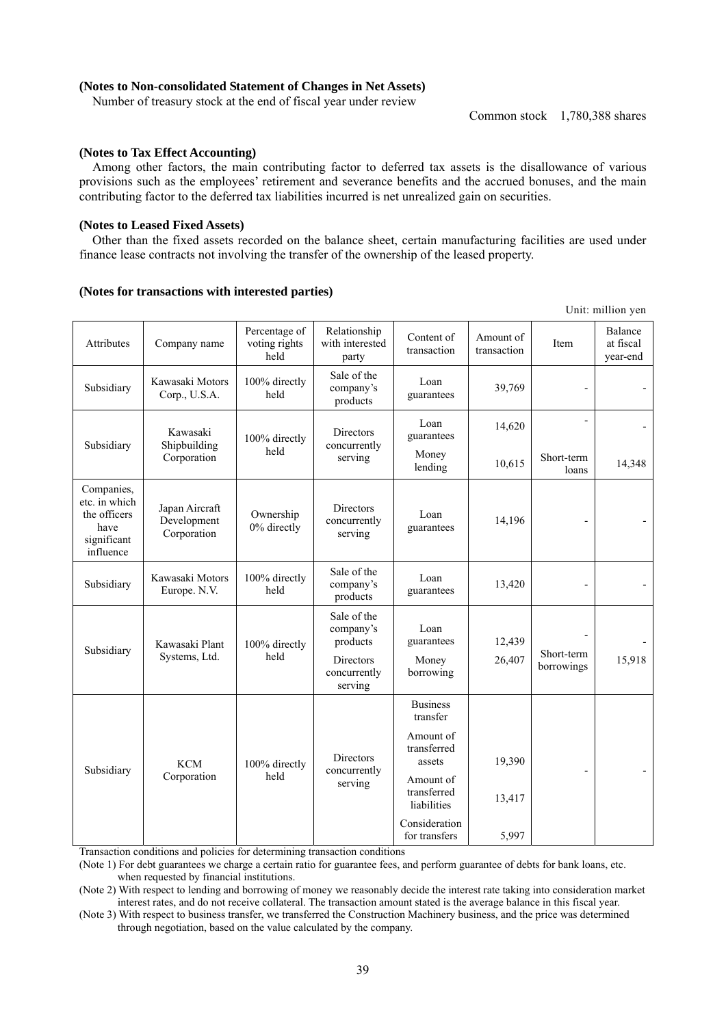## **(Notes to Non-consolidated Statement of Changes in Net Assets)**

Number of treasury stock at the end of fiscal year under review

Common stock 1,780,388 shares

Unit: million yen

### **(Notes to Tax Effect Accounting)**

Among other factors, the main contributing factor to deferred tax assets is the disallowance of various provisions such as the employees' retirement and severance benefits and the accrued bonuses, and the main contributing factor to the deferred tax liabilities incurred is net unrealized gain on securities.

#### **(Notes to Leased Fixed Assets)**

Other than the fixed assets recorded on the balance sheet, certain manufacturing facilities are used under finance lease contracts not involving the transfer of the ownership of the leased property.

#### **(Notes for transactions with interested parties)**

| Attributes                                                                      | Company name                                 | Percentage of<br>voting rights<br>held | Relationship<br>with interested<br>party    | Content of<br>transaction               | Amount of<br>transaction | Item                | Balance<br>at fiscal<br>year-end |
|---------------------------------------------------------------------------------|----------------------------------------------|----------------------------------------|---------------------------------------------|-----------------------------------------|--------------------------|---------------------|----------------------------------|
| Subsidiary                                                                      | Kawasaki Motors<br>Corp., U.S.A.             | 100% directly<br>held                  | Sale of the<br>company's<br>products        | Loan<br>guarantees                      | 39,769                   |                     |                                  |
|                                                                                 | Kawasaki<br>Shipbuilding<br>Corporation      | 100% directly<br>held                  | Directors<br>concurrently<br>serving        | Loan<br>guarantees                      | 14,620                   | $\overline{a}$      |                                  |
| Subsidiary                                                                      |                                              |                                        |                                             | Money<br>lending                        | 10,615                   | Short-term<br>loans | 14,348                           |
| Companies,<br>etc. in which<br>the officers<br>have<br>significant<br>influence | Japan Aircraft<br>Development<br>Corporation | Ownership<br>0% directly               | Directors<br>concurrently<br>serving        | Loan<br>guarantees                      | 14,196                   |                     |                                  |
| Subsidiary                                                                      | Kawasaki Motors<br>Europe. N.V.              | 100% directly<br>held                  | Sale of the<br>company's<br>products        | Loan<br>guarantees                      | 13,420                   | L,                  |                                  |
| Subsidiary                                                                      | Kawasaki Plant<br>Systems, Ltd.              | 100% directly<br>held                  | Sale of the<br>company's<br>products        | Loan<br>guarantees                      | 12,439                   | Short-term          |                                  |
|                                                                                 |                                              |                                        | Directors<br>concurrently<br>serving        | Money<br>borrowing                      | 26,407                   | borrowings          | 15,918                           |
|                                                                                 |                                              |                                        |                                             | <b>Business</b><br>transfer             |                          |                     |                                  |
| Subsidiary                                                                      | <b>KCM</b><br>Corporation                    | 100% directly<br>held                  | <b>Directors</b><br>concurrently<br>serving | Amount of<br>transferred<br>assets      | 19,390                   |                     |                                  |
|                                                                                 |                                              |                                        |                                             | Amount of<br>transferred<br>liabilities | 13,417                   | ÷,                  |                                  |
|                                                                                 |                                              |                                        |                                             | Consideration<br>for transfers          | 5,997                    |                     |                                  |

Transaction conditions and policies for determining transaction conditions

(Note 1) For debt guarantees we charge a certain ratio for guarantee fees, and perform guarantee of debts for bank loans, etc. when requested by financial institutions.

(Note 2) With respect to lending and borrowing of money we reasonably decide the interest rate taking into consideration market interest rates, and do not receive collateral. The transaction amount stated is the average balance in this fiscal year.

(Note 3) With respect to business transfer, we transferred the Construction Machinery business, and the price was determined through negotiation, based on the value calculated by the company.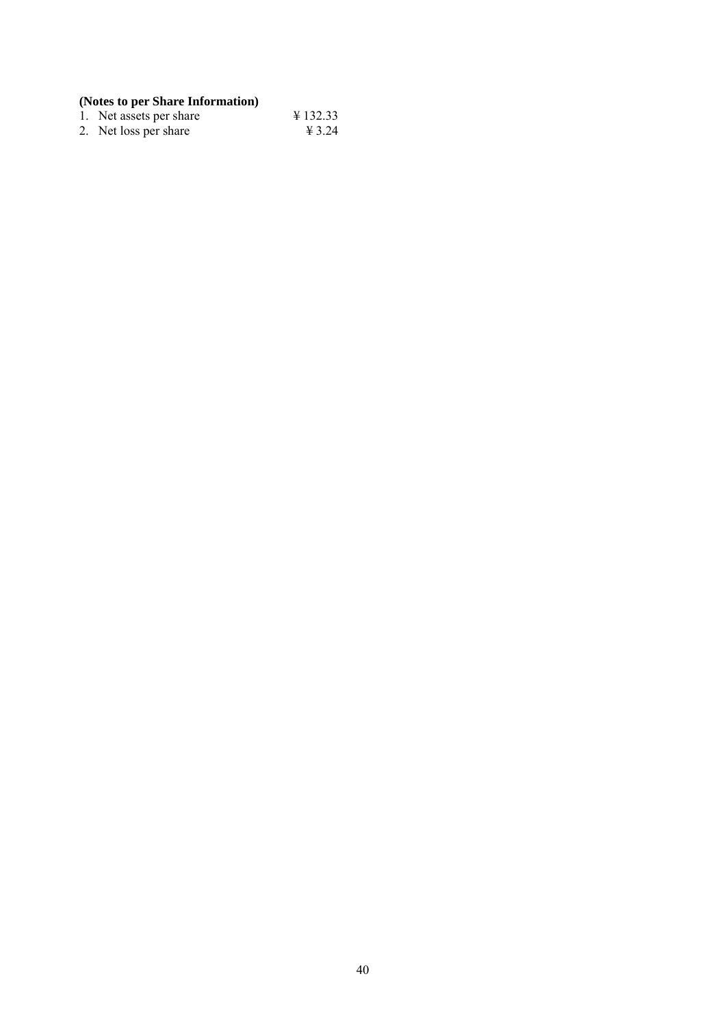## **(Notes to per Share Information)**

| 1. Net assets per share | $\text{\textsterling} 132.33$ |
|-------------------------|-------------------------------|
| 2. Net loss per share   | ¥ 3.24                        |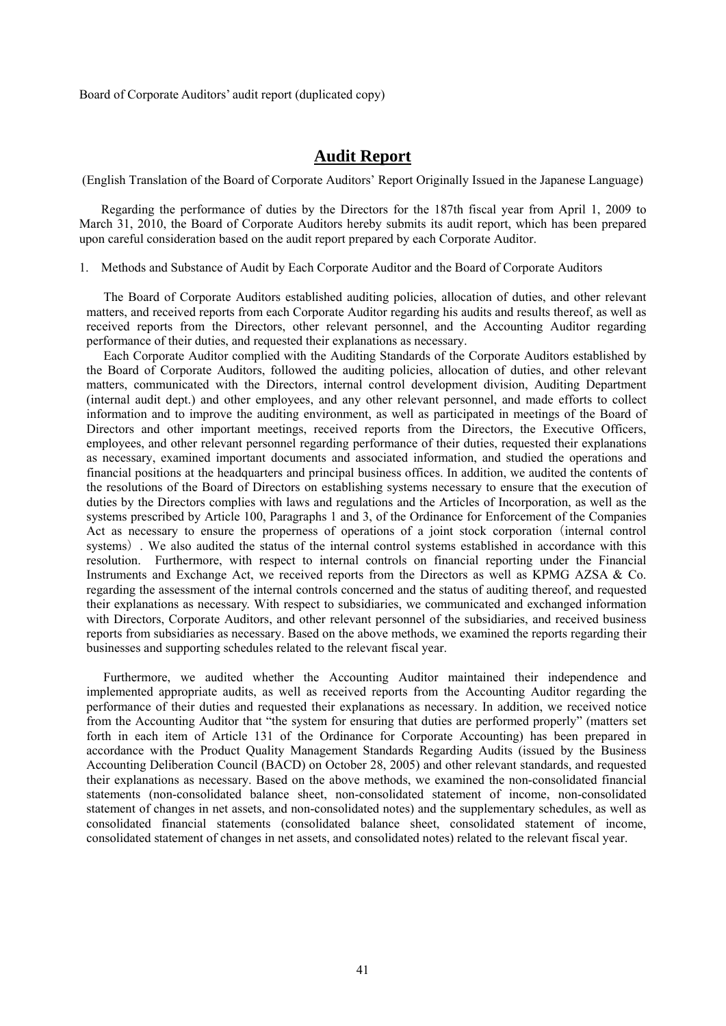Board of Corporate Auditors' audit report (duplicated copy)

## **Audit Report**

(English Translation of the Board of Corporate Auditors' Report Originally Issued in the Japanese Language)

Regarding the performance of duties by the Directors for the 187th fiscal year from April 1, 2009 to March 31, 2010, the Board of Corporate Auditors hereby submits its audit report, which has been prepared upon careful consideration based on the audit report prepared by each Corporate Auditor.

1. Methods and Substance of Audit by Each Corporate Auditor and the Board of Corporate Auditors

The Board of Corporate Auditors established auditing policies, allocation of duties, and other relevant matters, and received reports from each Corporate Auditor regarding his audits and results thereof, as well as received reports from the Directors, other relevant personnel, and the Accounting Auditor regarding performance of their duties, and requested their explanations as necessary.

Each Corporate Auditor complied with the Auditing Standards of the Corporate Auditors established by the Board of Corporate Auditors, followed the auditing policies, allocation of duties, and other relevant matters, communicated with the Directors, internal control development division, Auditing Department (internal audit dept.) and other employees, and any other relevant personnel, and made efforts to collect information and to improve the auditing environment, as well as participated in meetings of the Board of Directors and other important meetings, received reports from the Directors, the Executive Officers, employees, and other relevant personnel regarding performance of their duties, requested their explanations as necessary, examined important documents and associated information, and studied the operations and financial positions at the headquarters and principal business offices. In addition, we audited the contents of the resolutions of the Board of Directors on establishing systems necessary to ensure that the execution of duties by the Directors complies with laws and regulations and the Articles of Incorporation, as well as the systems prescribed by Article 100, Paragraphs 1 and 3, of the Ordinance for Enforcement of the Companies Act as necessary to ensure the properness of operations of a joint stock corporation (internal control systems). We also audited the status of the internal control systems established in accordance with this resolution. Furthermore, with respect to internal controls on financial reporting under the Financial Instruments and Exchange Act, we received reports from the Directors as well as KPMG AZSA & Co. regarding the assessment of the internal controls concerned and the status of auditing thereof, and requested their explanations as necessary. With respect to subsidiaries, we communicated and exchanged information with Directors, Corporate Auditors, and other relevant personnel of the subsidiaries, and received business reports from subsidiaries as necessary. Based on the above methods, we examined the reports regarding their businesses and supporting schedules related to the relevant fiscal year.

Furthermore, we audited whether the Accounting Auditor maintained their independence and implemented appropriate audits, as well as received reports from the Accounting Auditor regarding the performance of their duties and requested their explanations as necessary. In addition, we received notice from the Accounting Auditor that "the system for ensuring that duties are performed properly" (matters set forth in each item of Article 131 of the Ordinance for Corporate Accounting) has been prepared in accordance with the Product Quality Management Standards Regarding Audits (issued by the Business Accounting Deliberation Council (BACD) on October 28, 2005) and other relevant standards, and requested their explanations as necessary. Based on the above methods, we examined the non-consolidated financial statements (non-consolidated balance sheet, non-consolidated statement of income, non-consolidated statement of changes in net assets, and non-consolidated notes) and the supplementary schedules, as well as consolidated financial statements (consolidated balance sheet, consolidated statement of income, consolidated statement of changes in net assets, and consolidated notes) related to the relevant fiscal year.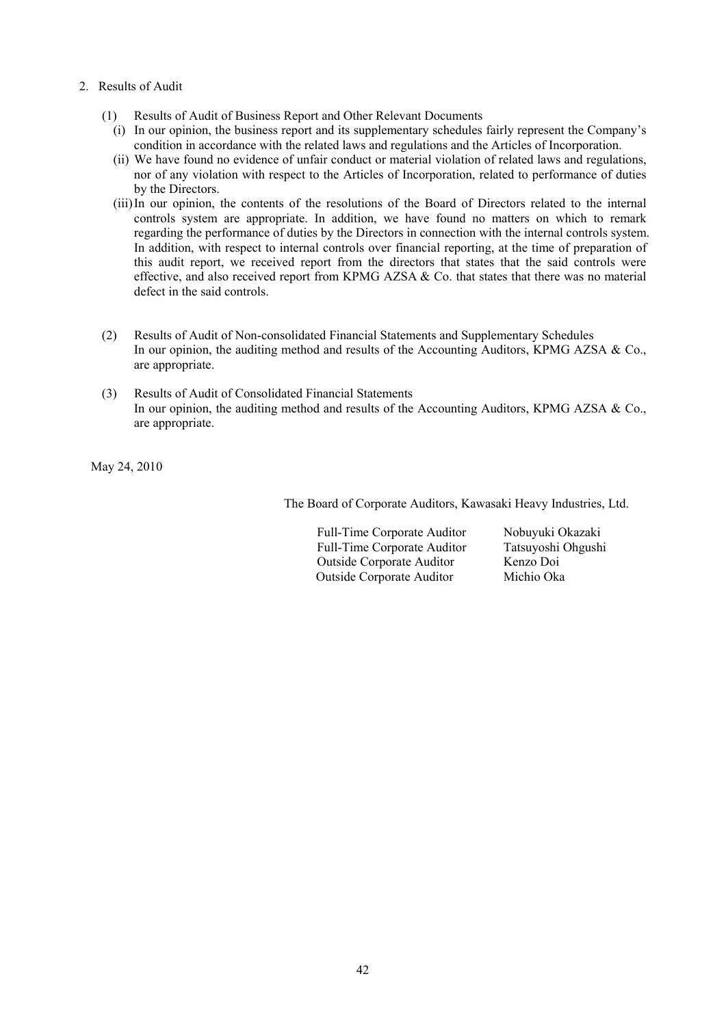- 2. Results of Audit
	- (1) Results of Audit of Business Report and Other Relevant Documents
		- (i) In our opinion, the business report and its supplementary schedules fairly represent the Company's condition in accordance with the related laws and regulations and the Articles of Incorporation.
		- (ii) We have found no evidence of unfair conduct or material violation of related laws and regulations, nor of any violation with respect to the Articles of Incorporation, related to performance of duties by the Directors.
		- (iii) In our opinion, the contents of the resolutions of the Board of Directors related to the internal controls system are appropriate. In addition, we have found no matters on which to remark regarding the performance of duties by the Directors in connection with the internal controls system. In addition, with respect to internal controls over financial reporting, at the time of preparation of this audit report, we received report from the directors that states that the said controls were effective, and also received report from KPMG AZSA & Co. that states that there was no material defect in the said controls.
	- (2) Results of Audit of Non-consolidated Financial Statements and Supplementary Schedules In our opinion, the auditing method and results of the Accounting Auditors, KPMG AZSA & Co., are appropriate.
	- (3) Results of Audit of Consolidated Financial Statements In our opinion, the auditing method and results of the Accounting Auditors, KPMG AZSA & Co., are appropriate.

May 24, 2010

The Board of Corporate Auditors, Kawasaki Heavy Industries, Ltd.

Full-Time Corporate Auditor Nobuyuki Okazaki Full-Time Corporate Auditor Tatsuyoshi Ohgushi Outside Corporate Auditor Kenzo Doi<br>Outside Cornorate Auditor Michio Oka Outside Corporate Auditor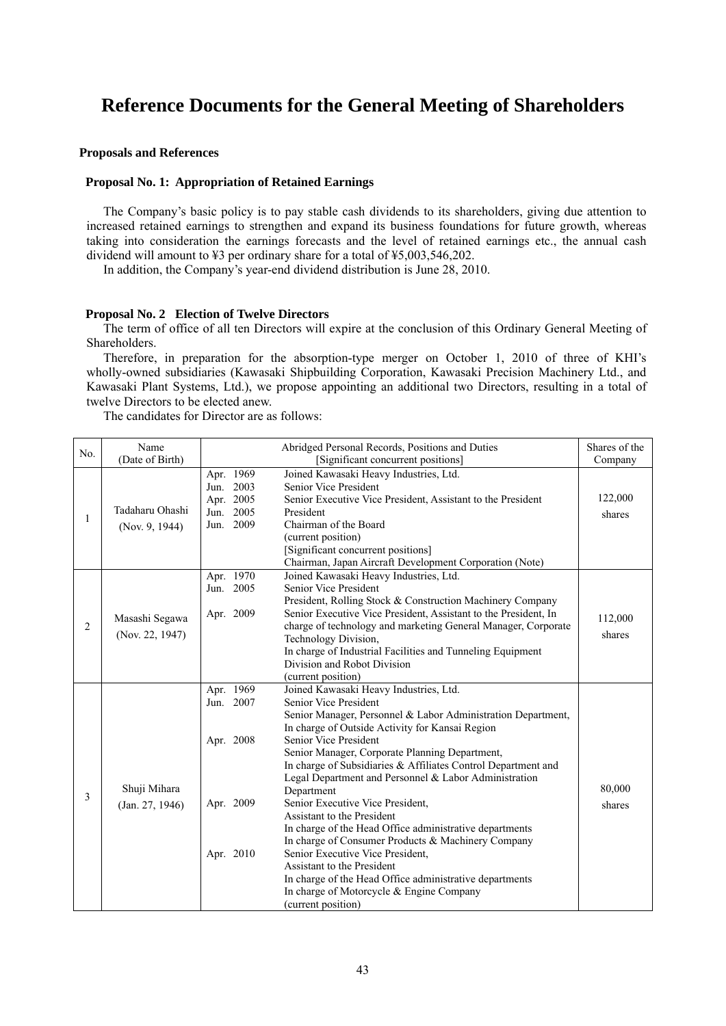# **Reference Documents for the General Meeting of Shareholders**

### **Proposals and References**

## **Proposal No. 1: Appropriation of Retained Earnings**

The Company's basic policy is to pay stable cash dividends to its shareholders, giving due attention to increased retained earnings to strengthen and expand its business foundations for future growth, whereas taking into consideration the earnings forecasts and the level of retained earnings etc., the annual cash dividend will amount to ¥3 per ordinary share for a total of ¥5,003,546,202.

In addition, the Company's year-end dividend distribution is June 28, 2010.

### **Proposal No. 2 Election of Twelve Directors**

The term of office of all ten Directors will expire at the conclusion of this Ordinary General Meeting of Shareholders.

Therefore, in preparation for the absorption-type merger on October 1, 2010 of three of KHI's wholly-owned subsidiaries (Kawasaki Shipbuilding Corporation, Kawasaki Precision Machinery Ltd., and Kawasaki Plant Systems, Ltd.), we propose appointing an additional two Directors, resulting in a total of twelve Directors to be elected anew.

The candidates for Director are as follows:

|                | Name                                                  | Abridged Personal Records, Positions and Duties |                                                                                                                 |         |
|----------------|-------------------------------------------------------|-------------------------------------------------|-----------------------------------------------------------------------------------------------------------------|---------|
| No.            | (Date of Birth)<br>[Significant concurrent positions] |                                                 |                                                                                                                 | Company |
|                |                                                       | Apr. 1969                                       | Joined Kawasaki Heavy Industries, Ltd.                                                                          |         |
| 1              |                                                       | Jun. 2003                                       | Senior Vice President                                                                                           |         |
|                |                                                       | Apr. 2005                                       | Senior Executive Vice President, Assistant to the President                                                     | 122,000 |
|                | Tadaharu Ohashi                                       | 2005<br>Jun.                                    | President                                                                                                       | shares  |
|                | (Nov. 9, 1944)                                        | Jun. 2009                                       | Chairman of the Board                                                                                           |         |
|                |                                                       |                                                 | (current position)                                                                                              |         |
|                |                                                       |                                                 | [Significant concurrent positions]                                                                              |         |
|                |                                                       |                                                 | Chairman, Japan Aircraft Development Corporation (Note)                                                         |         |
|                |                                                       | Apr. 1970                                       | Joined Kawasaki Heavy Industries, Ltd.                                                                          |         |
|                |                                                       | Jun. 2005                                       | Senior Vice President                                                                                           |         |
|                |                                                       |                                                 | President, Rolling Stock & Construction Machinery Company                                                       |         |
|                | Masashi Segawa                                        | Apr. 2009                                       | Senior Executive Vice President, Assistant to the President, In                                                 | 112,000 |
| $\overline{c}$ | (Nov. 22, 1947)                                       |                                                 | charge of technology and marketing General Manager, Corporate                                                   | shares  |
|                |                                                       |                                                 | Technology Division,                                                                                            |         |
|                |                                                       |                                                 | In charge of Industrial Facilities and Tunneling Equipment                                                      |         |
|                |                                                       |                                                 | Division and Robot Division                                                                                     |         |
|                |                                                       |                                                 | (current position)                                                                                              |         |
|                |                                                       | Apr. 1969                                       | Joined Kawasaki Heavy Industries, Ltd.                                                                          |         |
|                |                                                       | 2007<br>Jun.                                    | Senior Vice President                                                                                           |         |
|                |                                                       |                                                 | Senior Manager, Personnel & Labor Administration Department,                                                    |         |
|                |                                                       |                                                 | In charge of Outside Activity for Kansai Region<br>Senior Vice President                                        |         |
|                |                                                       | Apr. 2008                                       |                                                                                                                 |         |
|                |                                                       |                                                 | Senior Manager, Corporate Planning Department,<br>In charge of Subsidiaries & Affiliates Control Department and |         |
|                |                                                       |                                                 | Legal Department and Personnel & Labor Administration                                                           |         |
| 3              | Shuji Mihara                                          |                                                 | Department                                                                                                      | 80,000  |
|                |                                                       | Apr. 2009                                       | Senior Executive Vice President,                                                                                |         |
|                | (Jan. 27, 1946)                                       |                                                 | Assistant to the President                                                                                      | shares  |
|                |                                                       |                                                 | In charge of the Head Office administrative departments                                                         |         |
|                |                                                       |                                                 | In charge of Consumer Products & Machinery Company                                                              |         |
|                |                                                       | Apr. 2010                                       | Senior Executive Vice President,                                                                                |         |
|                |                                                       |                                                 | Assistant to the President                                                                                      |         |
|                |                                                       |                                                 | In charge of the Head Office administrative departments                                                         |         |
|                |                                                       |                                                 | In charge of Motorcycle & Engine Company                                                                        |         |
|                |                                                       |                                                 | (current position)                                                                                              |         |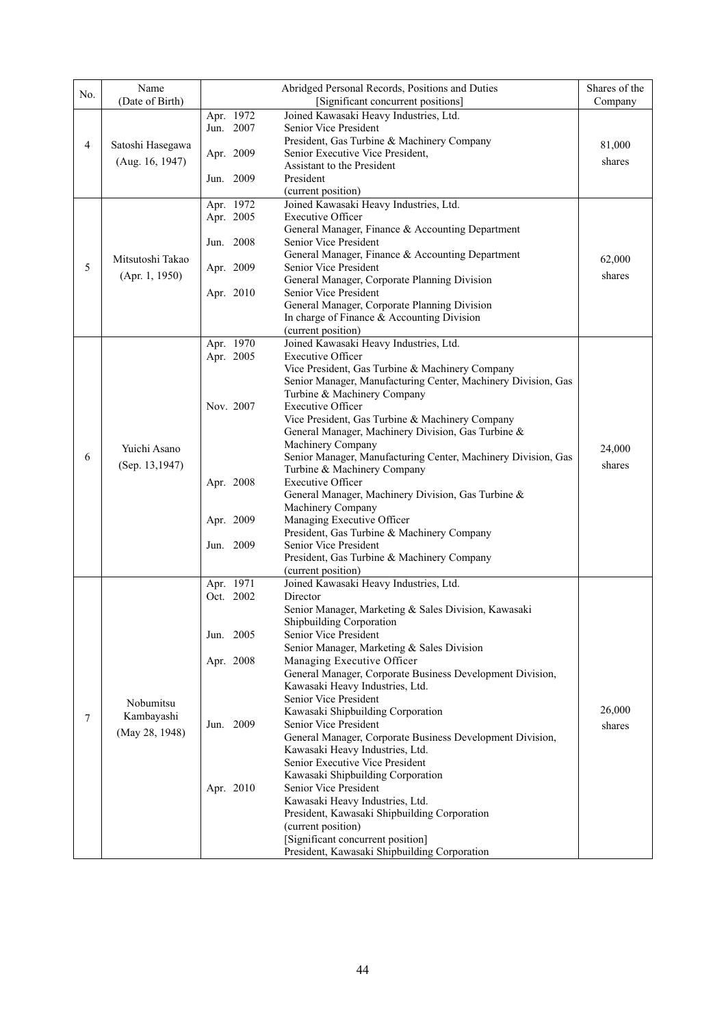| No. | Name<br>(Date of Birth)            | Abridged Personal Records, Positions and Duties<br>[Significant concurrent positions] |                                                                                                                                                 | Shares of the<br>Company |
|-----|------------------------------------|---------------------------------------------------------------------------------------|-------------------------------------------------------------------------------------------------------------------------------------------------|--------------------------|
| 4   | Satoshi Hasegawa                   | Apr. 1972<br>Jun. 2007                                                                | Joined Kawasaki Heavy Industries, Ltd.<br>Senior Vice President<br>President, Gas Turbine & Machinery Company                                   | 81,000                   |
|     | (Aug. 16, 1947)                    | Apr. 2009                                                                             | Senior Executive Vice President,<br>Assistant to the President                                                                                  | shares                   |
|     |                                    | Jun. 2009                                                                             | President<br>(current position)                                                                                                                 |                          |
|     |                                    | Apr. 1972<br>Apr. 2005                                                                | Joined Kawasaki Heavy Industries, Ltd.<br><b>Executive Officer</b>                                                                              |                          |
| 5   |                                    | Jun. 2008                                                                             | General Manager, Finance & Accounting Department<br>Senior Vice President                                                                       |                          |
|     | Mitsutoshi Takao<br>(Apr. 1, 1950) | Apr. 2009                                                                             | General Manager, Finance & Accounting Department<br>Senior Vice President                                                                       | 62,000<br>shares         |
|     |                                    | Apr. 2010                                                                             | General Manager, Corporate Planning Division<br>Senior Vice President<br>General Manager, Corporate Planning Division                           |                          |
|     |                                    |                                                                                       | In charge of Finance & Accounting Division<br>(current position)                                                                                |                          |
|     |                                    | Apr. 1970<br>Apr. 2005                                                                | Joined Kawasaki Heavy Industries, Ltd.<br><b>Executive Officer</b>                                                                              |                          |
|     |                                    |                                                                                       | Vice President, Gas Turbine & Machinery Company<br>Senior Manager, Manufacturing Center, Machinery Division, Gas<br>Turbine & Machinery Company |                          |
| 6   |                                    | Nov. 2007                                                                             | <b>Executive Officer</b><br>Vice President, Gas Turbine & Machinery Company                                                                     |                          |
|     | Yuichi Asano                       |                                                                                       | General Manager, Machinery Division, Gas Turbine &<br>Machinery Company<br>Senior Manager, Manufacturing Center, Machinery Division, Gas        | 24,000                   |
|     | (Sep. 13,1947)                     | Apr. 2008                                                                             | Turbine & Machinery Company<br><b>Executive Officer</b>                                                                                         | shares                   |
|     |                                    |                                                                                       | General Manager, Machinery Division, Gas Turbine &<br>Machinery Company                                                                         |                          |
|     |                                    | Apr. 2009                                                                             | Managing Executive Officer<br>President, Gas Turbine & Machinery Company                                                                        |                          |
|     |                                    | Jun. 2009                                                                             | Senior Vice President<br>President, Gas Turbine & Machinery Company                                                                             |                          |
|     |                                    | Apr. 1971                                                                             | (current position)<br>Joined Kawasaki Heavy Industries, Ltd.                                                                                    |                          |
|     |                                    | Oct. 2002                                                                             | Director                                                                                                                                        |                          |
|     |                                    |                                                                                       | Senior Manager, Marketing & Sales Division, Kawasaki<br><b>Shipbuilding Corporation</b>                                                         |                          |
|     |                                    | Jun. 2005                                                                             | Senior Vice President                                                                                                                           |                          |
|     |                                    | Apr. 2008                                                                             | Senior Manager, Marketing & Sales Division<br>Managing Executive Officer                                                                        |                          |
|     |                                    |                                                                                       | General Manager, Corporate Business Development Division,                                                                                       |                          |
|     |                                    |                                                                                       | Kawasaki Heavy Industries, Ltd.                                                                                                                 |                          |
|     | Nobumitsu                          |                                                                                       | Senior Vice President<br>Kawasaki Shipbuilding Corporation                                                                                      | 26,000                   |
| 7   | Kambayashi                         | Jun. 2009                                                                             | Senior Vice President                                                                                                                           | shares                   |
|     | (May 28, 1948)                     |                                                                                       | General Manager, Corporate Business Development Division,                                                                                       |                          |
|     |                                    |                                                                                       | Kawasaki Heavy Industries, Ltd.                                                                                                                 |                          |
|     |                                    |                                                                                       | Senior Executive Vice President<br>Kawasaki Shipbuilding Corporation                                                                            |                          |
|     |                                    | Apr. 2010                                                                             | Senior Vice President                                                                                                                           |                          |
|     |                                    |                                                                                       | Kawasaki Heavy Industries, Ltd.                                                                                                                 |                          |
|     |                                    |                                                                                       | President, Kawasaki Shipbuilding Corporation                                                                                                    |                          |
|     |                                    |                                                                                       | (current position)<br>[Significant concurrent position]                                                                                         |                          |
|     |                                    |                                                                                       | President, Kawasaki Shipbuilding Corporation                                                                                                    |                          |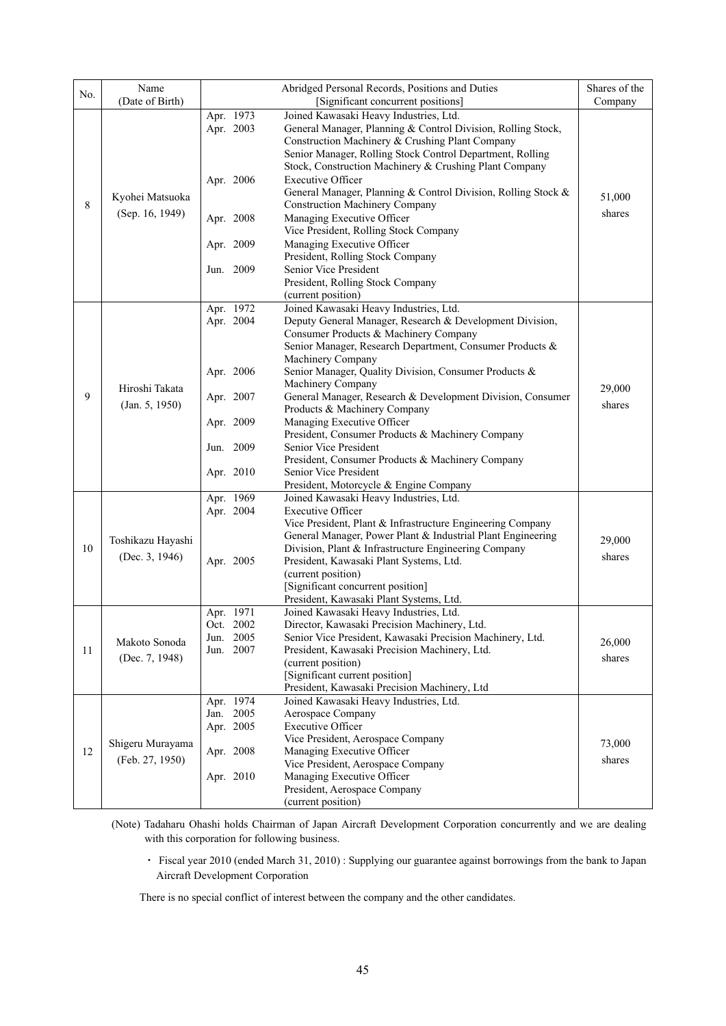| No. | Name<br>(Date of Birth)             |                                                                                            | Abridged Personal Records, Positions and Duties<br>[Significant concurrent positions]                                                                                                                                                                                                                                                                                                                                                                                                                                                                                                                                                              | Shares of the<br>Company |
|-----|-------------------------------------|--------------------------------------------------------------------------------------------|----------------------------------------------------------------------------------------------------------------------------------------------------------------------------------------------------------------------------------------------------------------------------------------------------------------------------------------------------------------------------------------------------------------------------------------------------------------------------------------------------------------------------------------------------------------------------------------------------------------------------------------------------|--------------------------|
| 8   | Kyohei Matsuoka<br>(Sep. 16, 1949)  | Apr. 1973<br>Apr. 2003<br>Apr. 2006<br>Apr. 2008<br>Apr. 2009<br>2009<br>Jun.              | Joined Kawasaki Heavy Industries, Ltd.<br>General Manager, Planning & Control Division, Rolling Stock,<br>Construction Machinery & Crushing Plant Company<br>Senior Manager, Rolling Stock Control Department, Rolling<br>Stock, Construction Machinery & Crushing Plant Company<br><b>Executive Officer</b><br>General Manager, Planning & Control Division, Rolling Stock &<br><b>Construction Machinery Company</b><br>Managing Executive Officer<br>Vice President, Rolling Stock Company<br>Managing Executive Officer<br>President, Rolling Stock Company<br>Senior Vice President<br>President, Rolling Stock Company<br>(current position) | 51,000<br>shares         |
| 9   | Hiroshi Takata<br>(Jan. 5, 1950)    | Apr. 1972<br>Apr. 2004<br>Apr. 2006<br>Apr. 2007<br>Apr. 2009<br>2009<br>Jun.<br>Apr. 2010 | Joined Kawasaki Heavy Industries, Ltd.<br>Deputy General Manager, Research & Development Division,<br>Consumer Products & Machinery Company<br>Senior Manager, Research Department, Consumer Products &<br>Machinery Company<br>Senior Manager, Quality Division, Consumer Products &<br>Machinery Company<br>General Manager, Research & Development Division, Consumer<br>Products & Machinery Company<br>Managing Executive Officer<br>President, Consumer Products & Machinery Company<br>Senior Vice President<br>President, Consumer Products & Machinery Company<br>Senior Vice President<br>President, Motorcycle & Engine Company         | 29,000<br>shares         |
| 10  | Toshikazu Hayashi<br>(Dec. 3, 1946) | Apr. 1969<br>Apr. 2004<br>Apr. 2005                                                        | Joined Kawasaki Heavy Industries, Ltd.<br><b>Executive Officer</b><br>Vice President, Plant & Infrastructure Engineering Company<br>General Manager, Power Plant & Industrial Plant Engineering<br>Division, Plant & Infrastructure Engineering Company<br>President, Kawasaki Plant Systems, Ltd.<br>(current position)<br>[Significant concurrent position]<br>President, Kawasaki Plant Systems, Ltd.                                                                                                                                                                                                                                           | 29,000<br>shares         |
| 11  | Makoto Sonoda<br>(Dec. 7, 1948)     | Apr. 1971<br>Oct. 2002<br>Jun. 2005<br>Jun. 2007                                           | Joined Kawasaki Heavy Industries, Ltd.<br>Director, Kawasaki Precision Machinery, Ltd.<br>Senior Vice President, Kawasaki Precision Machinery, Ltd.<br>President, Kawasaki Precision Machinery, Ltd.<br>(current position)<br>[Significant current position]<br>President, Kawasaki Precision Machinery, Ltd                                                                                                                                                                                                                                                                                                                                       | 26,000<br>shares         |
| 12  | Shigeru Murayama<br>(Feb. 27, 1950) | Apr. 1974<br>Jan. 2005<br>Apr. 2005<br>Apr. 2008<br>Apr. 2010                              | Joined Kawasaki Heavy Industries, Ltd.<br>Aerospace Company<br><b>Executive Officer</b><br>Vice President, Aerospace Company<br>Managing Executive Officer<br>Vice President, Aerospace Company<br>Managing Executive Officer<br>President, Aerospace Company<br>(current position)                                                                                                                                                                                                                                                                                                                                                                | 73,000<br>shares         |

- (Note) Tadaharu Ohashi holds Chairman of Japan Aircraft Development Corporation concurrently and we are dealing with this corporation for following business.
	- ・ Fiscal year 2010 (ended March 31, 2010) : Supplying our guarantee against borrowings from the bank to Japan Aircraft Development Corporation

There is no special conflict of interest between the company and the other candidates.